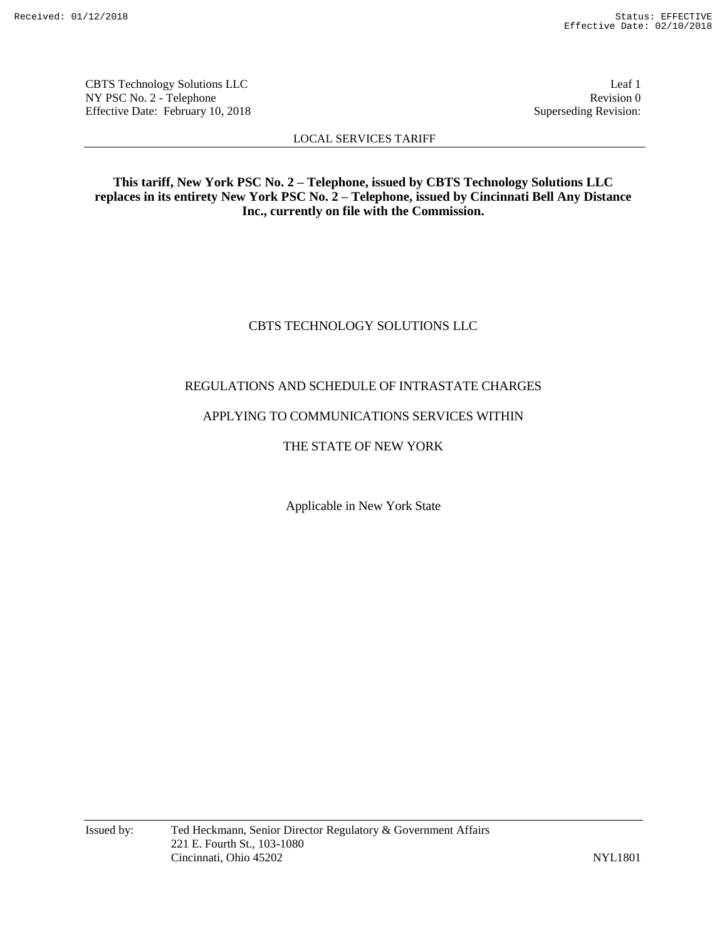CBTS Technology Solutions LLC Leaf 1 NY PSC No. 2 - Telephone Revision 0<br>Effective Date: February 10, 2018 Superseding Revision: Effective Date: February 10, 2018

LOCAL SERVICES TARIFF

**This tariff, New York PSC No. 2 – Telephone, issued by CBTS Technology Solutions LLC replaces in its entirety New York PSC No. 2 – Telephone, issued by Cincinnati Bell Any Distance Inc., currently on file with the Commission.**

# CBTS TECHNOLOGY SOLUTIONS LLC

# REGULATIONS AND SCHEDULE OF INTRASTATE CHARGES

# APPLYING TO COMMUNICATIONS SERVICES WITHIN

# THE STATE OF NEW YORK

Applicable in New York State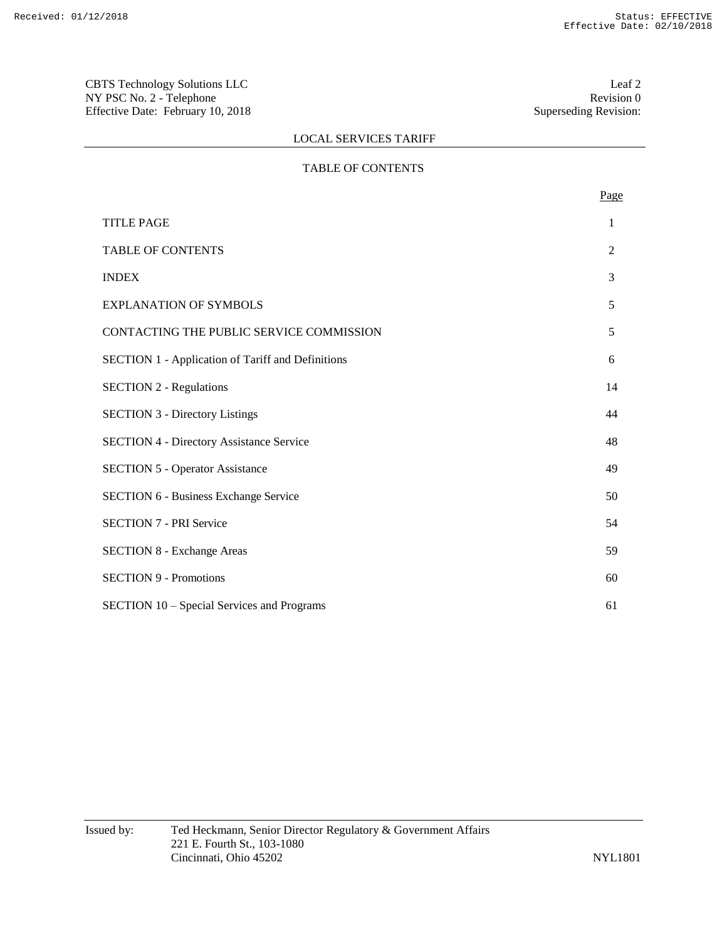CBTS Technology Solutions LLC<br>
NY PSC No. 2 - Telephone<br>
Revision 0 NY PSC No. 2 - Telephone Revision 0<br>Effective Date: February 10, 2018 Superseding Revision: Effective Date: February 10, 2018

# LOCAL SERVICES TARIFF

# TABLE OF CONTENTS

|                                                          | Page |
|----------------------------------------------------------|------|
| <b>TITLE PAGE</b>                                        | 1    |
| <b>TABLE OF CONTENTS</b>                                 | 2    |
| <b>INDEX</b>                                             | 3    |
| <b>EXPLANATION OF SYMBOLS</b>                            | 5    |
| CONTACTING THE PUBLIC SERVICE COMMISSION                 | 5    |
| <b>SECTION 1 - Application of Tariff and Definitions</b> | 6    |
| <b>SECTION 2 - Regulations</b>                           | 14   |
| <b>SECTION 3 - Directory Listings</b>                    | 44   |
| <b>SECTION 4 - Directory Assistance Service</b>          | 48   |
| <b>SECTION 5 - Operator Assistance</b>                   | 49   |
| <b>SECTION 6 - Business Exchange Service</b>             | 50   |
| <b>SECTION 7 - PRI Service</b>                           | 54   |
| <b>SECTION 8 - Exchange Areas</b>                        | 59   |
| <b>SECTION 9 - Promotions</b>                            | 60   |
| SECTION 10 - Special Services and Programs               | 61   |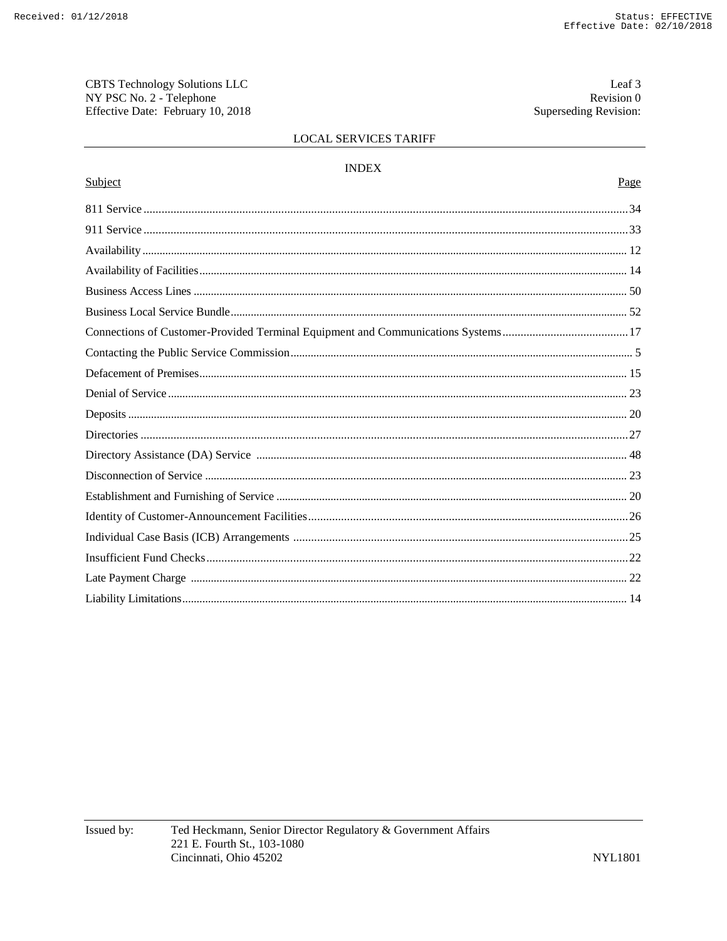CBTS Technology Solutions LLC NY PSC No. 2 - Telephone Effective Date: February 10, 2018

Leaf 3 Revision 0 Superseding Revision:

# LOCAL SERVICES TARIFF

#### $\ensuremath{\mathsf{INDEX}}$

# Page

| Subject                                                                          | Page |
|----------------------------------------------------------------------------------|------|
|                                                                                  |      |
|                                                                                  |      |
|                                                                                  |      |
|                                                                                  |      |
|                                                                                  |      |
|                                                                                  |      |
| Connections of Customer-Provided Terminal Equipment and Communications Systems17 |      |
|                                                                                  |      |
|                                                                                  |      |
|                                                                                  |      |
|                                                                                  |      |
|                                                                                  |      |
|                                                                                  |      |
|                                                                                  |      |
|                                                                                  |      |
|                                                                                  |      |
|                                                                                  |      |
|                                                                                  |      |
|                                                                                  |      |
|                                                                                  |      |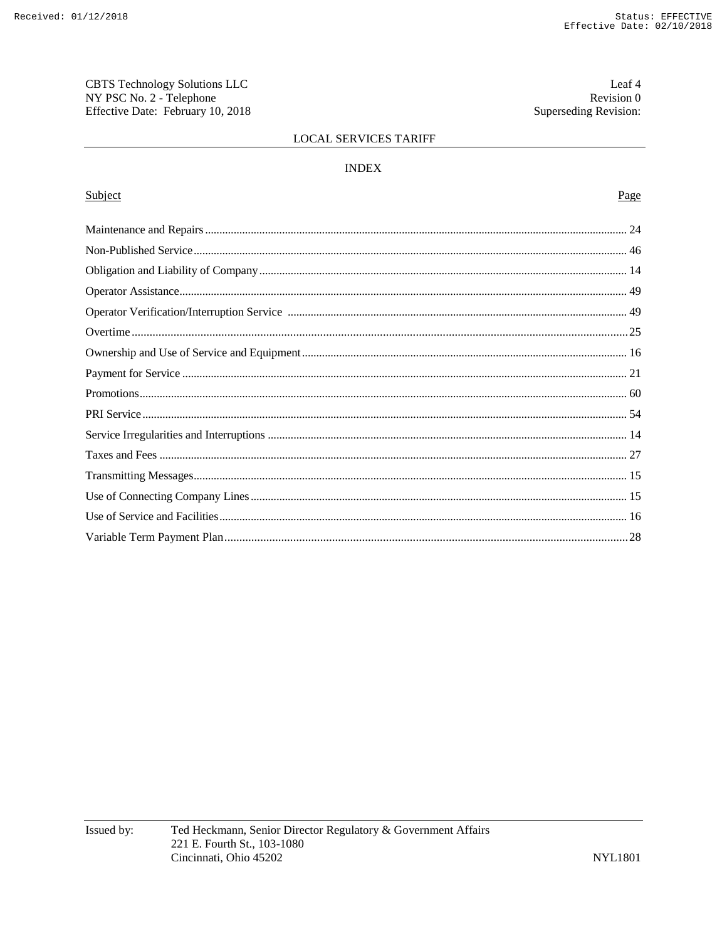CBTS Technology Solutions LLC NY PSC No. 2 - Telephone Effective Date: February 10, 2018

Leaf 4 Revision 0 Superseding Revision:

# LOCAL SERVICES TARIFF

# $\ensuremath{\mathsf{INDEX}}$

# Subject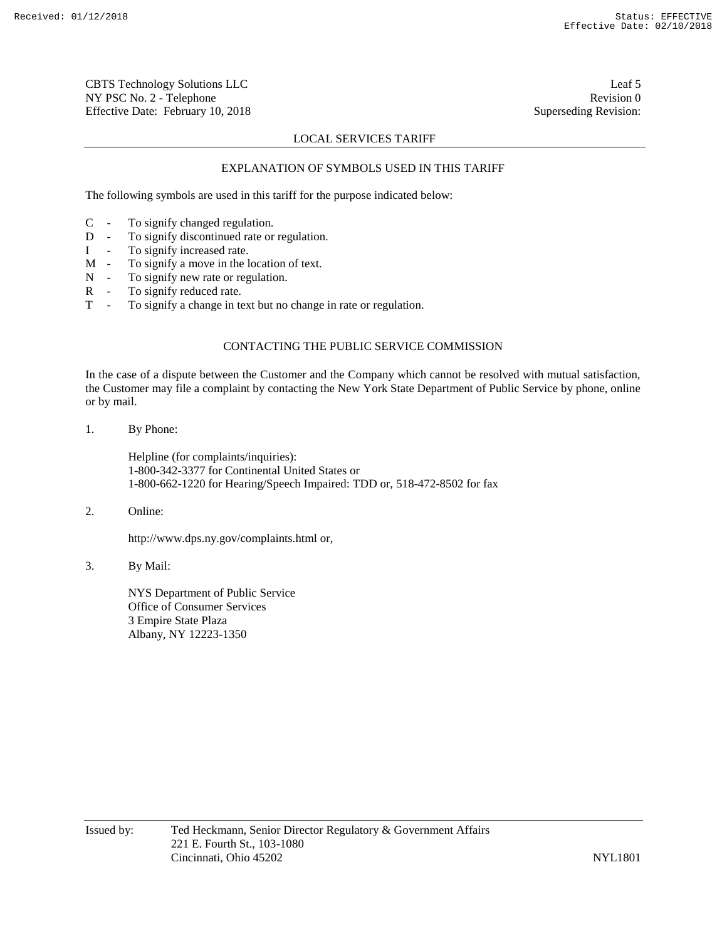CBTS Technology Solutions LLC Leaf 5 NY PSC No. 2 - Telephone Revision 0 Effective Date: February 10, 2018 Superseding Revision:

# LOCAL SERVICES TARIFF

# EXPLANATION OF SYMBOLS USED IN THIS TARIFF

The following symbols are used in this tariff for the purpose indicated below:

- C To signify changed regulation.
- D To signify discontinued rate or regulation.
- I To signify increased rate.
- M To signify a move in the location of text.
- N To signify new rate or regulation.
- R To signify reduced rate.
- T To signify a change in text but no change in rate or regulation.

# CONTACTING THE PUBLIC SERVICE COMMISSION

In the case of a dispute between the Customer and the Company which cannot be resolved with mutual satisfaction, the Customer may file a complaint by contacting the New York State Department of Public Service by phone, online or by mail.

1. By Phone:

Helpline (for complaints/inquiries): 1-800-342-3377 for Continental United States or 1-800-662-1220 for Hearing/Speech Impaired: TDD or, 518-472-8502 for fax

2. Online:

http://www.dps.ny.gov/complaints.html or,

3. By Mail:

NYS Department of Public Service Office of Consumer Services 3 Empire State Plaza Albany, NY 12223-1350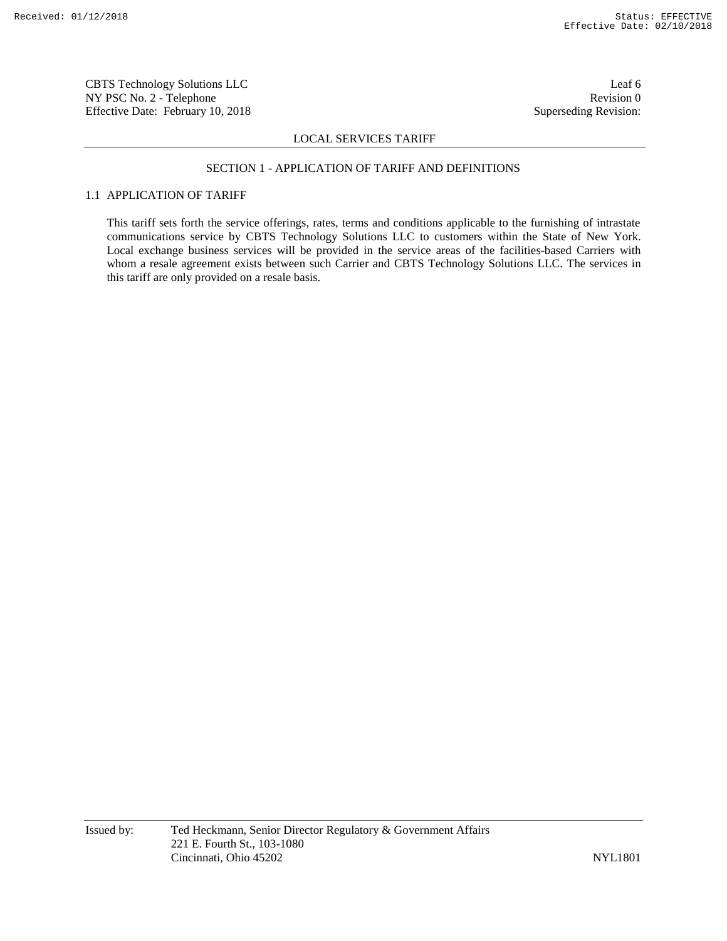CBTS Technology Solutions LLC Leaf 6 NY PSC No. 2 - Telephone Revision 0 Effective Date: February 10, 2018 Superseding Revision:

### LOCAL SERVICES TARIFF

#### SECTION 1 - APPLICATION OF TARIFF AND DEFINITIONS

# 1.1 APPLICATION OF TARIFF

This tariff sets forth the service offerings, rates, terms and conditions applicable to the furnishing of intrastate communications service by CBTS Technology Solutions LLC to customers within the State of New York. Local exchange business services will be provided in the service areas of the facilities-based Carriers with whom a resale agreement exists between such Carrier and CBTS Technology Solutions LLC. The services in this tariff are only provided on a resale basis.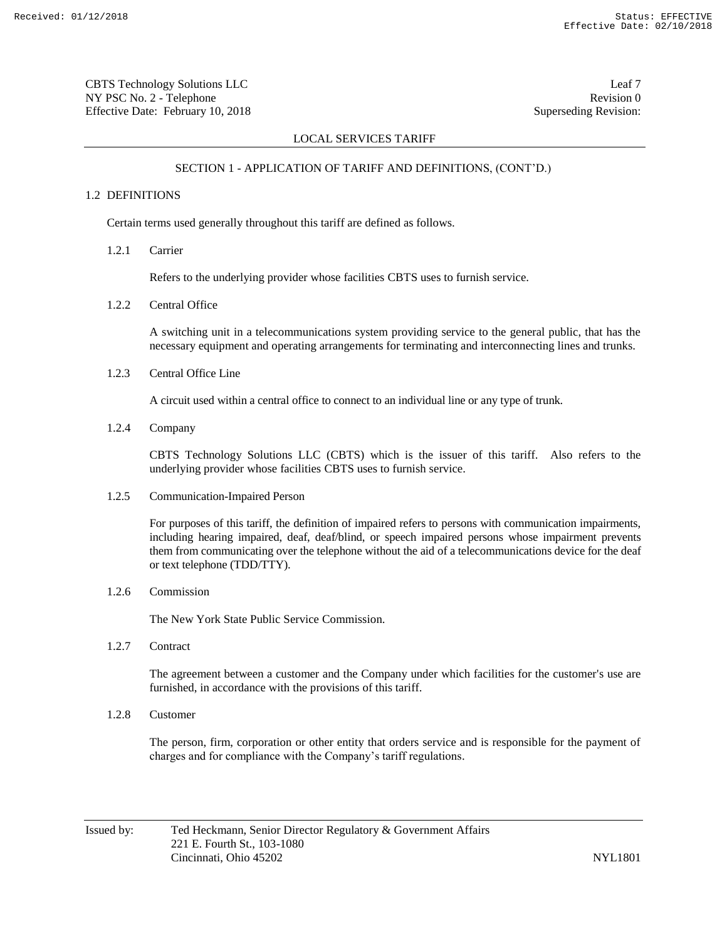CBTS Technology Solutions LLC Leaf 7 NY PSC No. 2 - Telephone Revision 0 Effective Date: February 10, 2018 Superseding Revision:

# LOCAL SERVICES TARIFF

# SECTION 1 - APPLICATION OF TARIFF AND DEFINITIONS, (CONT'D.)

# 1.2 DEFINITIONS

Certain terms used generally throughout this tariff are defined as follows.

1.2.1 Carrier

Refers to the underlying provider whose facilities CBTS uses to furnish service.

1.2.2 Central Office

A switching unit in a telecommunications system providing service to the general public, that has the necessary equipment and operating arrangements for terminating and interconnecting lines and trunks.

1.2.3 Central Office Line

A circuit used within a central office to connect to an individual line or any type of trunk.

1.2.4 Company

CBTS Technology Solutions LLC (CBTS) which is the issuer of this tariff. Also refers to the underlying provider whose facilities CBTS uses to furnish service.

1.2.5 Communication-Impaired Person

For purposes of this tariff, the definition of impaired refers to persons with communication impairments, including hearing impaired, deaf, deaf/blind, or speech impaired persons whose impairment prevents them from communicating over the telephone without the aid of a telecommunications device for the deaf or text telephone (TDD/TTY).

1.2.6 Commission

The New York State Public Service Commission.

1.2.7 Contract

The agreement between a customer and the Company under which facilities for the customer's use are furnished, in accordance with the provisions of this tariff.

1.2.8 Customer

The person, firm, corporation or other entity that orders service and is responsible for the payment of charges and for compliance with the Company's tariff regulations.

Issued by: Ted Heckmann, Senior Director Regulatory & Government Affairs 221 E. Fourth St., 103-1080 Cincinnati, Ohio 45202 NYL1801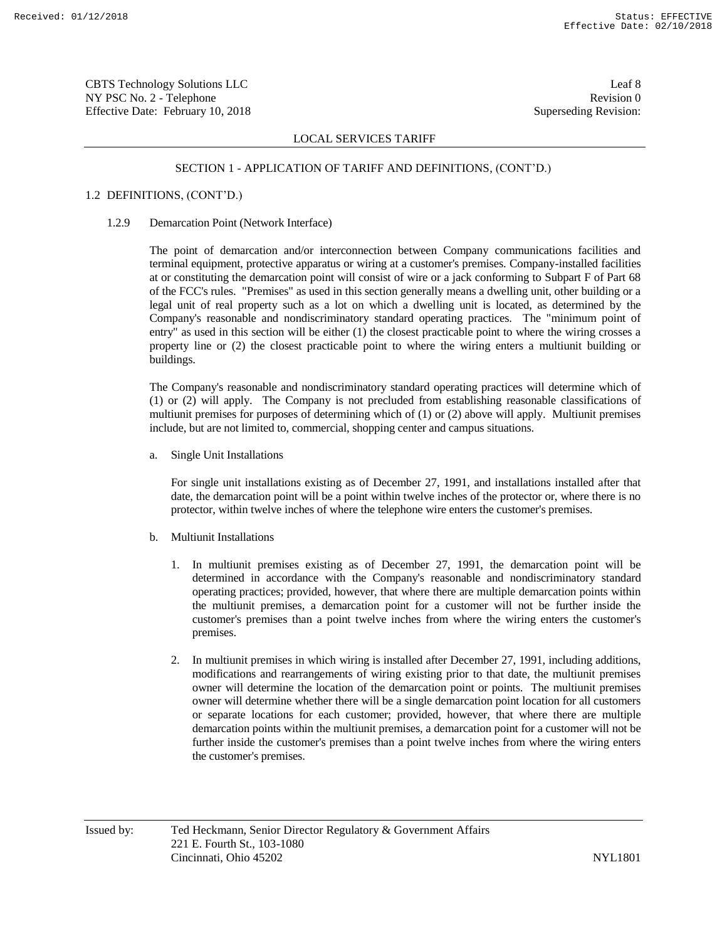CBTS Technology Solutions LLC Leaf 8 NY PSC No. 2 - Telephone Revision 0 Effective Date: February 10, 2018 Superseding Revision:

# LOCAL SERVICES TARIFF

### SECTION 1 - APPLICATION OF TARIFF AND DEFINITIONS, (CONT'D.)

# 1.2 DEFINITIONS, (CONT'D.)

1.2.9 Demarcation Point (Network Interface)

The point of demarcation and/or interconnection between Company communications facilities and terminal equipment, protective apparatus or wiring at a customer's premises. Company-installed facilities at or constituting the demarcation point will consist of wire or a jack conforming to Subpart F of Part 68 of the FCC's rules. "Premises" as used in this section generally means a dwelling unit, other building or a legal unit of real property such as a lot on which a dwelling unit is located, as determined by the Company's reasonable and nondiscriminatory standard operating practices. The "minimum point of entry" as used in this section will be either (1) the closest practicable point to where the wiring crosses a property line or (2) the closest practicable point to where the wiring enters a multiunit building or buildings.

The Company's reasonable and nondiscriminatory standard operating practices will determine which of (1) or (2) will apply. The Company is not precluded from establishing reasonable classifications of multiunit premises for purposes of determining which of (1) or (2) above will apply. Multiunit premises include, but are not limited to, commercial, shopping center and campus situations.

a. Single Unit Installations

For single unit installations existing as of December 27, 1991, and installations installed after that date, the demarcation point will be a point within twelve inches of the protector or, where there is no protector, within twelve inches of where the telephone wire enters the customer's premises.

- b. Multiunit Installations
	- 1. In multiunit premises existing as of December 27, 1991, the demarcation point will be determined in accordance with the Company's reasonable and nondiscriminatory standard operating practices; provided, however, that where there are multiple demarcation points within the multiunit premises, a demarcation point for a customer will not be further inside the customer's premises than a point twelve inches from where the wiring enters the customer's premises.
	- 2. In multiunit premises in which wiring is installed after December 27, 1991, including additions, modifications and rearrangements of wiring existing prior to that date, the multiunit premises owner will determine the location of the demarcation point or points. The multiunit premises owner will determine whether there will be a single demarcation point location for all customers or separate locations for each customer; provided, however, that where there are multiple demarcation points within the multiunit premises, a demarcation point for a customer will not be further inside the customer's premises than a point twelve inches from where the wiring enters the customer's premises.

Issued by: Ted Heckmann, Senior Director Regulatory & Government Affairs 221 E. Fourth St., 103-1080 Cincinnati, Ohio 45202 NYL1801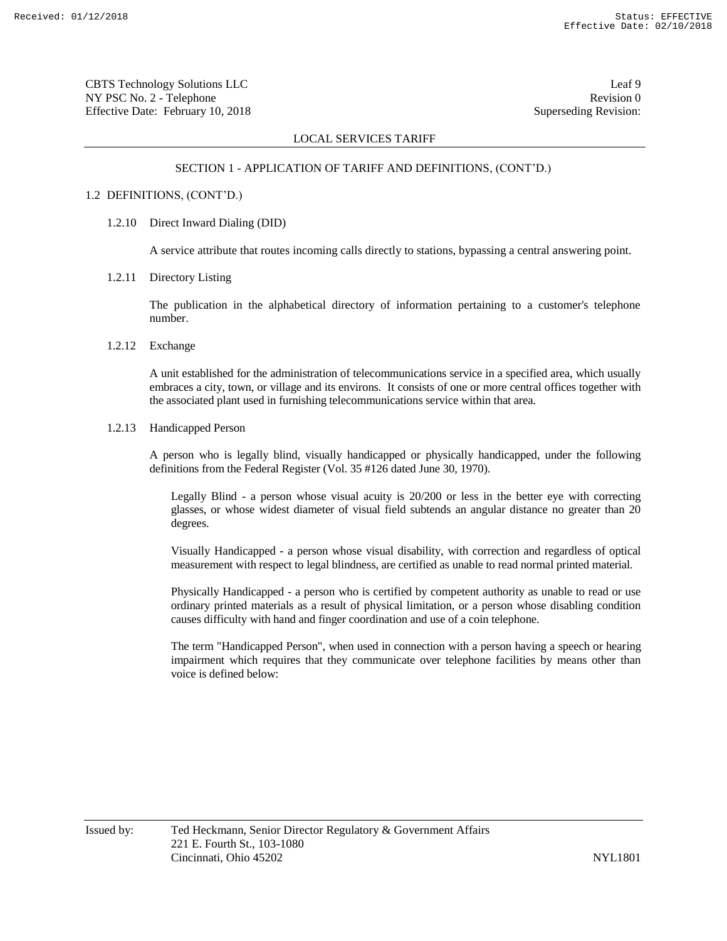CBTS Technology Solutions LLC Leaf 9 NY PSC No. 2 - Telephone Revision 0 Effective Date: February 10, 2018 Superseding Revision:

# LOCAL SERVICES TARIFF

#### SECTION 1 - APPLICATION OF TARIFF AND DEFINITIONS, (CONT'D.)

# 1.2 DEFINITIONS, (CONT'D.)

1.2.10 Direct Inward Dialing (DID)

A service attribute that routes incoming calls directly to stations, bypassing a central answering point.

1.2.11 Directory Listing

The publication in the alphabetical directory of information pertaining to a customer's telephone number.

1.2.12 Exchange

A unit established for the administration of telecommunications service in a specified area, which usually embraces a city, town, or village and its environs. It consists of one or more central offices together with the associated plant used in furnishing telecommunications service within that area.

1.2.13 Handicapped Person

A person who is legally blind, visually handicapped or physically handicapped, under the following definitions from the Federal Register (Vol. 35 #126 dated June 30, 1970).

Legally Blind - a person whose visual acuity is 20/200 or less in the better eye with correcting glasses, or whose widest diameter of visual field subtends an angular distance no greater than 20 degrees.

Visually Handicapped - a person whose visual disability, with correction and regardless of optical measurement with respect to legal blindness, are certified as unable to read normal printed material.

Physically Handicapped - a person who is certified by competent authority as unable to read or use ordinary printed materials as a result of physical limitation, or a person whose disabling condition causes difficulty with hand and finger coordination and use of a coin telephone.

The term "Handicapped Person", when used in connection with a person having a speech or hearing impairment which requires that they communicate over telephone facilities by means other than voice is defined below: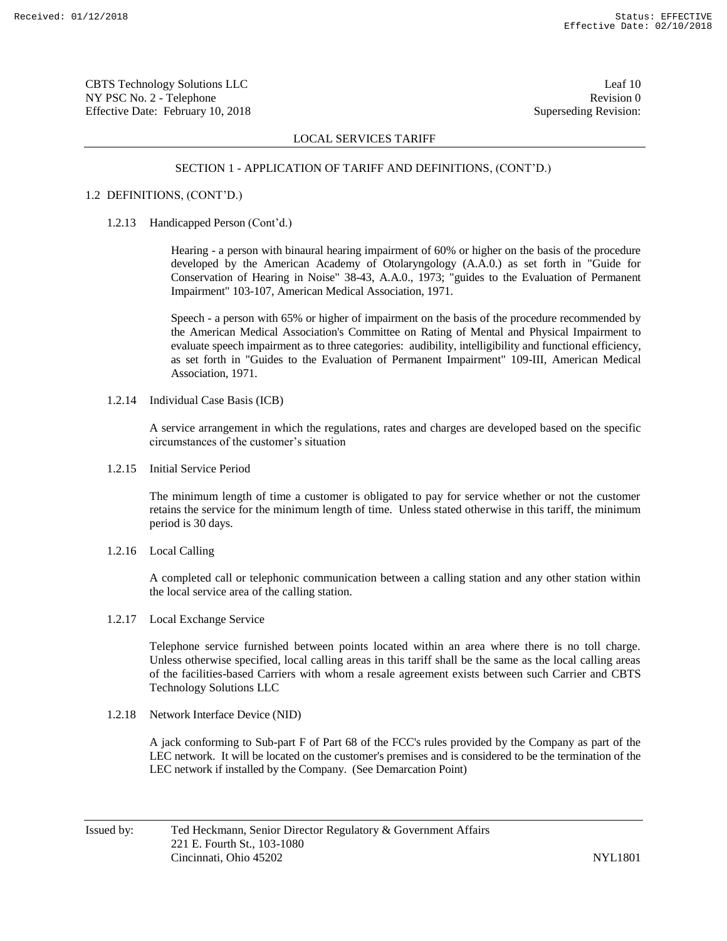CBTS Technology Solutions LLC Leaf 10 NY PSC No. 2 - Telephone Revision 0 Effective Date: February 10, 2018 Superseding Revision:

# LOCAL SERVICES TARIFF

#### SECTION 1 - APPLICATION OF TARIFF AND DEFINITIONS, (CONT'D.)

## 1.2 DEFINITIONS, (CONT'D.)

1.2.13 Handicapped Person (Cont'd.)

Hearing - a person with binaural hearing impairment of 60% or higher on the basis of the procedure developed by the American Academy of Otolaryngology (A.A.0.) as set forth in "Guide for Conservation of Hearing in Noise" 38-43, A.A.0., 1973; "guides to the Evaluation of Permanent Impairment" 103-107, American Medical Association, 1971.

Speech - a person with 65% or higher of impairment on the basis of the procedure recommended by the American Medical Association's Committee on Rating of Mental and Physical Impairment to evaluate speech impairment as to three categories: audibility, intelligibility and functional efficiency, as set forth in "Guides to the Evaluation of Permanent Impairment" 109-III, American Medical Association, 1971.

1.2.14 Individual Case Basis (ICB)

A service arrangement in which the regulations, rates and charges are developed based on the specific circumstances of the customer's situation

1.2.15 Initial Service Period

The minimum length of time a customer is obligated to pay for service whether or not the customer retains the service for the minimum length of time. Unless stated otherwise in this tariff, the minimum period is 30 days.

1.2.16 Local Calling

A completed call or telephonic communication between a calling station and any other station within the local service area of the calling station.

1.2.17 Local Exchange Service

Telephone service furnished between points located within an area where there is no toll charge. Unless otherwise specified, local calling areas in this tariff shall be the same as the local calling areas of the facilities-based Carriers with whom a resale agreement exists between such Carrier and CBTS Technology Solutions LLC

1.2.18 Network Interface Device (NID)

A jack conforming to Sub-part F of Part 68 of the FCC's rules provided by the Company as part of the LEC network. It will be located on the customer's premises and is considered to be the termination of the LEC network if installed by the Company. (See Demarcation Point)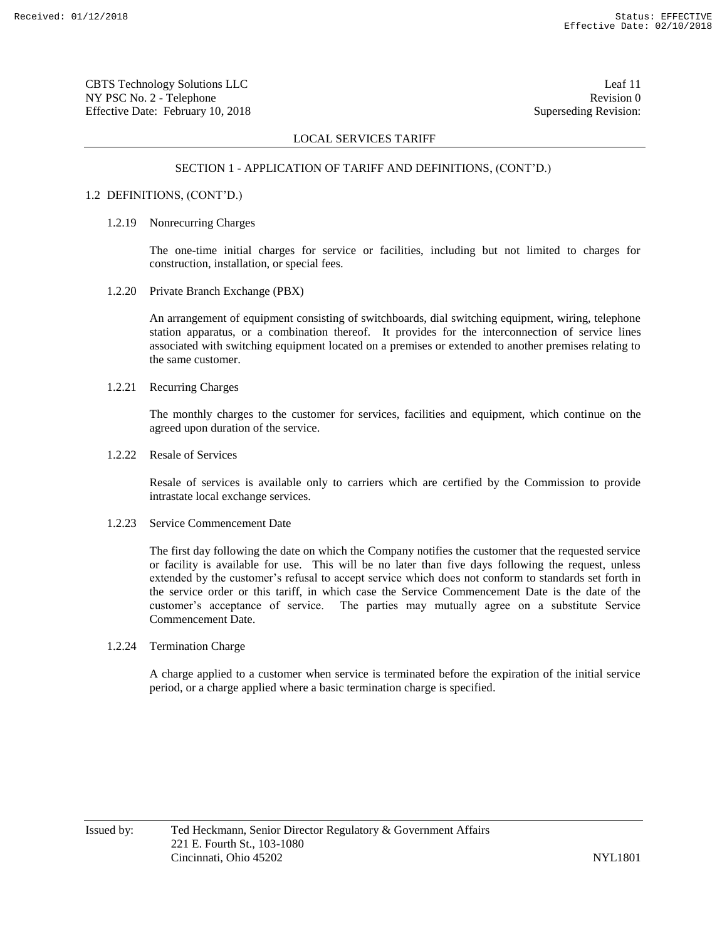CBTS Technology Solutions LLC Leaf 11 NY PSC No. 2 - Telephone Revision 0 Effective Date: February 10, 2018 Superseding Revision:

# LOCAL SERVICES TARIFF

#### SECTION 1 - APPLICATION OF TARIFF AND DEFINITIONS, (CONT'D.)

# 1.2 DEFINITIONS, (CONT'D.)

#### 1.2.19 Nonrecurring Charges

The one-time initial charges for service or facilities, including but not limited to charges for construction, installation, or special fees.

1.2.20 Private Branch Exchange (PBX)

An arrangement of equipment consisting of switchboards, dial switching equipment, wiring, telephone station apparatus, or a combination thereof. It provides for the interconnection of service lines associated with switching equipment located on a premises or extended to another premises relating to the same customer.

#### 1.2.21 Recurring Charges

The monthly charges to the customer for services, facilities and equipment, which continue on the agreed upon duration of the service.

1.2.22 Resale of Services

Resale of services is available only to carriers which are certified by the Commission to provide intrastate local exchange services.

1.2.23 Service Commencement Date

The first day following the date on which the Company notifies the customer that the requested service or facility is available for use. This will be no later than five days following the request, unless extended by the customer's refusal to accept service which does not conform to standards set forth in the service order or this tariff, in which case the Service Commencement Date is the date of the customer's acceptance of service. The parties may mutually agree on a substitute Service Commencement Date.

# 1.2.24 Termination Charge

A charge applied to a customer when service is terminated before the expiration of the initial service period, or a charge applied where a basic termination charge is specified.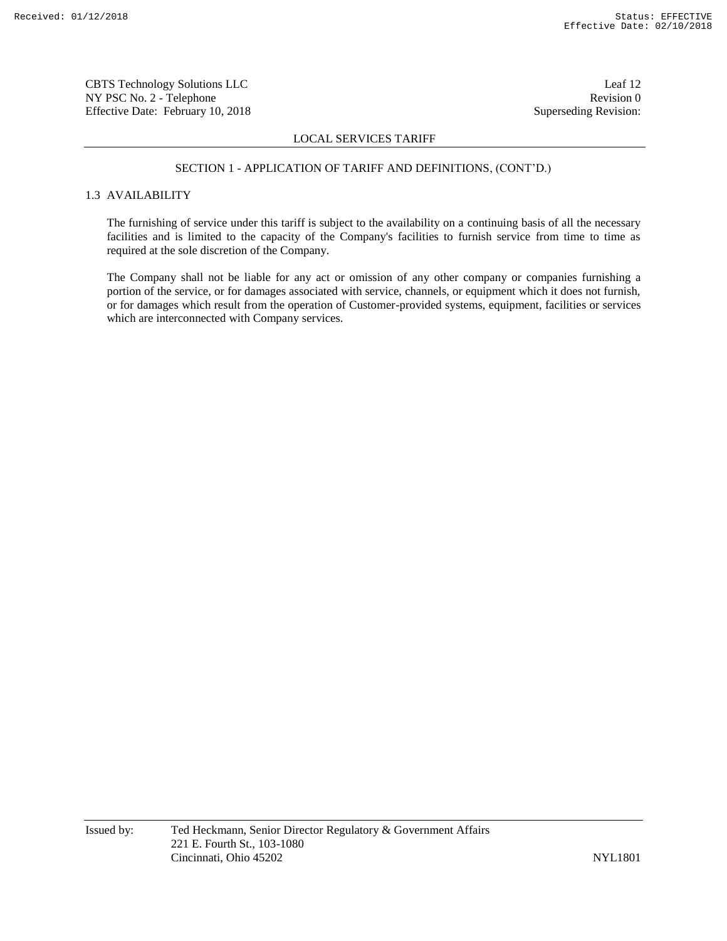CBTS Technology Solutions LLC Leaf 12 NY PSC No. 2 - Telephone Revision 0 Effective Date: February 10, 2018 Superseding Revision:

# LOCAL SERVICES TARIFF

#### SECTION 1 - APPLICATION OF TARIFF AND DEFINITIONS, (CONT'D.)

# 1.3 AVAILABILITY

The furnishing of service under this tariff is subject to the availability on a continuing basis of all the necessary facilities and is limited to the capacity of the Company's facilities to furnish service from time to time as required at the sole discretion of the Company.

The Company shall not be liable for any act or omission of any other company or companies furnishing a portion of the service, or for damages associated with service, channels, or equipment which it does not furnish, or for damages which result from the operation of Customer-provided systems, equipment, facilities or services which are interconnected with Company services.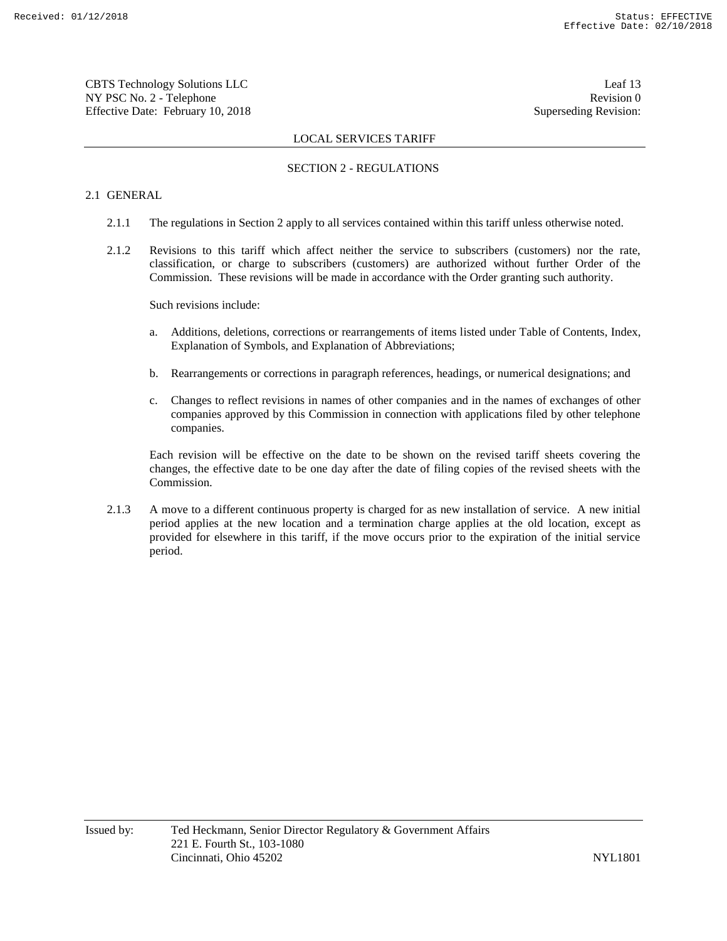CBTS Technology Solutions LLC Leaf 13 NY PSC No. 2 - Telephone Revision 0 Effective Date: February 10, 2018 Superseding Revision:

# LOCAL SERVICES TARIFF

# SECTION 2 - REGULATIONS

# 2.1 GENERAL

- 2.1.1 The regulations in Section 2 apply to all services contained within this tariff unless otherwise noted.
- 2.1.2 Revisions to this tariff which affect neither the service to subscribers (customers) nor the rate, classification, or charge to subscribers (customers) are authorized without further Order of the Commission. These revisions will be made in accordance with the Order granting such authority.

Such revisions include:

- a. Additions, deletions, corrections or rearrangements of items listed under Table of Contents, Index, Explanation of Symbols, and Explanation of Abbreviations;
- b. Rearrangements or corrections in paragraph references, headings, or numerical designations; and
- c. Changes to reflect revisions in names of other companies and in the names of exchanges of other companies approved by this Commission in connection with applications filed by other telephone companies.

Each revision will be effective on the date to be shown on the revised tariff sheets covering the changes, the effective date to be one day after the date of filing copies of the revised sheets with the Commission.

2.1.3 A move to a different continuous property is charged for as new installation of service. A new initial period applies at the new location and a termination charge applies at the old location, except as provided for elsewhere in this tariff, if the move occurs prior to the expiration of the initial service period.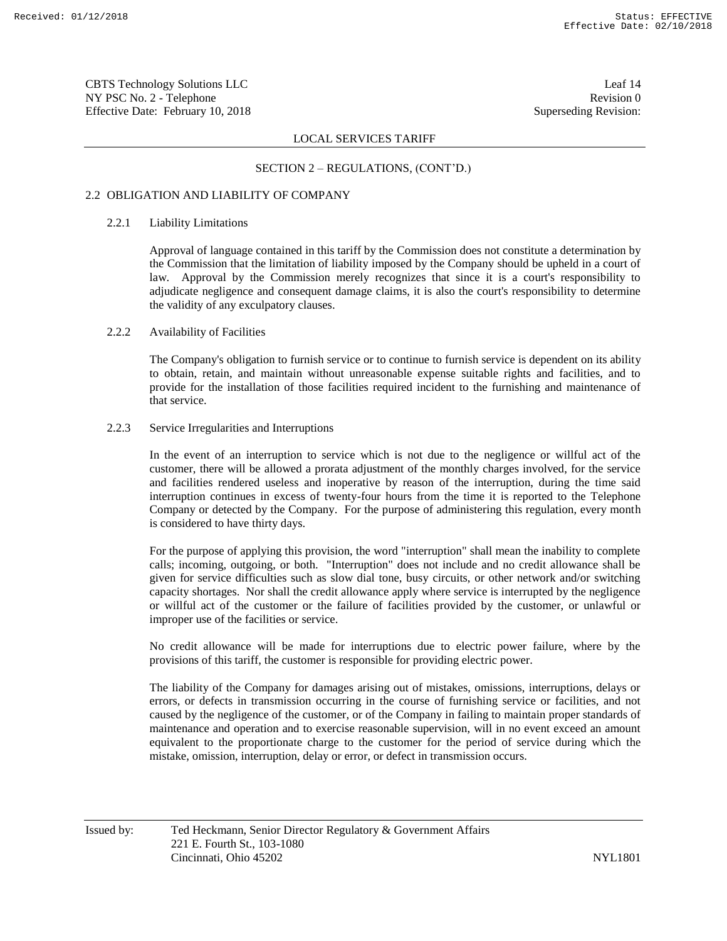CBTS Technology Solutions LLC Leaf 14 NY PSC No. 2 - Telephone Revision 0 Effective Date: February 10, 2018 Superseding Revision:

### LOCAL SERVICES TARIFF

#### SECTION 2 – REGULATIONS, (CONT'D.)

## 2.2 OBLIGATION AND LIABILITY OF COMPANY

#### 2.2.1 Liability Limitations

Approval of language contained in this tariff by the Commission does not constitute a determination by the Commission that the limitation of liability imposed by the Company should be upheld in a court of law. Approval by the Commission merely recognizes that since it is a court's responsibility to adjudicate negligence and consequent damage claims, it is also the court's responsibility to determine the validity of any exculpatory clauses.

# 2.2.2 Availability of Facilities

The Company's obligation to furnish service or to continue to furnish service is dependent on its ability to obtain, retain, and maintain without unreasonable expense suitable rights and facilities, and to provide for the installation of those facilities required incident to the furnishing and maintenance of that service.

#### 2.2.3 Service Irregularities and Interruptions

In the event of an interruption to service which is not due to the negligence or willful act of the customer, there will be allowed a prorata adjustment of the monthly charges involved, for the service and facilities rendered useless and inoperative by reason of the interruption, during the time said interruption continues in excess of twenty-four hours from the time it is reported to the Telephone Company or detected by the Company. For the purpose of administering this regulation, every month is considered to have thirty days.

For the purpose of applying this provision, the word "interruption" shall mean the inability to complete calls; incoming, outgoing, or both. "Interruption" does not include and no credit allowance shall be given for service difficulties such as slow dial tone, busy circuits, or other network and/or switching capacity shortages. Nor shall the credit allowance apply where service is interrupted by the negligence or willful act of the customer or the failure of facilities provided by the customer, or unlawful or improper use of the facilities or service.

No credit allowance will be made for interruptions due to electric power failure, where by the provisions of this tariff, the customer is responsible for providing electric power.

The liability of the Company for damages arising out of mistakes, omissions, interruptions, delays or errors, or defects in transmission occurring in the course of furnishing service or facilities, and not caused by the negligence of the customer, or of the Company in failing to maintain proper standards of maintenance and operation and to exercise reasonable supervision, will in no event exceed an amount equivalent to the proportionate charge to the customer for the period of service during which the mistake, omission, interruption, delay or error, or defect in transmission occurs.

Issued by: Ted Heckmann, Senior Director Regulatory & Government Affairs 221 E. Fourth St., 103-1080 Cincinnati, Ohio 45202 NYL1801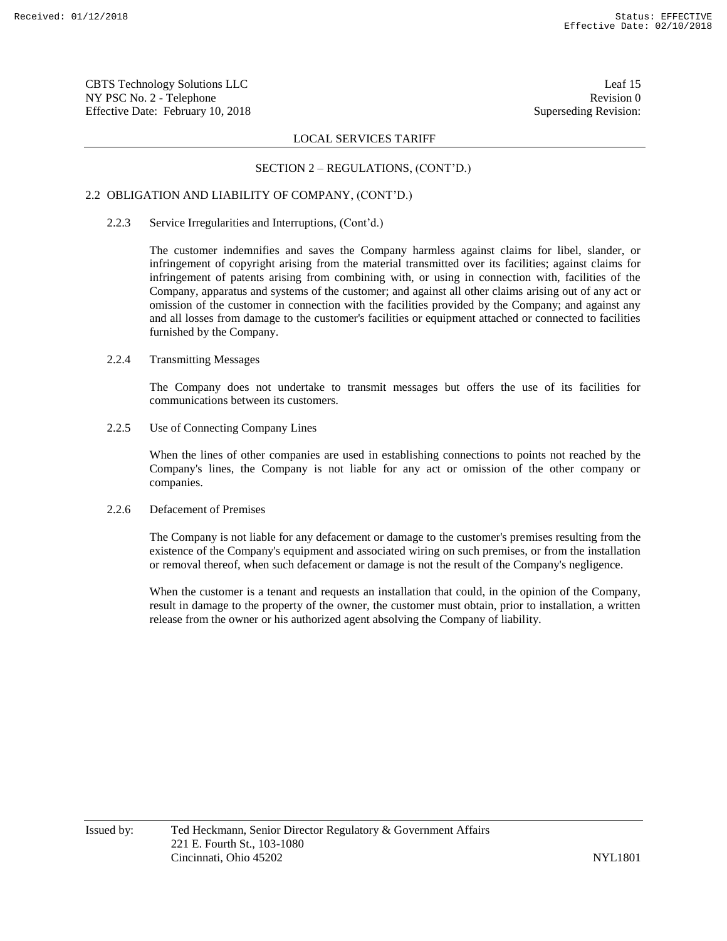CBTS Technology Solutions LLC Leaf 15 NY PSC No. 2 - Telephone Revision 0 Effective Date: February 10, 2018 Superseding Revision:

### LOCAL SERVICES TARIFF

### SECTION 2 – REGULATIONS, (CONT'D.)

# 2.2 OBLIGATION AND LIABILITY OF COMPANY, (CONT'D.)

#### 2.2.3 Service Irregularities and Interruptions, (Cont'd.)

The customer indemnifies and saves the Company harmless against claims for libel, slander, or infringement of copyright arising from the material transmitted over its facilities; against claims for infringement of patents arising from combining with, or using in connection with, facilities of the Company, apparatus and systems of the customer; and against all other claims arising out of any act or omission of the customer in connection with the facilities provided by the Company; and against any and all losses from damage to the customer's facilities or equipment attached or connected to facilities furnished by the Company.

# 2.2.4 Transmitting Messages

The Company does not undertake to transmit messages but offers the use of its facilities for communications between its customers.

# 2.2.5 Use of Connecting Company Lines

When the lines of other companies are used in establishing connections to points not reached by the Company's lines, the Company is not liable for any act or omission of the other company or companies.

# 2.2.6 Defacement of Premises

The Company is not liable for any defacement or damage to the customer's premises resulting from the existence of the Company's equipment and associated wiring on such premises, or from the installation or removal thereof, when such defacement or damage is not the result of the Company's negligence.

When the customer is a tenant and requests an installation that could, in the opinion of the Company, result in damage to the property of the owner, the customer must obtain, prior to installation, a written release from the owner or his authorized agent absolving the Company of liability.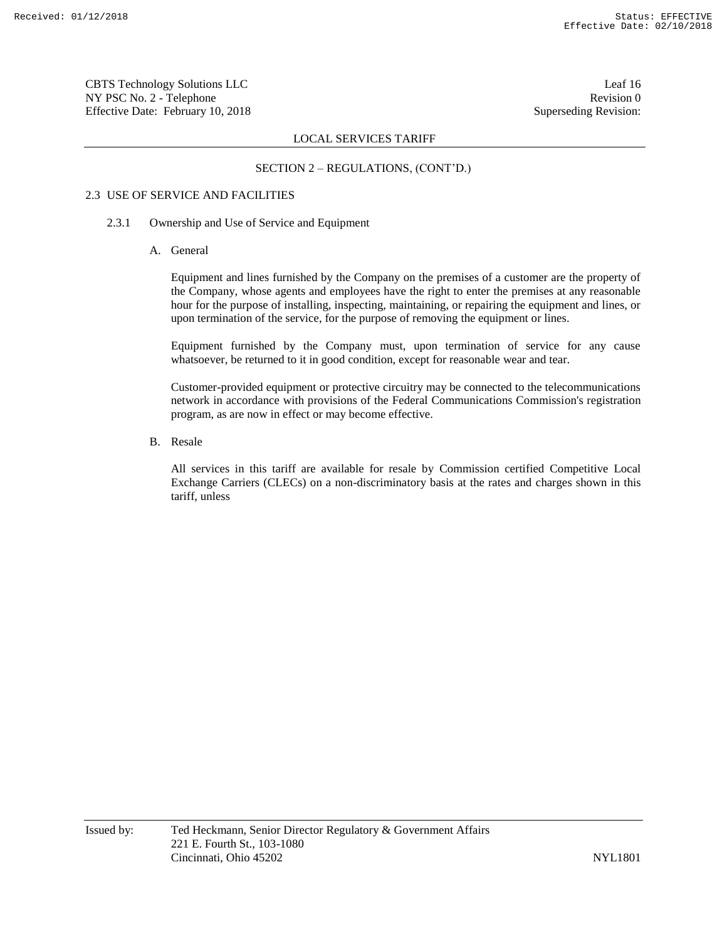CBTS Technology Solutions LLC Leaf 16 NY PSC No. 2 - Telephone Revision 0 Effective Date: February 10, 2018 Superseding Revision:

### LOCAL SERVICES TARIFF

#### SECTION 2 – REGULATIONS, (CONT'D.)

# 2.3 USE OF SERVICE AND FACILITIES

#### 2.3.1 Ownership and Use of Service and Equipment

A. General

Equipment and lines furnished by the Company on the premises of a customer are the property of the Company, whose agents and employees have the right to enter the premises at any reasonable hour for the purpose of installing, inspecting, maintaining, or repairing the equipment and lines, or upon termination of the service, for the purpose of removing the equipment or lines.

Equipment furnished by the Company must, upon termination of service for any cause whatsoever, be returned to it in good condition, except for reasonable wear and tear.

Customer-provided equipment or protective circuitry may be connected to the telecommunications network in accordance with provisions of the Federal Communications Commission's registration program, as are now in effect or may become effective.

B. Resale

All services in this tariff are available for resale by Commission certified Competitive Local Exchange Carriers (CLECs) on a non-discriminatory basis at the rates and charges shown in this tariff, unless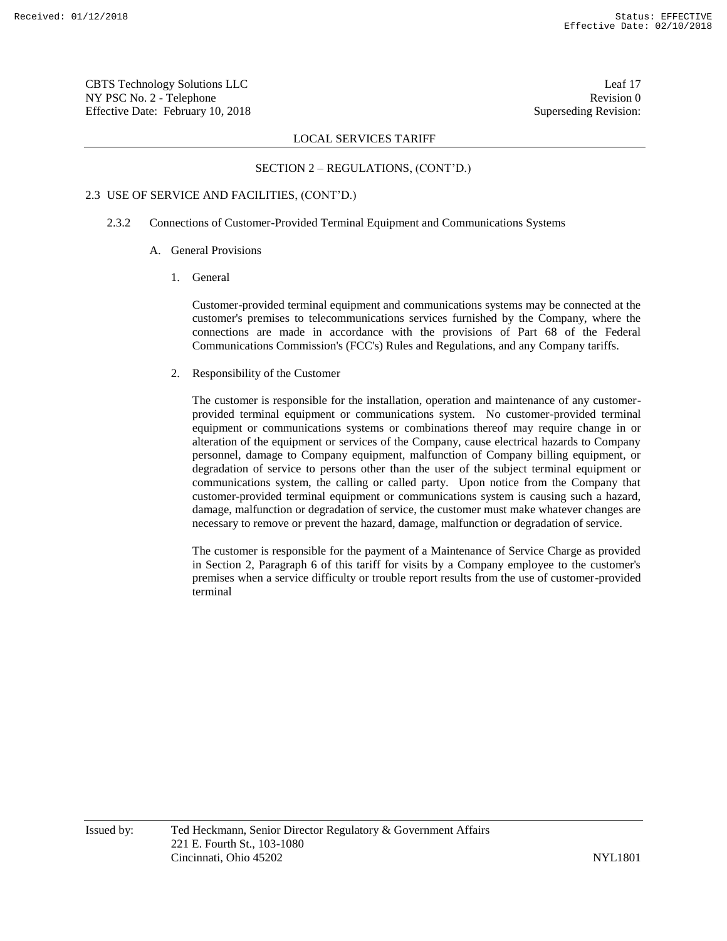CBTS Technology Solutions LLC Leaf 17 NY PSC No. 2 - Telephone Revision 0 Effective Date: February 10, 2018 Superseding Revision:

### LOCAL SERVICES TARIFF

#### SECTION 2 – REGULATIONS, (CONT'D.)

# 2.3 USE OF SERVICE AND FACILITIES, (CONT'D.)

#### 2.3.2 Connections of Customer-Provided Terminal Equipment and Communications Systems

- A. General Provisions
	- 1. General

Customer-provided terminal equipment and communications systems may be connected at the customer's premises to telecommunications services furnished by the Company, where the connections are made in accordance with the provisions of Part 68 of the Federal Communications Commission's (FCC's) Rules and Regulations, and any Company tariffs.

2. Responsibility of the Customer

The customer is responsible for the installation, operation and maintenance of any customerprovided terminal equipment or communications system. No customer-provided terminal equipment or communications systems or combinations thereof may require change in or alteration of the equipment or services of the Company, cause electrical hazards to Company personnel, damage to Company equipment, malfunction of Company billing equipment, or degradation of service to persons other than the user of the subject terminal equipment or communications system, the calling or called party. Upon notice from the Company that customer-provided terminal equipment or communications system is causing such a hazard, damage, malfunction or degradation of service, the customer must make whatever changes are necessary to remove or prevent the hazard, damage, malfunction or degradation of service.

The customer is responsible for the payment of a Maintenance of Service Charge as provided in Section 2, Paragraph 6 of this tariff for visits by a Company employee to the customer's premises when a service difficulty or trouble report results from the use of customer-provided terminal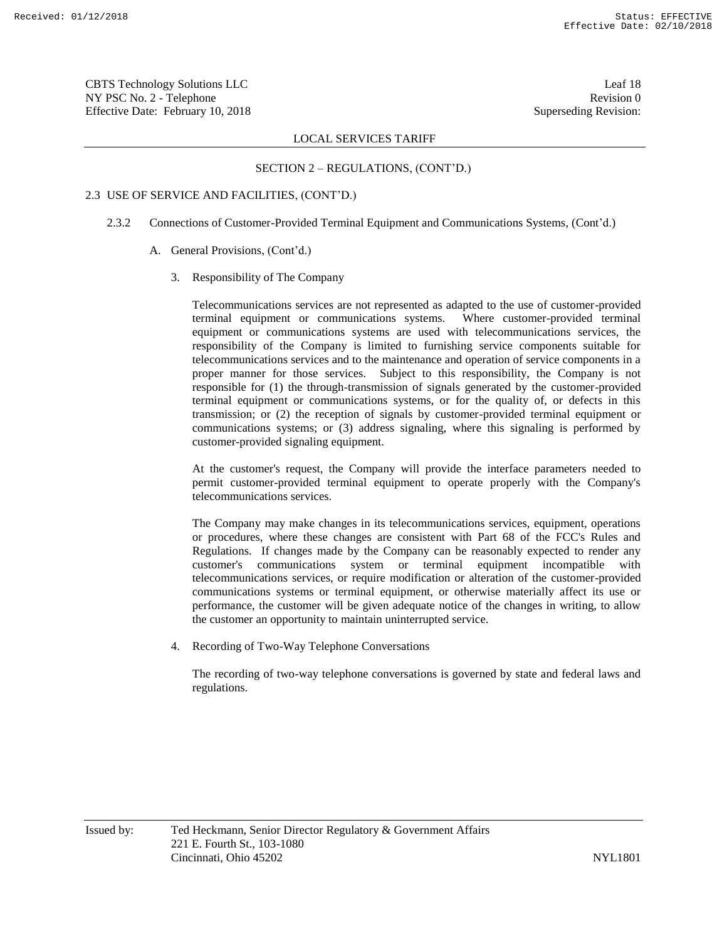CBTS Technology Solutions LLC Leaf 18 NY PSC No. 2 - Telephone Revision 0 Effective Date: February 10, 2018 Superseding Revision:

### LOCAL SERVICES TARIFF

#### SECTION 2 – REGULATIONS, (CONT'D.)

# 2.3 USE OF SERVICE AND FACILITIES, (CONT'D.)

- 2.3.2 Connections of Customer-Provided Terminal Equipment and Communications Systems, (Cont'd.)
	- A. General Provisions, (Cont'd.)
		- 3. Responsibility of The Company

Telecommunications services are not represented as adapted to the use of customer-provided terminal equipment or communications systems. Where customer-provided terminal equipment or communications systems are used with telecommunications services, the responsibility of the Company is limited to furnishing service components suitable for telecommunications services and to the maintenance and operation of service components in a proper manner for those services. Subject to this responsibility, the Company is not responsible for (1) the through-transmission of signals generated by the customer-provided terminal equipment or communications systems, or for the quality of, or defects in this transmission; or (2) the reception of signals by customer-provided terminal equipment or communications systems; or (3) address signaling, where this signaling is performed by customer-provided signaling equipment.

At the customer's request, the Company will provide the interface parameters needed to permit customer-provided terminal equipment to operate properly with the Company's telecommunications services.

The Company may make changes in its telecommunications services, equipment, operations or procedures, where these changes are consistent with Part 68 of the FCC's Rules and Regulations. If changes made by the Company can be reasonably expected to render any customer's communications system or terminal equipment incompatible with telecommunications services, or require modification or alteration of the customer-provided communications systems or terminal equipment, or otherwise materially affect its use or performance, the customer will be given adequate notice of the changes in writing, to allow the customer an opportunity to maintain uninterrupted service.

4. Recording of Two-Way Telephone Conversations

The recording of two-way telephone conversations is governed by state and federal laws and regulations.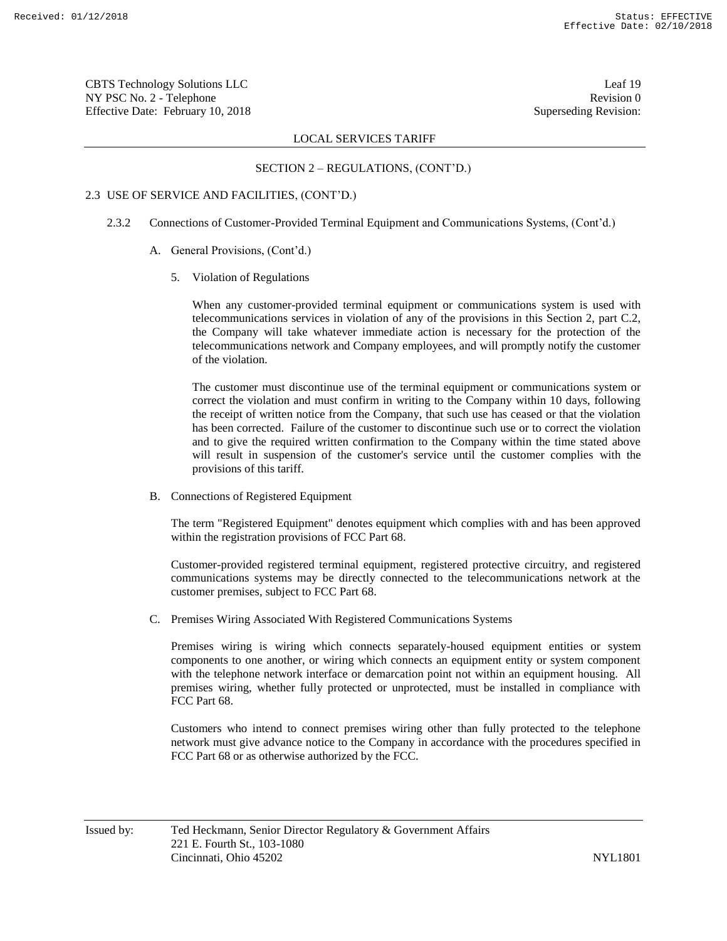CBTS Technology Solutions LLC Leaf 19 NY PSC No. 2 - Telephone Revision 0 Effective Date: February 10, 2018 Superseding Revision:

### LOCAL SERVICES TARIFF

#### SECTION 2 – REGULATIONS, (CONT'D.)

#### 2.3 USE OF SERVICE AND FACILITIES, (CONT'D.)

- 2.3.2 Connections of Customer-Provided Terminal Equipment and Communications Systems, (Cont'd.)
	- A. General Provisions, (Cont'd.)
		- 5. Violation of Regulations

When any customer-provided terminal equipment or communications system is used with telecommunications services in violation of any of the provisions in this Section 2, part C.2, the Company will take whatever immediate action is necessary for the protection of the telecommunications network and Company employees, and will promptly notify the customer of the violation.

The customer must discontinue use of the terminal equipment or communications system or correct the violation and must confirm in writing to the Company within 10 days, following the receipt of written notice from the Company, that such use has ceased or that the violation has been corrected. Failure of the customer to discontinue such use or to correct the violation and to give the required written confirmation to the Company within the time stated above will result in suspension of the customer's service until the customer complies with the provisions of this tariff.

B. Connections of Registered Equipment

The term "Registered Equipment" denotes equipment which complies with and has been approved within the registration provisions of FCC Part 68.

Customer-provided registered terminal equipment, registered protective circuitry, and registered communications systems may be directly connected to the telecommunications network at the customer premises, subject to FCC Part 68.

C. Premises Wiring Associated With Registered Communications Systems

Premises wiring is wiring which connects separately-housed equipment entities or system components to one another, or wiring which connects an equipment entity or system component with the telephone network interface or demarcation point not within an equipment housing. All premises wiring, whether fully protected or unprotected, must be installed in compliance with FCC Part 68.

Customers who intend to connect premises wiring other than fully protected to the telephone network must give advance notice to the Company in accordance with the procedures specified in FCC Part 68 or as otherwise authorized by the FCC.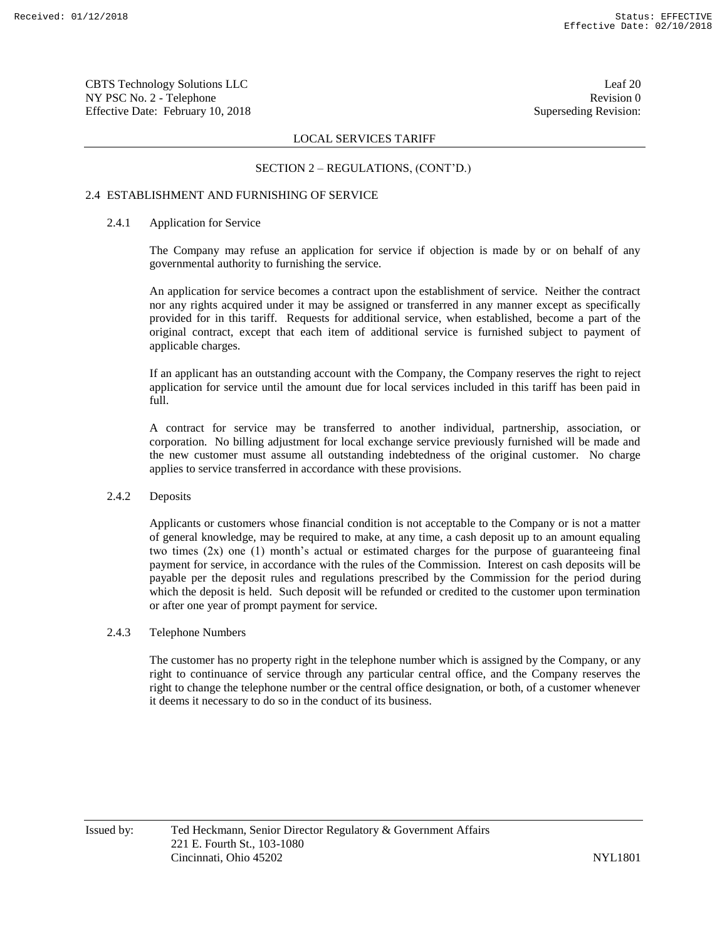CBTS Technology Solutions LLC Leaf 20 NY PSC No. 2 - Telephone Revision 0 Effective Date: February 10, 2018 Superseding Revision:

# LOCAL SERVICES TARIFF

#### SECTION 2 – REGULATIONS, (CONT'D.)

## 2.4 ESTABLISHMENT AND FURNISHING OF SERVICE

# 2.4.1 Application for Service

The Company may refuse an application for service if objection is made by or on behalf of any governmental authority to furnishing the service.

An application for service becomes a contract upon the establishment of service. Neither the contract nor any rights acquired under it may be assigned or transferred in any manner except as specifically provided for in this tariff. Requests for additional service, when established, become a part of the original contract, except that each item of additional service is furnished subject to payment of applicable charges.

If an applicant has an outstanding account with the Company, the Company reserves the right to reject application for service until the amount due for local services included in this tariff has been paid in full.

A contract for service may be transferred to another individual, partnership, association, or corporation. No billing adjustment for local exchange service previously furnished will be made and the new customer must assume all outstanding indebtedness of the original customer. No charge applies to service transferred in accordance with these provisions.

#### 2.4.2 Deposits

Applicants or customers whose financial condition is not acceptable to the Company or is not a matter of general knowledge, may be required to make, at any time, a cash deposit up to an amount equaling two times (2x) one (1) month's actual or estimated charges for the purpose of guaranteeing final payment for service, in accordance with the rules of the Commission. Interest on cash deposits will be payable per the deposit rules and regulations prescribed by the Commission for the period during which the deposit is held. Such deposit will be refunded or credited to the customer upon termination or after one year of prompt payment for service.

#### 2.4.3 Telephone Numbers

The customer has no property right in the telephone number which is assigned by the Company, or any right to continuance of service through any particular central office, and the Company reserves the right to change the telephone number or the central office designation, or both, of a customer whenever it deems it necessary to do so in the conduct of its business.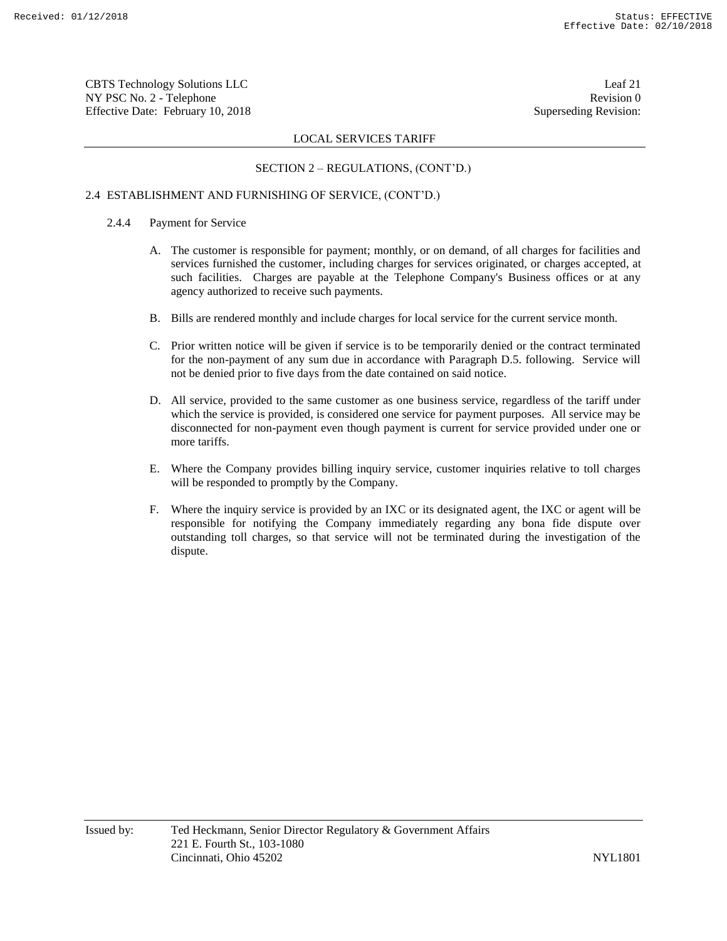CBTS Technology Solutions LLC Leaf 21 NY PSC No. 2 - Telephone Revision 0 Effective Date: February 10, 2018 Superseding Revision:

# LOCAL SERVICES TARIFF

# SECTION 2 – REGULATIONS, (CONT'D.)

# 2.4 ESTABLISHMENT AND FURNISHING OF SERVICE, (CONT'D.)

### 2.4.4 Payment for Service

- A. The customer is responsible for payment; monthly, or on demand, of all charges for facilities and services furnished the customer, including charges for services originated, or charges accepted, at such facilities. Charges are payable at the Telephone Company's Business offices or at any agency authorized to receive such payments.
- B. Bills are rendered monthly and include charges for local service for the current service month.
- C. Prior written notice will be given if service is to be temporarily denied or the contract terminated for the non-payment of any sum due in accordance with Paragraph D.5. following. Service will not be denied prior to five days from the date contained on said notice.
- D. All service, provided to the same customer as one business service, regardless of the tariff under which the service is provided, is considered one service for payment purposes. All service may be disconnected for non-payment even though payment is current for service provided under one or more tariffs.
- E. Where the Company provides billing inquiry service, customer inquiries relative to toll charges will be responded to promptly by the Company.
- F. Where the inquiry service is provided by an IXC or its designated agent, the IXC or agent will be responsible for notifying the Company immediately regarding any bona fide dispute over outstanding toll charges, so that service will not be terminated during the investigation of the dispute.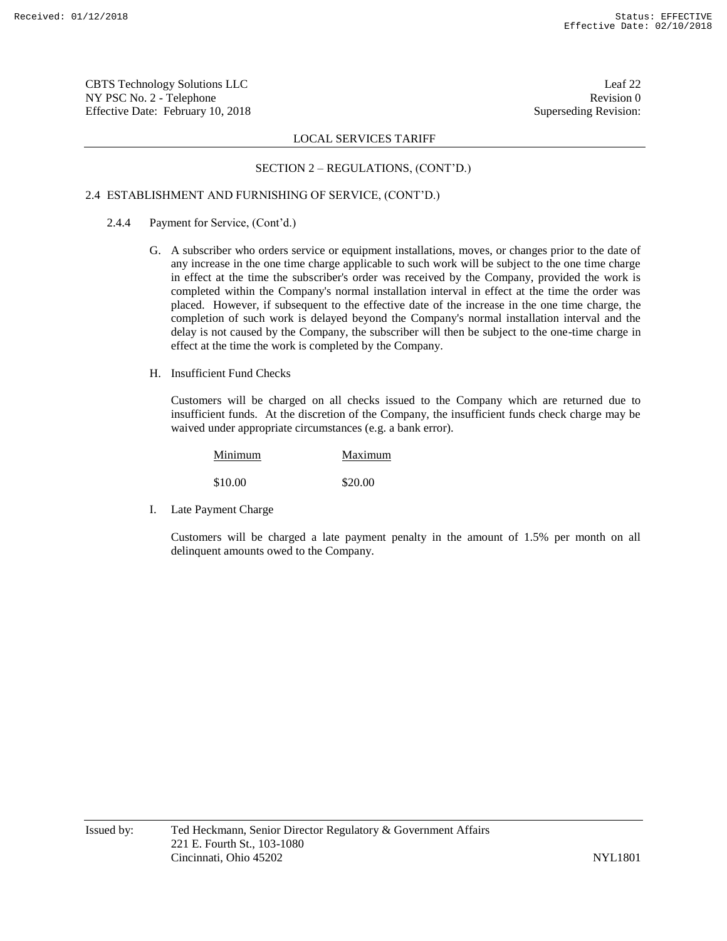CBTS Technology Solutions LLC Leaf 22 NY PSC No. 2 - Telephone Revision 0 Effective Date: February 10, 2018 Superseding Revision:

# LOCAL SERVICES TARIFF

#### SECTION 2 – REGULATIONS, (CONT'D.)

## 2.4 ESTABLISHMENT AND FURNISHING OF SERVICE, (CONT'D.)

- 2.4.4 Payment for Service, (Cont'd.)
	- G. A subscriber who orders service or equipment installations, moves, or changes prior to the date of any increase in the one time charge applicable to such work will be subject to the one time charge in effect at the time the subscriber's order was received by the Company, provided the work is completed within the Company's normal installation interval in effect at the time the order was placed. However, if subsequent to the effective date of the increase in the one time charge, the completion of such work is delayed beyond the Company's normal installation interval and the delay is not caused by the Company, the subscriber will then be subject to the one-time charge in effect at the time the work is completed by the Company.
	- H. Insufficient Fund Checks

Customers will be charged on all checks issued to the Company which are returned due to insufficient funds. At the discretion of the Company, the insufficient funds check charge may be waived under appropriate circumstances (e.g. a bank error).

| Minimum | Maximum |
|---------|---------|
| \$10.00 | \$20.00 |

I. Late Payment Charge

Customers will be charged a late payment penalty in the amount of 1.5% per month on all delinquent amounts owed to the Company.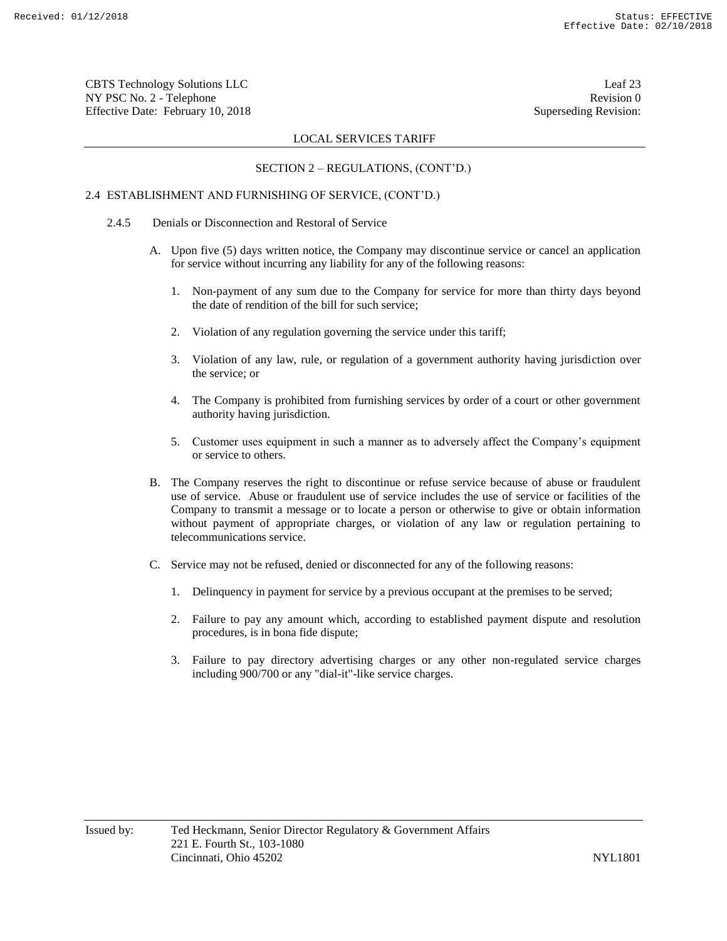CBTS Technology Solutions LLC Leaf 23 NY PSC No. 2 - Telephone Revision 0 Effective Date: February 10, 2018 Superseding Revision:

# LOCAL SERVICES TARIFF

# SECTION 2 – REGULATIONS, (CONT'D.)

# 2.4 ESTABLISHMENT AND FURNISHING OF SERVICE, (CONT'D.)

- 2.4.5 Denials or Disconnection and Restoral of Service
	- A. Upon five (5) days written notice, the Company may discontinue service or cancel an application for service without incurring any liability for any of the following reasons:
		- 1. Non-payment of any sum due to the Company for service for more than thirty days beyond the date of rendition of the bill for such service;
		- 2. Violation of any regulation governing the service under this tariff;
		- 3. Violation of any law, rule, or regulation of a government authority having jurisdiction over the service; or
		- 4. The Company is prohibited from furnishing services by order of a court or other government authority having jurisdiction.
		- 5. Customer uses equipment in such a manner as to adversely affect the Company's equipment or service to others.
	- B. The Company reserves the right to discontinue or refuse service because of abuse or fraudulent use of service. Abuse or fraudulent use of service includes the use of service or facilities of the Company to transmit a message or to locate a person or otherwise to give or obtain information without payment of appropriate charges, or violation of any law or regulation pertaining to telecommunications service.
	- C. Service may not be refused, denied or disconnected for any of the following reasons:
		- 1. Delinquency in payment for service by a previous occupant at the premises to be served;
		- 2. Failure to pay any amount which, according to established payment dispute and resolution procedures, is in bona fide dispute;
		- 3. Failure to pay directory advertising charges or any other non-regulated service charges including 900/700 or any "dial-it"-like service charges.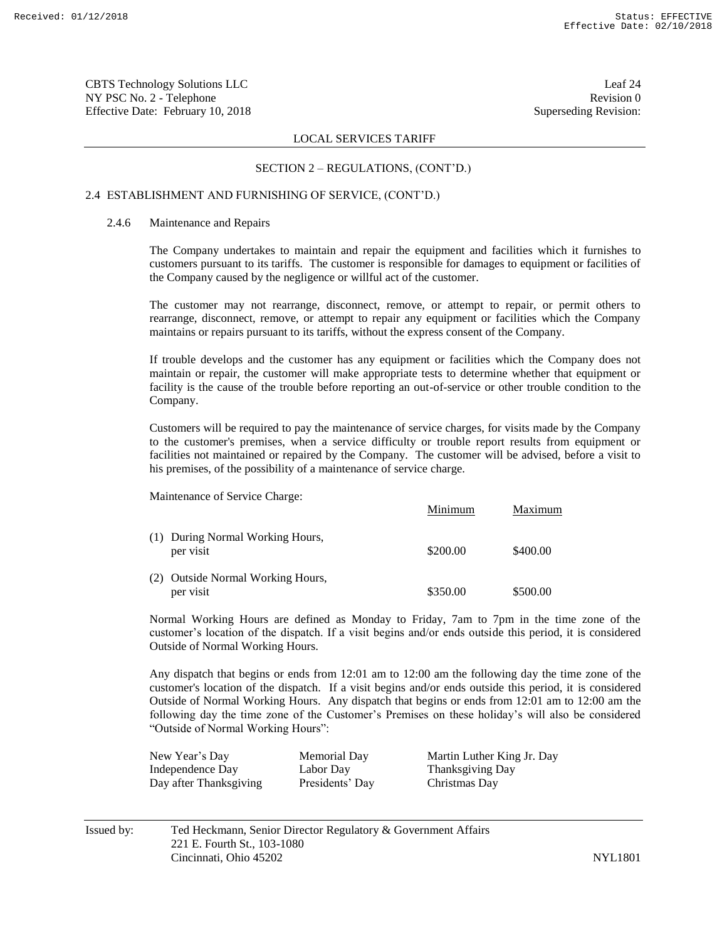CBTS Technology Solutions LLC Leaf 24 NY PSC No. 2 - Telephone Revision 0 Effective Date: February 10, 2018 Superseding Revision:

### LOCAL SERVICES TARIFF

#### SECTION 2 – REGULATIONS, (CONT'D.)

#### 2.4 ESTABLISHMENT AND FURNISHING OF SERVICE, (CONT'D.)

#### 2.4.6 Maintenance and Repairs

The Company undertakes to maintain and repair the equipment and facilities which it furnishes to customers pursuant to its tariffs. The customer is responsible for damages to equipment or facilities of the Company caused by the negligence or willful act of the customer.

The customer may not rearrange, disconnect, remove, or attempt to repair, or permit others to rearrange, disconnect, remove, or attempt to repair any equipment or facilities which the Company maintains or repairs pursuant to its tariffs, without the express consent of the Company.

If trouble develops and the customer has any equipment or facilities which the Company does not maintain or repair, the customer will make appropriate tests to determine whether that equipment or facility is the cause of the trouble before reporting an out-of-service or other trouble condition to the Company.

Customers will be required to pay the maintenance of service charges, for visits made by the Company to the customer's premises, when a service difficulty or trouble report results from equipment or facilities not maintained or repaired by the Company. The customer will be advised, before a visit to his premises, of the possibility of a maintenance of service charge.

Maintenance of Service Charge:

|                                                | Minimum  | Maximum  |
|------------------------------------------------|----------|----------|
| (1) During Normal Working Hours,<br>per visit  | \$200.00 | \$400.00 |
| (2) Outside Normal Working Hours,<br>per visit | \$350.00 | \$500.00 |

Normal Working Hours are defined as Monday to Friday, 7am to 7pm in the time zone of the customer's location of the dispatch. If a visit begins and/or ends outside this period, it is considered Outside of Normal Working Hours.

Any dispatch that begins or ends from 12:01 am to 12:00 am the following day the time zone of the customer's location of the dispatch. If a visit begins and/or ends outside this period, it is considered Outside of Normal Working Hours. Any dispatch that begins or ends from 12:01 am to 12:00 am the following day the time zone of the Customer's Premises on these holiday's will also be considered "Outside of Normal Working Hours":

| New Year's Day         | Memorial Day    | Martin Luther King Jr. Day |
|------------------------|-----------------|----------------------------|
| Independence Day       | Labor Day       | Thanksgiving Day           |
| Day after Thanksgiving | Presidents' Day | Christmas Day              |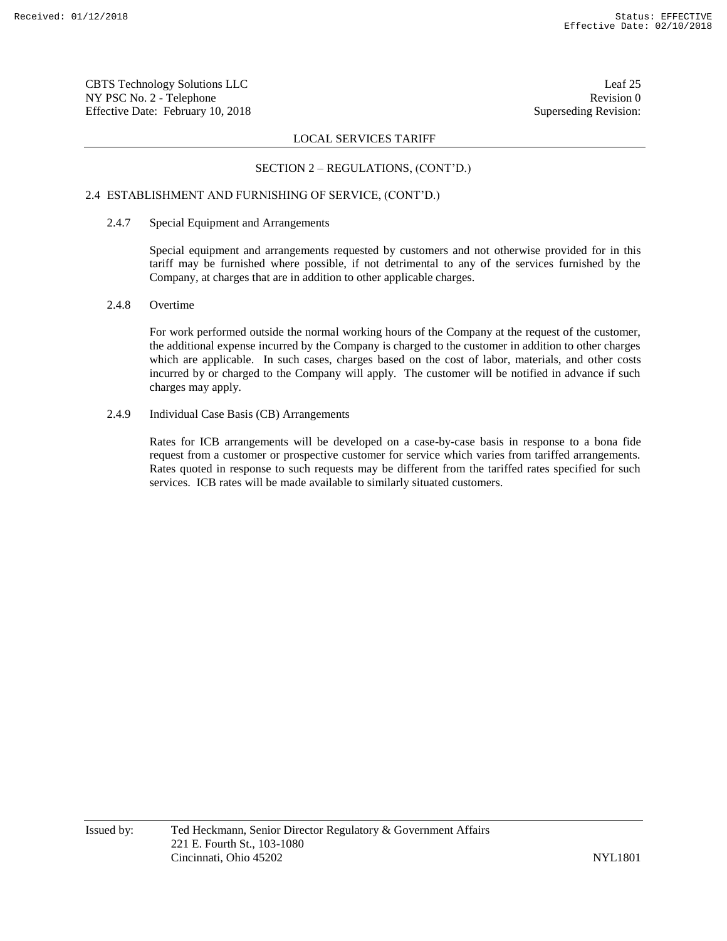CBTS Technology Solutions LLC Leaf 25 NY PSC No. 2 - Telephone Revision 0 Effective Date: February 10, 2018 Superseding Revision:

# LOCAL SERVICES TARIFF

### SECTION 2 – REGULATIONS, (CONT'D.)

# 2.4 ESTABLISHMENT AND FURNISHING OF SERVICE, (CONT'D.)

#### 2.4.7 Special Equipment and Arrangements

Special equipment and arrangements requested by customers and not otherwise provided for in this tariff may be furnished where possible, if not detrimental to any of the services furnished by the Company, at charges that are in addition to other applicable charges.

#### 2.4.8 Overtime

For work performed outside the normal working hours of the Company at the request of the customer, the additional expense incurred by the Company is charged to the customer in addition to other charges which are applicable. In such cases, charges based on the cost of labor, materials, and other costs incurred by or charged to the Company will apply. The customer will be notified in advance if such charges may apply.

#### 2.4.9 Individual Case Basis (CB) Arrangements

Rates for ICB arrangements will be developed on a case-by-case basis in response to a bona fide request from a customer or prospective customer for service which varies from tariffed arrangements. Rates quoted in response to such requests may be different from the tariffed rates specified for such services. ICB rates will be made available to similarly situated customers.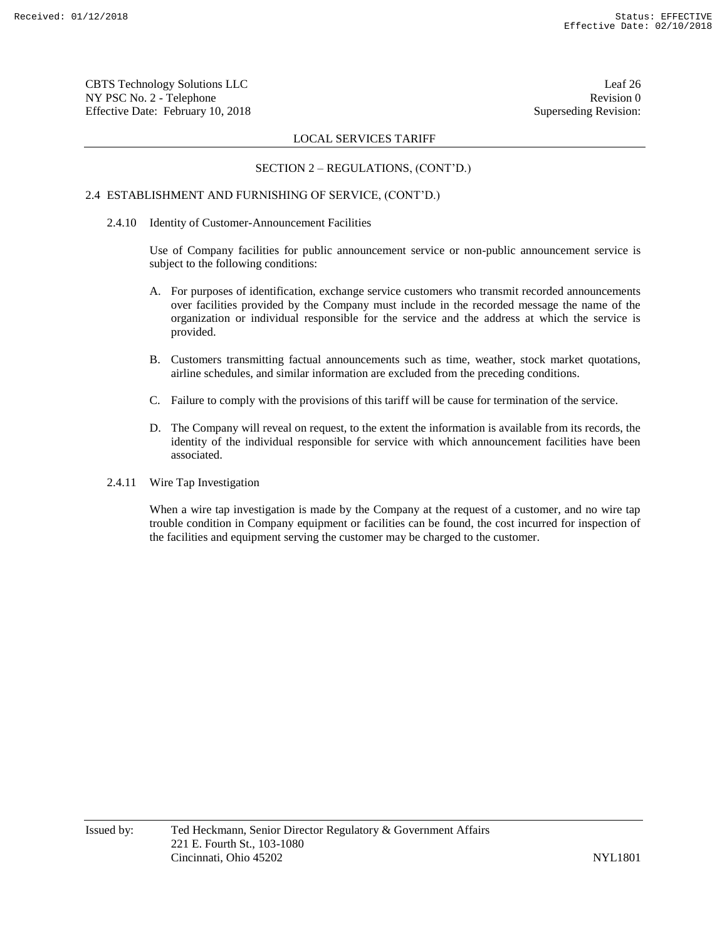CBTS Technology Solutions LLC Leaf 26 NY PSC No. 2 - Telephone Revision 0 Effective Date: February 10, 2018 Superseding Revision:

### LOCAL SERVICES TARIFF

#### SECTION 2 – REGULATIONS, (CONT'D.)

# 2.4 ESTABLISHMENT AND FURNISHING OF SERVICE, (CONT'D.)

#### 2.4.10 Identity of Customer-Announcement Facilities

Use of Company facilities for public announcement service or non-public announcement service is subject to the following conditions:

- A. For purposes of identification, exchange service customers who transmit recorded announcements over facilities provided by the Company must include in the recorded message the name of the organization or individual responsible for the service and the address at which the service is provided.
- B. Customers transmitting factual announcements such as time, weather, stock market quotations, airline schedules, and similar information are excluded from the preceding conditions.
- C. Failure to comply with the provisions of this tariff will be cause for termination of the service.
- D. The Company will reveal on request, to the extent the information is available from its records, the identity of the individual responsible for service with which announcement facilities have been associated.
- 2.4.11 Wire Tap Investigation

When a wire tap investigation is made by the Company at the request of a customer, and no wire tap trouble condition in Company equipment or facilities can be found, the cost incurred for inspection of the facilities and equipment serving the customer may be charged to the customer.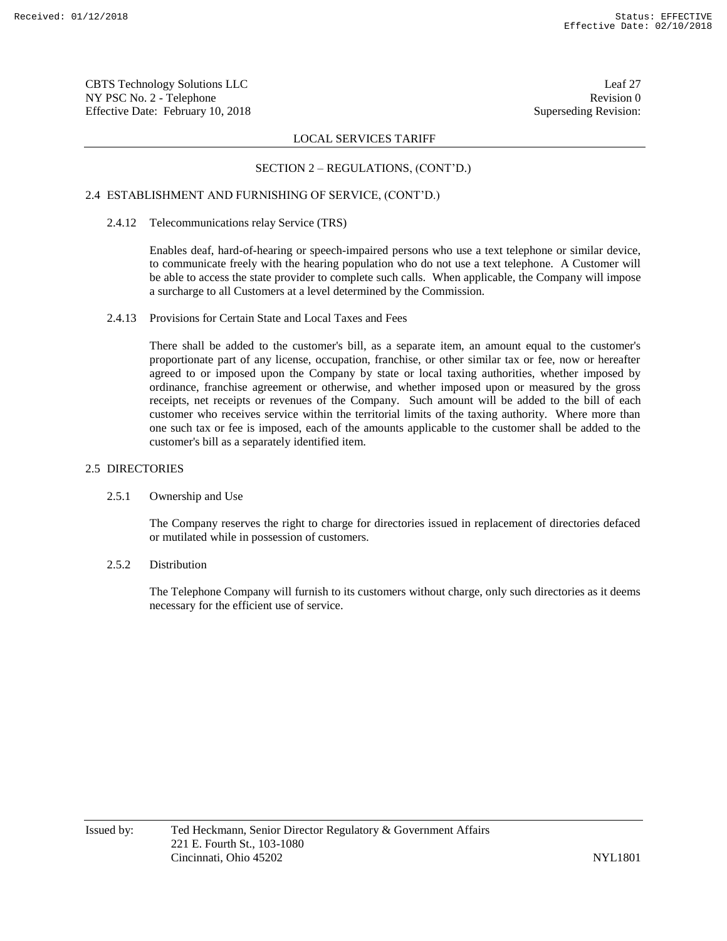CBTS Technology Solutions LLC Leaf 27 NY PSC No. 2 - Telephone Revision 0 Effective Date: February 10, 2018 Superseding Revision:

# LOCAL SERVICES TARIFF

# SECTION 2 – REGULATIONS, (CONT'D.)

# 2.4 ESTABLISHMENT AND FURNISHING OF SERVICE, (CONT'D.)

### 2.4.12 Telecommunications relay Service (TRS)

Enables deaf, hard-of-hearing or speech-impaired persons who use a text telephone or similar device, to communicate freely with the hearing population who do not use a text telephone. A Customer will be able to access the state provider to complete such calls. When applicable, the Company will impose a surcharge to all Customers at a level determined by the Commission.

# 2.4.13 Provisions for Certain State and Local Taxes and Fees

There shall be added to the customer's bill, as a separate item, an amount equal to the customer's proportionate part of any license, occupation, franchise, or other similar tax or fee, now or hereafter agreed to or imposed upon the Company by state or local taxing authorities, whether imposed by ordinance, franchise agreement or otherwise, and whether imposed upon or measured by the gross receipts, net receipts or revenues of the Company. Such amount will be added to the bill of each customer who receives service within the territorial limits of the taxing authority. Where more than one such tax or fee is imposed, each of the amounts applicable to the customer shall be added to the customer's bill as a separately identified item.

#### 2.5 DIRECTORIES

# 2.5.1 Ownership and Use

The Company reserves the right to charge for directories issued in replacement of directories defaced or mutilated while in possession of customers.

# 2.5.2 Distribution

The Telephone Company will furnish to its customers without charge, only such directories as it deems necessary for the efficient use of service.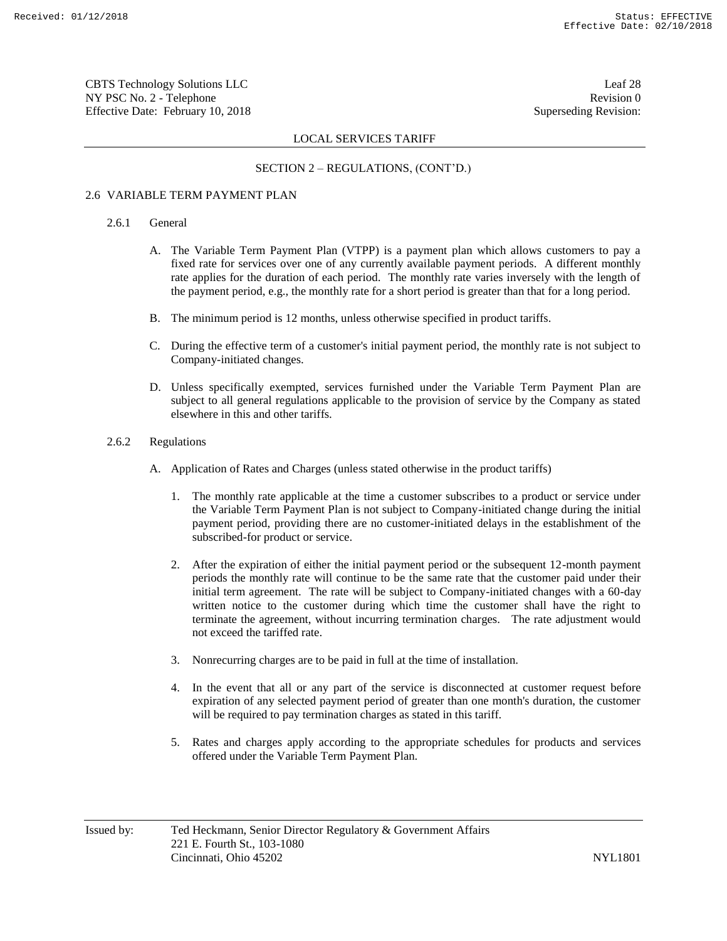CBTS Technology Solutions LLC Leaf 28 NY PSC No. 2 - Telephone Revision 0 Effective Date: February 10, 2018 Superseding Revision:

# LOCAL SERVICES TARIFF

# SECTION 2 – REGULATIONS, (CONT'D.)

# 2.6 VARIABLE TERM PAYMENT PLAN

#### 2.6.1 General

- A. The Variable Term Payment Plan (VTPP) is a payment plan which allows customers to pay a fixed rate for services over one of any currently available payment periods. A different monthly rate applies for the duration of each period. The monthly rate varies inversely with the length of the payment period, e.g., the monthly rate for a short period is greater than that for a long period.
- B. The minimum period is 12 months, unless otherwise specified in product tariffs.
- C. During the effective term of a customer's initial payment period, the monthly rate is not subject to Company-initiated changes.
- D. Unless specifically exempted, services furnished under the Variable Term Payment Plan are subject to all general regulations applicable to the provision of service by the Company as stated elsewhere in this and other tariffs.
- 2.6.2 Regulations
	- A. Application of Rates and Charges (unless stated otherwise in the product tariffs)
		- 1. The monthly rate applicable at the time a customer subscribes to a product or service under the Variable Term Payment Plan is not subject to Company-initiated change during the initial payment period, providing there are no customer-initiated delays in the establishment of the subscribed-for product or service.
		- 2. After the expiration of either the initial payment period or the subsequent 12-month payment periods the monthly rate will continue to be the same rate that the customer paid under their initial term agreement. The rate will be subject to Company-initiated changes with a 60-day written notice to the customer during which time the customer shall have the right to terminate the agreement, without incurring termination charges. The rate adjustment would not exceed the tariffed rate.
		- 3. Nonrecurring charges are to be paid in full at the time of installation.
		- 4. In the event that all or any part of the service is disconnected at customer request before expiration of any selected payment period of greater than one month's duration, the customer will be required to pay termination charges as stated in this tariff.
		- 5. Rates and charges apply according to the appropriate schedules for products and services offered under the Variable Term Payment Plan.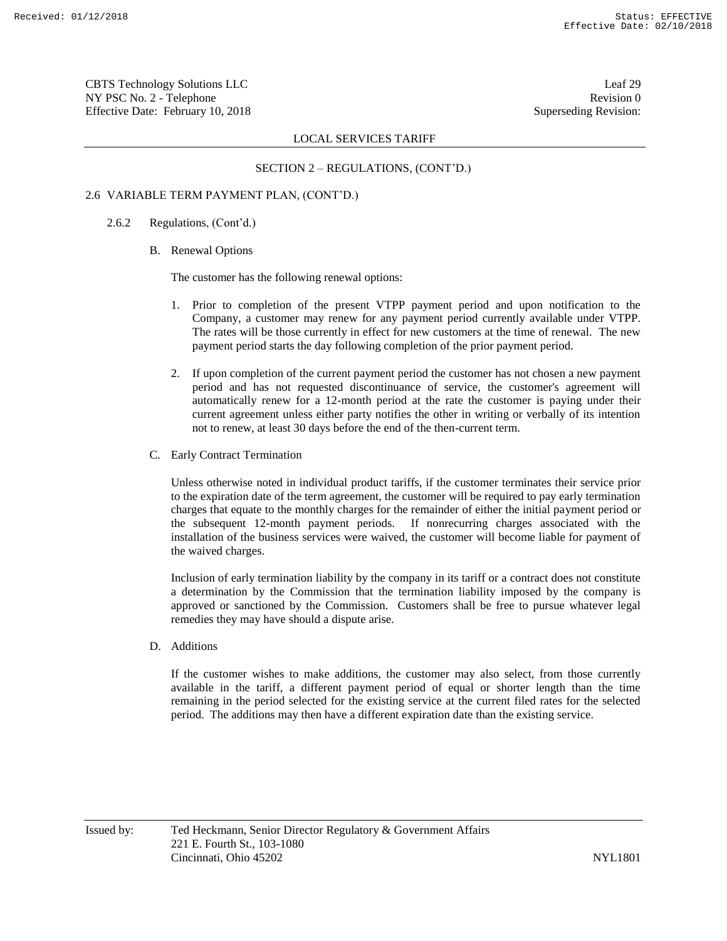CBTS Technology Solutions LLC Leaf 29 NY PSC No. 2 - Telephone Revision 0 Effective Date: February 10, 2018 Superseding Revision:

# LOCAL SERVICES TARIFF

# SECTION 2 – REGULATIONS, (CONT'D.)

# 2.6 VARIABLE TERM PAYMENT PLAN, (CONT'D.)

2.6.2 Regulations, (Cont'd.)

#### B. Renewal Options

The customer has the following renewal options:

- 1. Prior to completion of the present VTPP payment period and upon notification to the Company, a customer may renew for any payment period currently available under VTPP. The rates will be those currently in effect for new customers at the time of renewal. The new payment period starts the day following completion of the prior payment period.
- 2. If upon completion of the current payment period the customer has not chosen a new payment period and has not requested discontinuance of service, the customer's agreement will automatically renew for a 12-month period at the rate the customer is paying under their current agreement unless either party notifies the other in writing or verbally of its intention not to renew, at least 30 days before the end of the then-current term.
- C. Early Contract Termination

Unless otherwise noted in individual product tariffs, if the customer terminates their service prior to the expiration date of the term agreement, the customer will be required to pay early termination charges that equate to the monthly charges for the remainder of either the initial payment period or the subsequent 12-month payment periods. If nonrecurring charges associated with the installation of the business services were waived, the customer will become liable for payment of the waived charges.

Inclusion of early termination liability by the company in its tariff or a contract does not constitute a determination by the Commission that the termination liability imposed by the company is approved or sanctioned by the Commission. Customers shall be free to pursue whatever legal remedies they may have should a dispute arise.

D. Additions

If the customer wishes to make additions, the customer may also select, from those currently available in the tariff, a different payment period of equal or shorter length than the time remaining in the period selected for the existing service at the current filed rates for the selected period. The additions may then have a different expiration date than the existing service.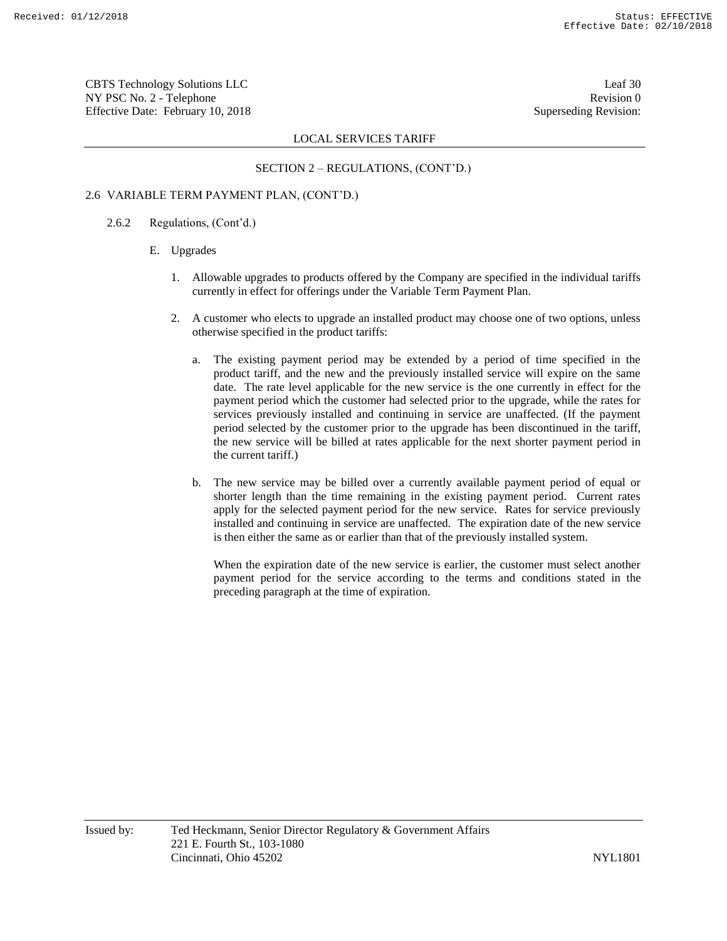CBTS Technology Solutions LLC Leaf 30 NY PSC No. 2 - Telephone Revision 0 Effective Date: February 10, 2018 Superseding Revision:

# LOCAL SERVICES TARIFF

# SECTION 2 – REGULATIONS, (CONT'D.)

# 2.6 VARIABLE TERM PAYMENT PLAN, (CONT'D.)

2.6.2 Regulations, (Cont'd.)

#### E. Upgrades

- 1. Allowable upgrades to products offered by the Company are specified in the individual tariffs currently in effect for offerings under the Variable Term Payment Plan.
- 2. A customer who elects to upgrade an installed product may choose one of two options, unless otherwise specified in the product tariffs:
	- a. The existing payment period may be extended by a period of time specified in the product tariff, and the new and the previously installed service will expire on the same date. The rate level applicable for the new service is the one currently in effect for the payment period which the customer had selected prior to the upgrade, while the rates for services previously installed and continuing in service are unaffected. (If the payment period selected by the customer prior to the upgrade has been discontinued in the tariff, the new service will be billed at rates applicable for the next shorter payment period in the current tariff.)
	- b. The new service may be billed over a currently available payment period of equal or shorter length than the time remaining in the existing payment period. Current rates apply for the selected payment period for the new service. Rates for service previously installed and continuing in service are unaffected. The expiration date of the new service is then either the same as or earlier than that of the previously installed system.

When the expiration date of the new service is earlier, the customer must select another payment period for the service according to the terms and conditions stated in the preceding paragraph at the time of expiration.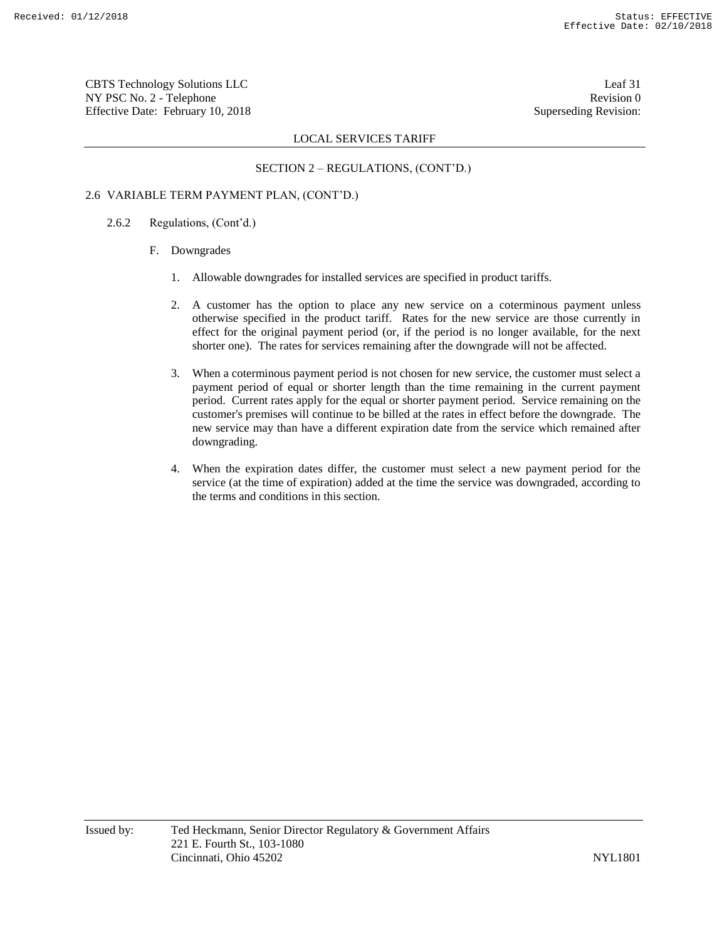CBTS Technology Solutions LLC Leaf 31 NY PSC No. 2 - Telephone Revision 0 Effective Date: February 10, 2018 Superseding Revision:

# LOCAL SERVICES TARIFF

# SECTION 2 – REGULATIONS, (CONT'D.)

# 2.6 VARIABLE TERM PAYMENT PLAN, (CONT'D.)

2.6.2 Regulations, (Cont'd.)

#### F. Downgrades

- 1. Allowable downgrades for installed services are specified in product tariffs.
- 2. A customer has the option to place any new service on a coterminous payment unless otherwise specified in the product tariff. Rates for the new service are those currently in effect for the original payment period (or, if the period is no longer available, for the next shorter one). The rates for services remaining after the downgrade will not be affected.
- 3. When a coterminous payment period is not chosen for new service, the customer must select a payment period of equal or shorter length than the time remaining in the current payment period. Current rates apply for the equal or shorter payment period. Service remaining on the customer's premises will continue to be billed at the rates in effect before the downgrade. The new service may than have a different expiration date from the service which remained after downgrading.
- 4. When the expiration dates differ, the customer must select a new payment period for the service (at the time of expiration) added at the time the service was downgraded, according to the terms and conditions in this section.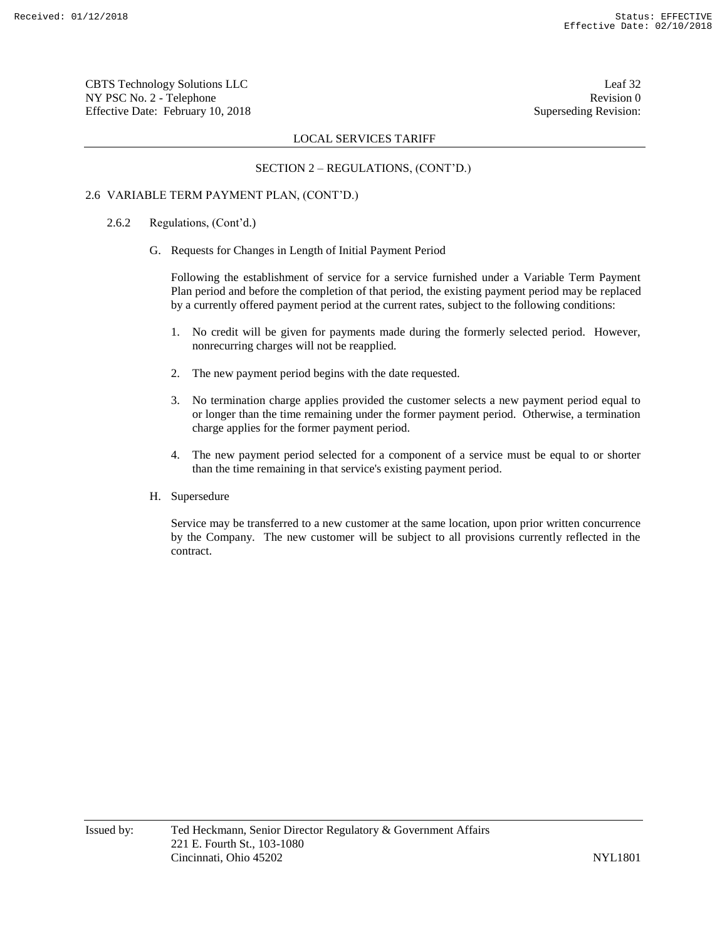CBTS Technology Solutions LLC Leaf 32 NY PSC No. 2 - Telephone Revision 0 Effective Date: February 10, 2018 Superseding Revision:

# LOCAL SERVICES TARIFF

# SECTION 2 – REGULATIONS, (CONT'D.)

# 2.6 VARIABLE TERM PAYMENT PLAN, (CONT'D.)

- 2.6.2 Regulations, (Cont'd.)
	- G. Requests for Changes in Length of Initial Payment Period

Following the establishment of service for a service furnished under a Variable Term Payment Plan period and before the completion of that period, the existing payment period may be replaced by a currently offered payment period at the current rates, subject to the following conditions:

- 1. No credit will be given for payments made during the formerly selected period. However, nonrecurring charges will not be reapplied.
- 2. The new payment period begins with the date requested.
- 3. No termination charge applies provided the customer selects a new payment period equal to or longer than the time remaining under the former payment period. Otherwise, a termination charge applies for the former payment period.
- 4. The new payment period selected for a component of a service must be equal to or shorter than the time remaining in that service's existing payment period.
- H. Supersedure

Service may be transferred to a new customer at the same location, upon prior written concurrence by the Company. The new customer will be subject to all provisions currently reflected in the contract.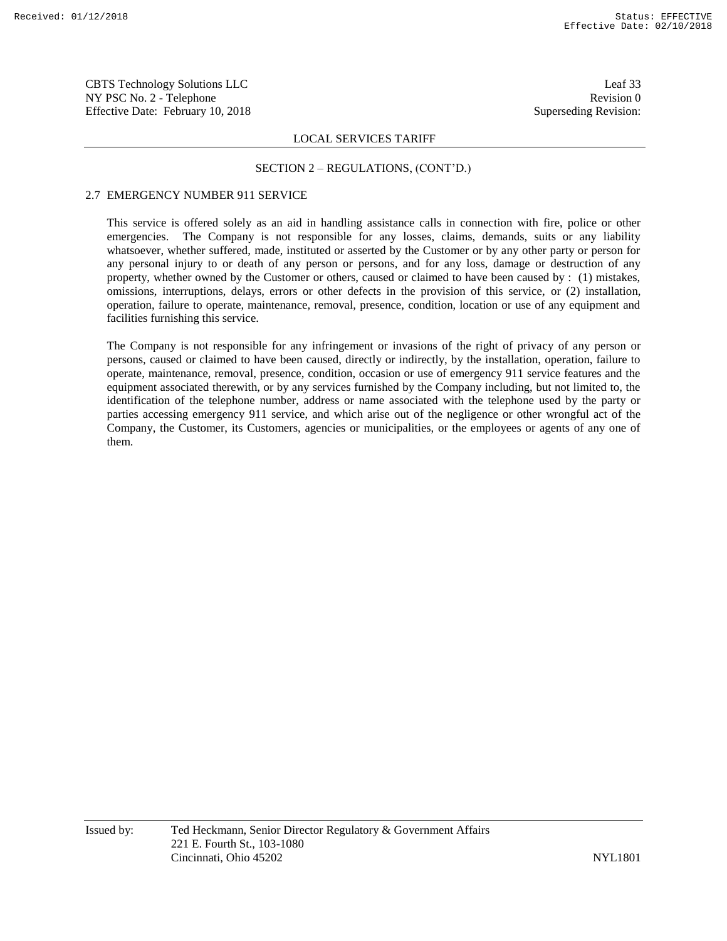CBTS Technology Solutions LLC Leaf 33 NY PSC No. 2 - Telephone Revision 0 Effective Date: February 10, 2018 Superseding Revision:

### LOCAL SERVICES TARIFF

#### SECTION 2 – REGULATIONS, (CONT'D.)

# 2.7 EMERGENCY NUMBER 911 SERVICE

This service is offered solely as an aid in handling assistance calls in connection with fire, police or other emergencies. The Company is not responsible for any losses, claims, demands, suits or any liability whatsoever, whether suffered, made, instituted or asserted by the Customer or by any other party or person for any personal injury to or death of any person or persons, and for any loss, damage or destruction of any property, whether owned by the Customer or others, caused or claimed to have been caused by : (1) mistakes, omissions, interruptions, delays, errors or other defects in the provision of this service, or (2) installation, operation, failure to operate, maintenance, removal, presence, condition, location or use of any equipment and facilities furnishing this service.

The Company is not responsible for any infringement or invasions of the right of privacy of any person or persons, caused or claimed to have been caused, directly or indirectly, by the installation, operation, failure to operate, maintenance, removal, presence, condition, occasion or use of emergency 911 service features and the equipment associated therewith, or by any services furnished by the Company including, but not limited to, the identification of the telephone number, address or name associated with the telephone used by the party or parties accessing emergency 911 service, and which arise out of the negligence or other wrongful act of the Company, the Customer, its Customers, agencies or municipalities, or the employees or agents of any one of them.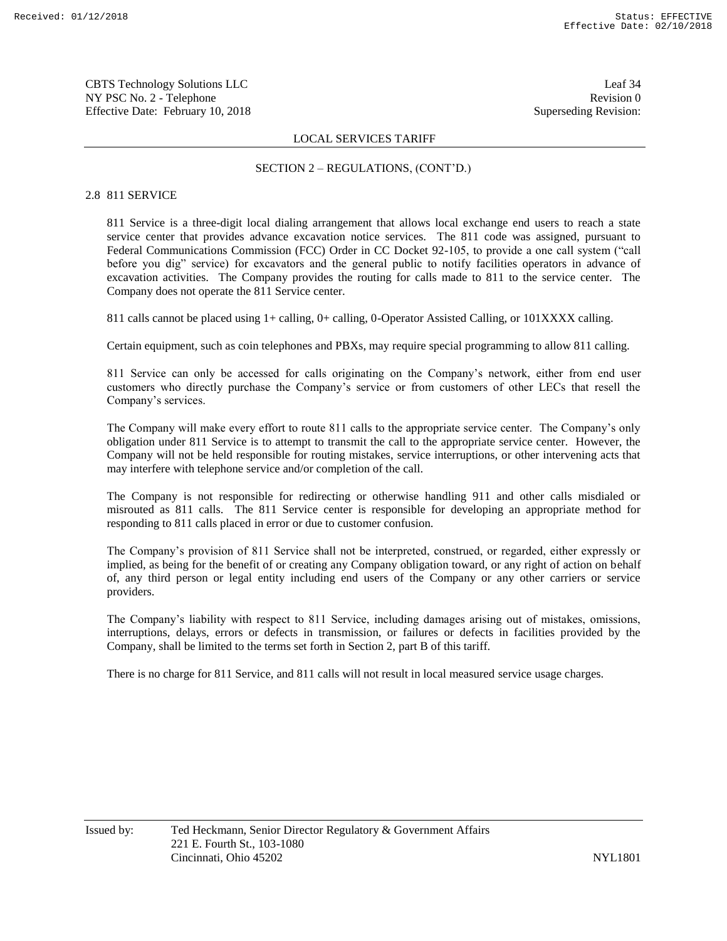CBTS Technology Solutions LLC Leaf 34 NY PSC No. 2 - Telephone Revision 0 Effective Date: February 10, 2018 Superseding Revision:

#### LOCAL SERVICES TARIFF

#### SECTION 2 – REGULATIONS, (CONT'D.)

#### 2.8 811 SERVICE

811 Service is a three-digit local dialing arrangement that allows local exchange end users to reach a state service center that provides advance excavation notice services. The 811 code was assigned, pursuant to Federal Communications Commission (FCC) Order in CC Docket 92-105, to provide a one call system ("call before you dig" service) for excavators and the general public to notify facilities operators in advance of excavation activities. The Company provides the routing for calls made to 811 to the service center. The Company does not operate the 811 Service center.

811 calls cannot be placed using 1+ calling, 0+ calling, 0-Operator Assisted Calling, or 101XXXX calling.

Certain equipment, such as coin telephones and PBXs, may require special programming to allow 811 calling.

811 Service can only be accessed for calls originating on the Company's network, either from end user customers who directly purchase the Company's service or from customers of other LECs that resell the Company's services.

The Company will make every effort to route 811 calls to the appropriate service center. The Company's only obligation under 811 Service is to attempt to transmit the call to the appropriate service center. However, the Company will not be held responsible for routing mistakes, service interruptions, or other intervening acts that may interfere with telephone service and/or completion of the call.

The Company is not responsible for redirecting or otherwise handling 911 and other calls misdialed or misrouted as 811 calls. The 811 Service center is responsible for developing an appropriate method for responding to 811 calls placed in error or due to customer confusion.

The Company's provision of 811 Service shall not be interpreted, construed, or regarded, either expressly or implied, as being for the benefit of or creating any Company obligation toward, or any right of action on behalf of, any third person or legal entity including end users of the Company or any other carriers or service providers.

The Company's liability with respect to 811 Service, including damages arising out of mistakes, omissions, interruptions, delays, errors or defects in transmission, or failures or defects in facilities provided by the Company, shall be limited to the terms set forth in Section 2, part B of this tariff.

There is no charge for 811 Service, and 811 calls will not result in local measured service usage charges.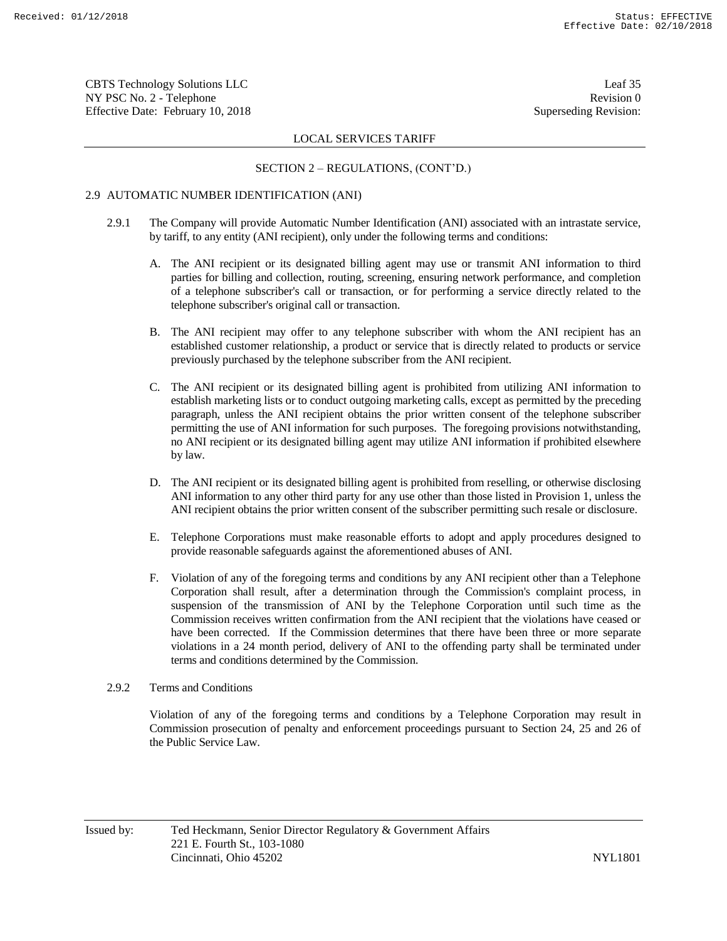CBTS Technology Solutions LLC Leaf 35 NY PSC No. 2 - Telephone Revision 0 Effective Date: February 10, 2018 Superseding Revision:

### LOCAL SERVICES TARIFF

#### SECTION 2 – REGULATIONS, (CONT'D.)

# 2.9 AUTOMATIC NUMBER IDENTIFICATION (ANI)

- 2.9.1 The Company will provide Automatic Number Identification (ANI) associated with an intrastate service, by tariff, to any entity (ANI recipient), only under the following terms and conditions:
	- A. The ANI recipient or its designated billing agent may use or transmit ANI information to third parties for billing and collection, routing, screening, ensuring network performance, and completion of a telephone subscriber's call or transaction, or for performing a service directly related to the telephone subscriber's original call or transaction.
	- B. The ANI recipient may offer to any telephone subscriber with whom the ANI recipient has an established customer relationship, a product or service that is directly related to products or service previously purchased by the telephone subscriber from the ANI recipient.
	- C. The ANI recipient or its designated billing agent is prohibited from utilizing ANI information to establish marketing lists or to conduct outgoing marketing calls, except as permitted by the preceding paragraph, unless the ANI recipient obtains the prior written consent of the telephone subscriber permitting the use of ANI information for such purposes. The foregoing provisions notwithstanding, no ANI recipient or its designated billing agent may utilize ANI information if prohibited elsewhere by law.
	- D. The ANI recipient or its designated billing agent is prohibited from reselling, or otherwise disclosing ANI information to any other third party for any use other than those listed in Provision 1, unless the ANI recipient obtains the prior written consent of the subscriber permitting such resale or disclosure.
	- E. Telephone Corporations must make reasonable efforts to adopt and apply procedures designed to provide reasonable safeguards against the aforementioned abuses of ANI.
	- F. Violation of any of the foregoing terms and conditions by any ANI recipient other than a Telephone Corporation shall result, after a determination through the Commission's complaint process, in suspension of the transmission of ANI by the Telephone Corporation until such time as the Commission receives written confirmation from the ANI recipient that the violations have ceased or have been corrected. If the Commission determines that there have been three or more separate violations in a 24 month period, delivery of ANI to the offending party shall be terminated under terms and conditions determined by the Commission.

# 2.9.2 Terms and Conditions

Violation of any of the foregoing terms and conditions by a Telephone Corporation may result in Commission prosecution of penalty and enforcement proceedings pursuant to Section 24, 25 and 26 of the Public Service Law.

Issued by: Ted Heckmann, Senior Director Regulatory & Government Affairs 221 E. Fourth St., 103-1080 Cincinnati, Ohio 45202 NYL1801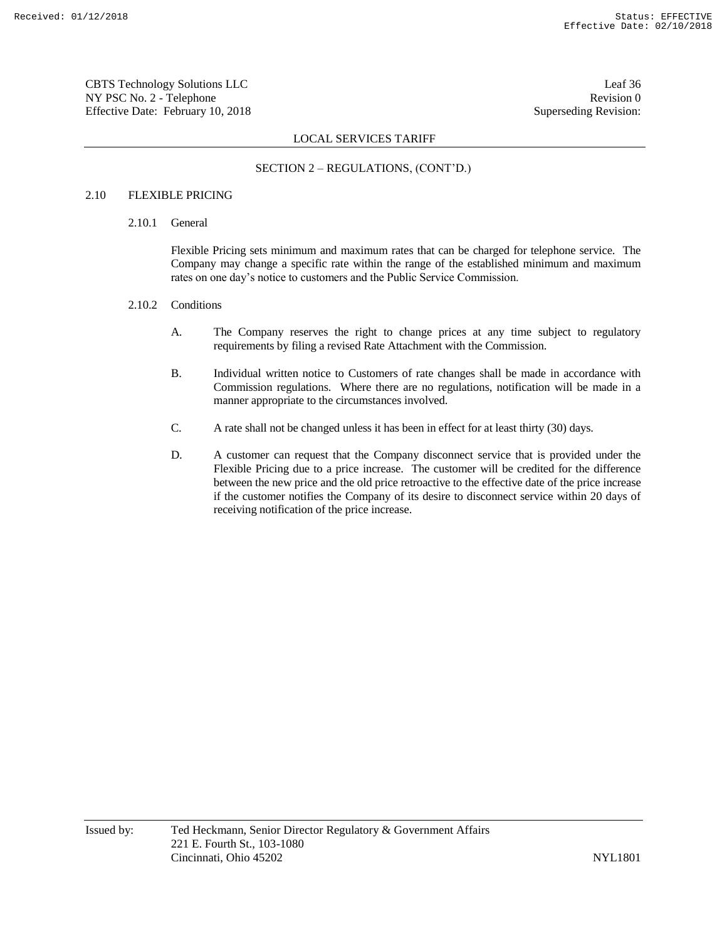CBTS Technology Solutions LLC Leaf 36 NY PSC No. 2 - Telephone Revision 0 Effective Date: February 10, 2018 Superseding Revision:

# LOCAL SERVICES TARIFF

# SECTION 2 – REGULATIONS, (CONT'D.)

# 2.10 FLEXIBLE PRICING

2.10.1 General

Flexible Pricing sets minimum and maximum rates that can be charged for telephone service. The Company may change a specific rate within the range of the established minimum and maximum rates on one day's notice to customers and the Public Service Commission.

#### 2.10.2 Conditions

- A. The Company reserves the right to change prices at any time subject to regulatory requirements by filing a revised Rate Attachment with the Commission.
- B. Individual written notice to Customers of rate changes shall be made in accordance with Commission regulations. Where there are no regulations, notification will be made in a manner appropriate to the circumstances involved.
- C. A rate shall not be changed unless it has been in effect for at least thirty (30) days.
- D. A customer can request that the Company disconnect service that is provided under the Flexible Pricing due to a price increase. The customer will be credited for the difference between the new price and the old price retroactive to the effective date of the price increase if the customer notifies the Company of its desire to disconnect service within 20 days of receiving notification of the price increase.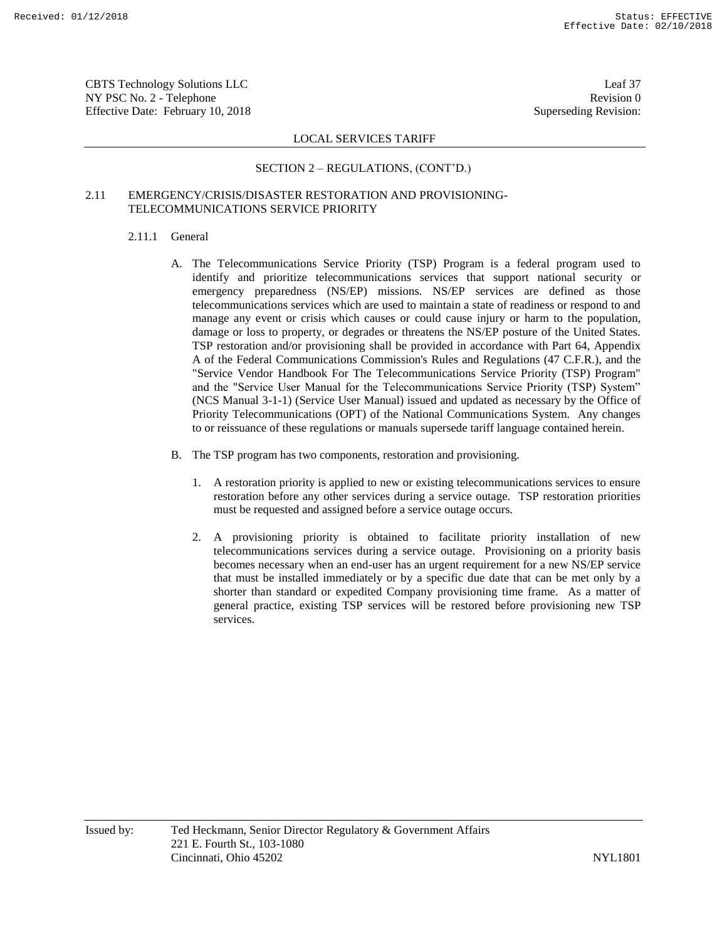CBTS Technology Solutions LLC Leaf 37 NY PSC No. 2 - Telephone Revision 0 Effective Date: February 10, 2018 Superseding Revision:

# LOCAL SERVICES TARIFF

# SECTION 2 – REGULATIONS, (CONT'D.)

# 2.11 EMERGENCY/CRISIS/DISASTER RESTORATION AND PROVISIONING-TELECOMMUNICATIONS SERVICE PRIORITY

# 2.11.1 General

- A. The Telecommunications Service Priority (TSP) Program is a federal program used to identify and prioritize telecommunications services that support national security or emergency preparedness (NS/EP) missions. NS/EP services are defined as those telecommunications services which are used to maintain a state of readiness or respond to and manage any event or crisis which causes or could cause injury or harm to the population, damage or loss to property, or degrades or threatens the NS/EP posture of the United States. TSP restoration and/or provisioning shall be provided in accordance with Part 64, Appendix A of the Federal Communications Commission's Rules and Regulations (47 C.F.R.), and the "Service Vendor Handbook For The Telecommunications Service Priority (TSP) Program" and the "Service User Manual for the Telecommunications Service Priority (TSP) System" (NCS Manual 3-1-1) (Service User Manual) issued and updated as necessary by the Office of Priority Telecommunications (OPT) of the National Communications System. Any changes to or reissuance of these regulations or manuals supersede tariff language contained herein.
- B. The TSP program has two components, restoration and provisioning.
	- 1. A restoration priority is applied to new or existing telecommunications services to ensure restoration before any other services during a service outage. TSP restoration priorities must be requested and assigned before a service outage occurs.
	- 2. A provisioning priority is obtained to facilitate priority installation of new telecommunications services during a service outage. Provisioning on a priority basis becomes necessary when an end-user has an urgent requirement for a new NS/EP service that must be installed immediately or by a specific due date that can be met only by a shorter than standard or expedited Company provisioning time frame. As a matter of general practice, existing TSP services will be restored before provisioning new TSP services.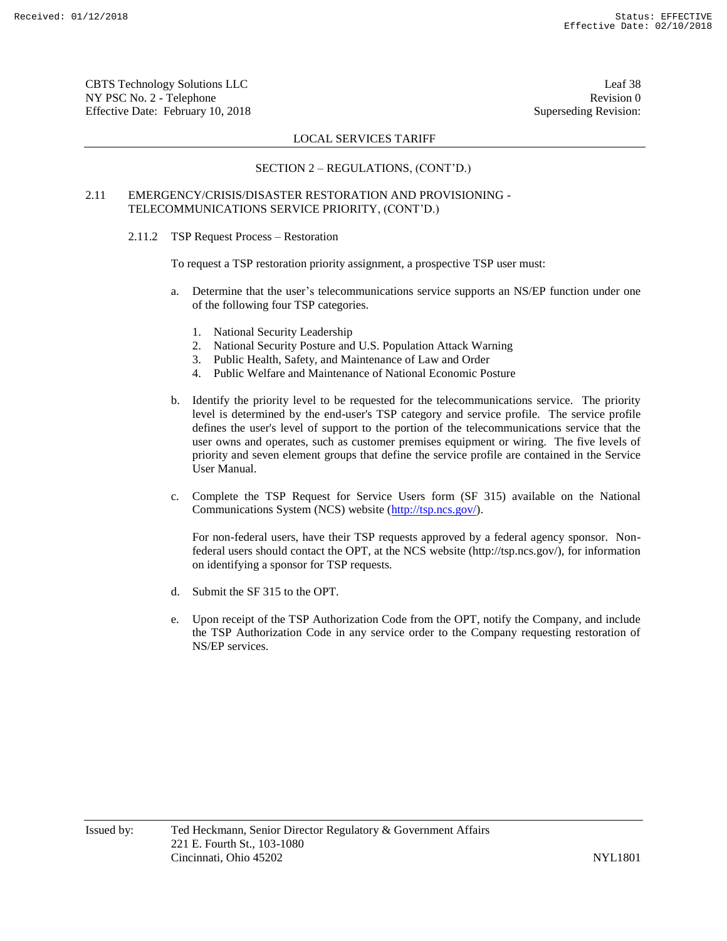CBTS Technology Solutions LLC Leaf 38 NY PSC No. 2 - Telephone Revision 0 Effective Date: February 10, 2018 Superseding Revision:

# LOCAL SERVICES TARIFF

# SECTION 2 – REGULATIONS, (CONT'D.)

# 2.11 EMERGENCY/CRISIS/DISASTER RESTORATION AND PROVISIONING - TELECOMMUNICATIONS SERVICE PRIORITY, (CONT'D.)

2.11.2 TSP Request Process – Restoration

To request a TSP restoration priority assignment, a prospective TSP user must:

- a. Determine that the user's telecommunications service supports an NS/EP function under one of the following four TSP categories.
	- 1. National Security Leadership
	- 2. National Security Posture and U.S. Population Attack Warning
	- 3. Public Health, Safety, and Maintenance of Law and Order
	- 4. Public Welfare and Maintenance of National Economic Posture
- b. Identify the priority level to be requested for the telecommunications service. The priority level is determined by the end-user's TSP category and service profile. The service profile defines the user's level of support to the portion of the telecommunications service that the user owns and operates, such as customer premises equipment or wiring. The five levels of priority and seven element groups that define the service profile are contained in the Service User Manual.
- c. Complete the TSP Request for Service Users form (SF 315) available on the National Communications System (NCS) website (http://tsp.ncs.gov/).

For non-federal users, have their TSP requests approved by a federal agency sponsor. Nonfederal users should contact the OPT, at the NCS website (http://tsp.ncs.gov/), for information on identifying a sponsor for TSP requests.

- d. Submit the SF 315 to the OPT.
- e. Upon receipt of the TSP Authorization Code from the OPT, notify the Company, and include the TSP Authorization Code in any service order to the Company requesting restoration of NS/EP services.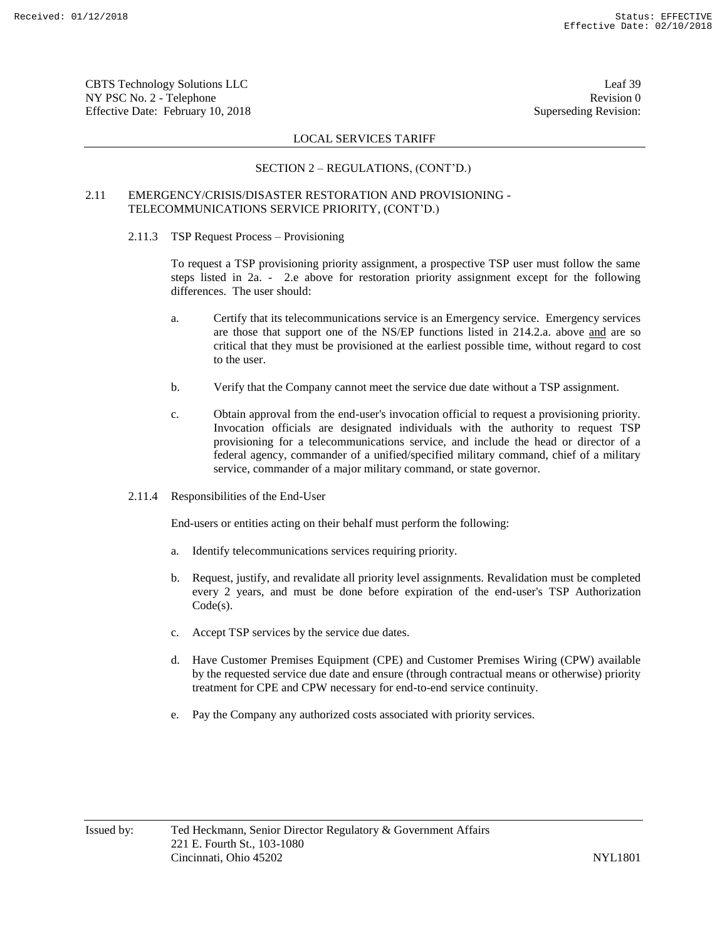CBTS Technology Solutions LLC Leaf 39 NY PSC No. 2 - Telephone Revision 0 Effective Date: February 10, 2018 Superseding Revision:

# LOCAL SERVICES TARIFF

# SECTION 2 – REGULATIONS, (CONT'D.)

# 2.11 EMERGENCY/CRISIS/DISASTER RESTORATION AND PROVISIONING - TELECOMMUNICATIONS SERVICE PRIORITY, (CONT'D.)

2.11.3 TSP Request Process – Provisioning

To request a TSP provisioning priority assignment, a prospective TSP user must follow the same steps listed in 2a. - 2.e above for restoration priority assignment except for the following differences. The user should:

- a. Certify that its telecommunications service is an Emergency service. Emergency services are those that support one of the NS/EP functions listed in 214.2.a. above and are so critical that they must be provisioned at the earliest possible time, without regard to cost to the user.
- b. Verify that the Company cannot meet the service due date without a TSP assignment.
- c. Obtain approval from the end-user's invocation official to request a provisioning priority. Invocation officials are designated individuals with the authority to request TSP provisioning for a telecommunications service, and include the head or director of a federal agency, commander of a unified/specified military command, chief of a military service, commander of a major military command, or state governor.
- 2.11.4 Responsibilities of the End-User

End-users or entities acting on their behalf must perform the following:

- a. Identify telecommunications services requiring priority.
- b. Request, justify, and revalidate all priority level assignments. Revalidation must be completed every 2 years, and must be done before expiration of the end-user's TSP Authorization Code(s).
- c. Accept TSP services by the service due dates.
- d. Have Customer Premises Equipment (CPE) and Customer Premises Wiring (CPW) available by the requested service due date and ensure (through contractual means or otherwise) priority treatment for CPE and CPW necessary for end-to-end service continuity.
- e. Pay the Company any authorized costs associated with priority services.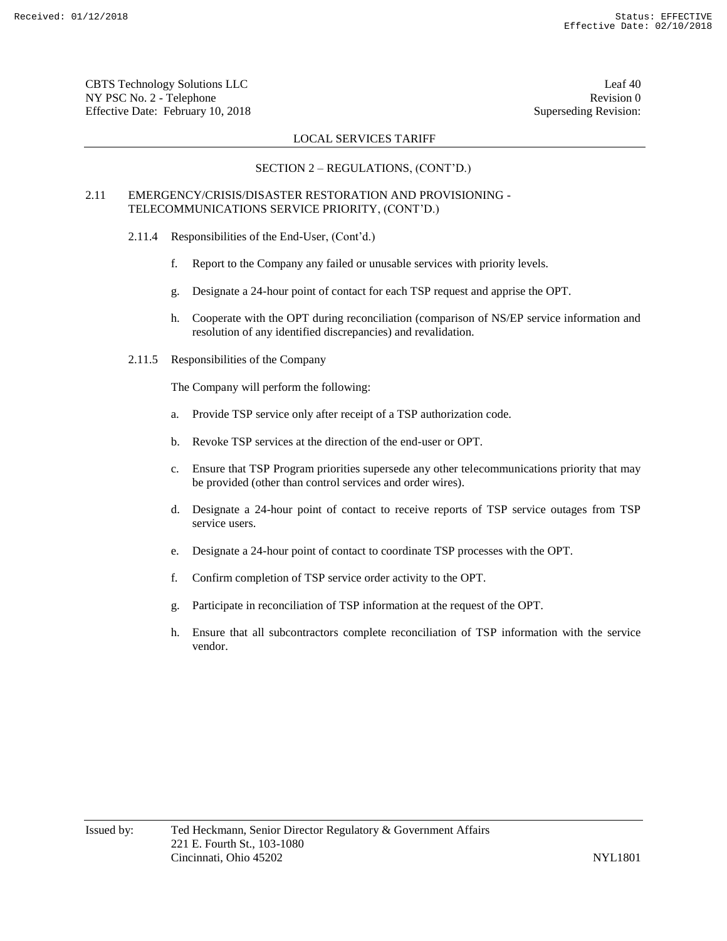CBTS Technology Solutions LLC Leaf 40 NY PSC No. 2 - Telephone Revision 0 Effective Date: February 10, 2018 Superseding Revision:

# LOCAL SERVICES TARIFF

# SECTION 2 – REGULATIONS, (CONT'D.)

# 2.11 EMERGENCY/CRISIS/DISASTER RESTORATION AND PROVISIONING - TELECOMMUNICATIONS SERVICE PRIORITY, (CONT'D.)

- 2.11.4 Responsibilities of the End-User, (Cont'd.)
	- f. Report to the Company any failed or unusable services with priority levels.
	- g. Designate a 24-hour point of contact for each TSP request and apprise the OPT.
	- h. Cooperate with the OPT during reconciliation (comparison of NS/EP service information and resolution of any identified discrepancies) and revalidation.
- 2.11.5 Responsibilities of the Company

The Company will perform the following:

- a. Provide TSP service only after receipt of a TSP authorization code.
- b. Revoke TSP services at the direction of the end-user or OPT.
- c. Ensure that TSP Program priorities supersede any other telecommunications priority that may be provided (other than control services and order wires).
- d. Designate a 24-hour point of contact to receive reports of TSP service outages from TSP service users.
- e. Designate a 24-hour point of contact to coordinate TSP processes with the OPT.
- f. Confirm completion of TSP service order activity to the OPT.
- g. Participate in reconciliation of TSP information at the request of the OPT.
- h. Ensure that all subcontractors complete reconciliation of TSP information with the service vendor.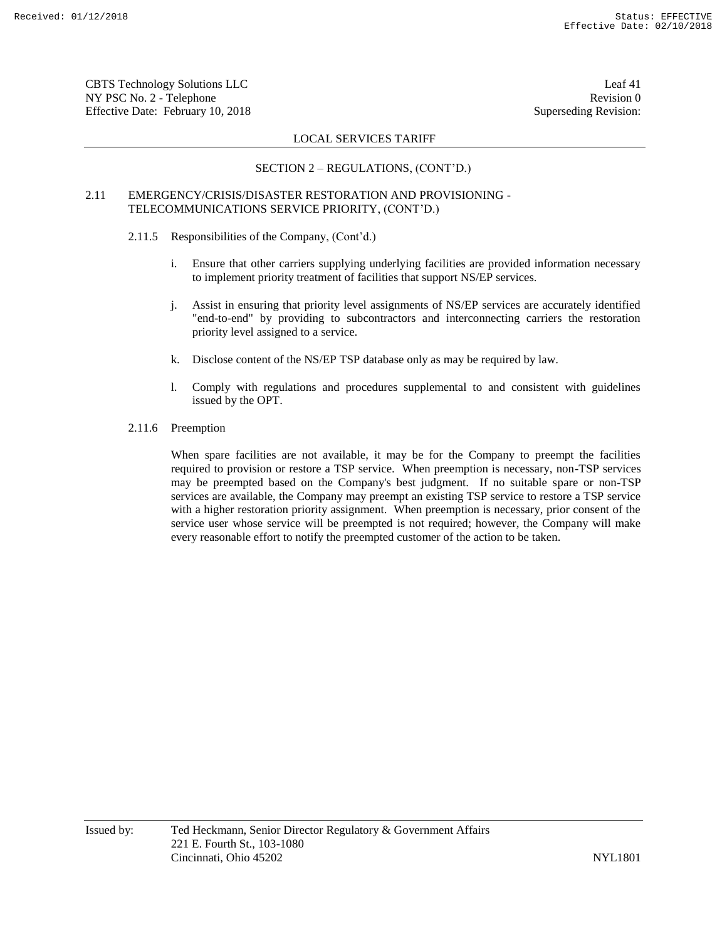CBTS Technology Solutions LLC Leaf 41 NY PSC No. 2 - Telephone Revision 0 Effective Date: February 10, 2018 Superseding Revision:

# LOCAL SERVICES TARIFF

# SECTION 2 – REGULATIONS, (CONT'D.)

# 2.11 EMERGENCY/CRISIS/DISASTER RESTORATION AND PROVISIONING - TELECOMMUNICATIONS SERVICE PRIORITY, (CONT'D.)

- 2.11.5 Responsibilities of the Company, (Cont'd.)
	- i. Ensure that other carriers supplying underlying facilities are provided information necessary to implement priority treatment of facilities that support NS/EP services.
	- j. Assist in ensuring that priority level assignments of NS/EP services are accurately identified "end-to-end" by providing to subcontractors and interconnecting carriers the restoration priority level assigned to a service.
	- k. Disclose content of the NS/EP TSP database only as may be required by law.
	- l. Comply with regulations and procedures supplemental to and consistent with guidelines issued by the OPT.
- 2.11.6 Preemption

When spare facilities are not available, it may be for the Company to preempt the facilities required to provision or restore a TSP service. When preemption is necessary, non-TSP services may be preempted based on the Company's best judgment. If no suitable spare or non-TSP services are available, the Company may preempt an existing TSP service to restore a TSP service with a higher restoration priority assignment. When preemption is necessary, prior consent of the service user whose service will be preempted is not required; however, the Company will make every reasonable effort to notify the preempted customer of the action to be taken.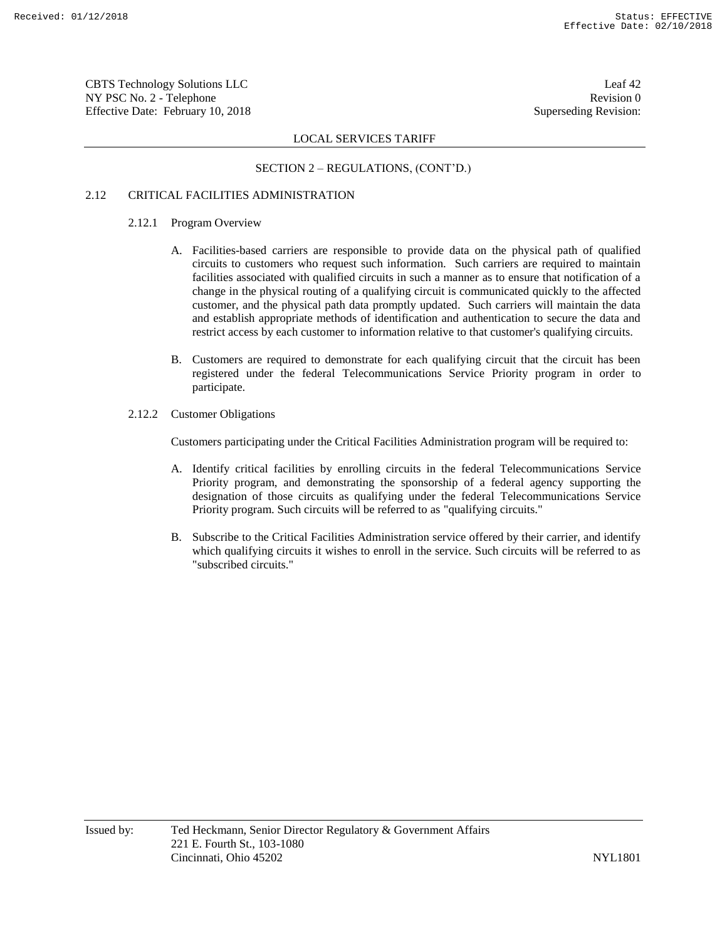CBTS Technology Solutions LLC Leaf 42 NY PSC No. 2 - Telephone Revision 0 Effective Date: February 10, 2018 Superseding Revision:

# LOCAL SERVICES TARIFF

# SECTION 2 – REGULATIONS, (CONT'D.)

# 2.12 CRITICAL FACILITIES ADMINISTRATION

- 2.12.1 Program Overview
	- A. Facilities-based carriers are responsible to provide data on the physical path of qualified circuits to customers who request such information. Such carriers are required to maintain facilities associated with qualified circuits in such a manner as to ensure that notification of a change in the physical routing of a qualifying circuit is communicated quickly to the affected customer, and the physical path data promptly updated. Such carriers will maintain the data and establish appropriate methods of identification and authentication to secure the data and restrict access by each customer to information relative to that customer's qualifying circuits.
	- B. Customers are required to demonstrate for each qualifying circuit that the circuit has been registered under the federal Telecommunications Service Priority program in order to participate.
- 2.12.2 Customer Obligations

Customers participating under the Critical Facilities Administration program will be required to:

- A. Identify critical facilities by enrolling circuits in the federal Telecommunications Service Priority program, and demonstrating the sponsorship of a federal agency supporting the designation of those circuits as qualifying under the federal Telecommunications Service Priority program. Such circuits will be referred to as "qualifying circuits."
- B. Subscribe to the Critical Facilities Administration service offered by their carrier, and identify which qualifying circuits it wishes to enroll in the service. Such circuits will be referred to as "subscribed circuits."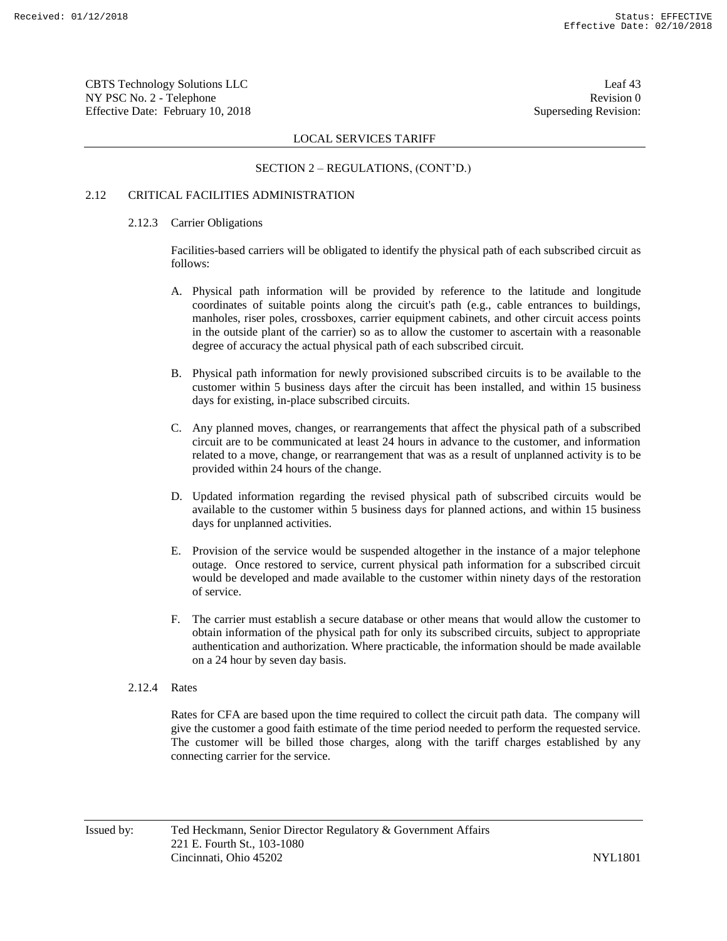CBTS Technology Solutions LLC Leaf 43 NY PSC No. 2 - Telephone Revision 0 Effective Date: February 10, 2018 Superseding Revision:

# LOCAL SERVICES TARIFF

# SECTION 2 – REGULATIONS, (CONT'D.)

# 2.12 CRITICAL FACILITIES ADMINISTRATION

#### 2.12.3 Carrier Obligations

Facilities-based carriers will be obligated to identify the physical path of each subscribed circuit as follows:

- A. Physical path information will be provided by reference to the latitude and longitude coordinates of suitable points along the circuit's path (e.g., cable entrances to buildings, manholes, riser poles, crossboxes, carrier equipment cabinets, and other circuit access points in the outside plant of the carrier) so as to allow the customer to ascertain with a reasonable degree of accuracy the actual physical path of each subscribed circuit.
- B. Physical path information for newly provisioned subscribed circuits is to be available to the customer within 5 business days after the circuit has been installed, and within 15 business days for existing, in-place subscribed circuits.
- C. Any planned moves, changes, or rearrangements that affect the physical path of a subscribed circuit are to be communicated at least 24 hours in advance to the customer, and information related to a move, change, or rearrangement that was as a result of unplanned activity is to be provided within 24 hours of the change.
- D. Updated information regarding the revised physical path of subscribed circuits would be available to the customer within 5 business days for planned actions, and within 15 business days for unplanned activities.
- E. Provision of the service would be suspended altogether in the instance of a major telephone outage. Once restored to service, current physical path information for a subscribed circuit would be developed and made available to the customer within ninety days of the restoration of service.
- F. The carrier must establish a secure database or other means that would allow the customer to obtain information of the physical path for only its subscribed circuits, subject to appropriate authentication and authorization. Where practicable, the information should be made available on a 24 hour by seven day basis.
- 2.12.4 Rates

Rates for CFA are based upon the time required to collect the circuit path data. The company will give the customer a good faith estimate of the time period needed to perform the requested service. The customer will be billed those charges, along with the tariff charges established by any connecting carrier for the service.

Issued by: Ted Heckmann, Senior Director Regulatory & Government Affairs 221 E. Fourth St., 103-1080 Cincinnati, Ohio 45202 NYL1801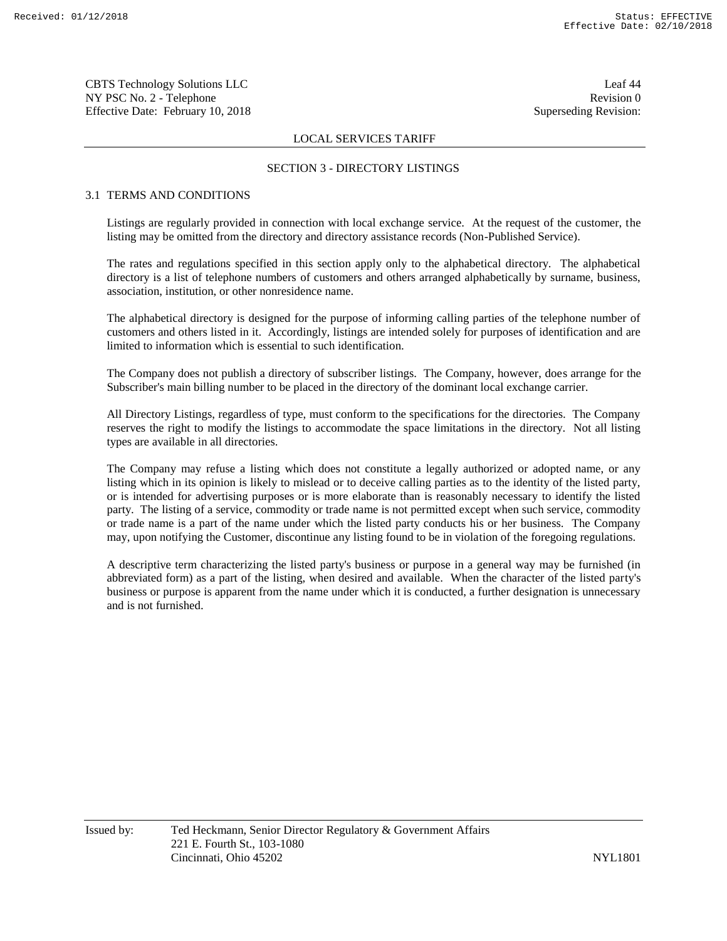CBTS Technology Solutions LLC Leaf 44 NY PSC No. 2 - Telephone Revision 0 Effective Date: February 10, 2018 Superseding Revision:

# LOCAL SERVICES TARIFF

# SECTION 3 - DIRECTORY LISTINGS

# 3.1 TERMS AND CONDITIONS

Listings are regularly provided in connection with local exchange service. At the request of the customer, the listing may be omitted from the directory and directory assistance records (Non-Published Service).

The rates and regulations specified in this section apply only to the alphabetical directory. The alphabetical directory is a list of telephone numbers of customers and others arranged alphabetically by surname, business, association, institution, or other nonresidence name.

The alphabetical directory is designed for the purpose of informing calling parties of the telephone number of customers and others listed in it. Accordingly, listings are intended solely for purposes of identification and are limited to information which is essential to such identification.

The Company does not publish a directory of subscriber listings. The Company, however, does arrange for the Subscriber's main billing number to be placed in the directory of the dominant local exchange carrier.

All Directory Listings, regardless of type, must conform to the specifications for the directories. The Company reserves the right to modify the listings to accommodate the space limitations in the directory. Not all listing types are available in all directories.

The Company may refuse a listing which does not constitute a legally authorized or adopted name, or any listing which in its opinion is likely to mislead or to deceive calling parties as to the identity of the listed party, or is intended for advertising purposes or is more elaborate than is reasonably necessary to identify the listed party. The listing of a service, commodity or trade name is not permitted except when such service, commodity or trade name is a part of the name under which the listed party conducts his or her business. The Company may, upon notifying the Customer, discontinue any listing found to be in violation of the foregoing regulations.

A descriptive term characterizing the listed party's business or purpose in a general way may be furnished (in abbreviated form) as a part of the listing, when desired and available. When the character of the listed party's business or purpose is apparent from the name under which it is conducted, a further designation is unnecessary and is not furnished.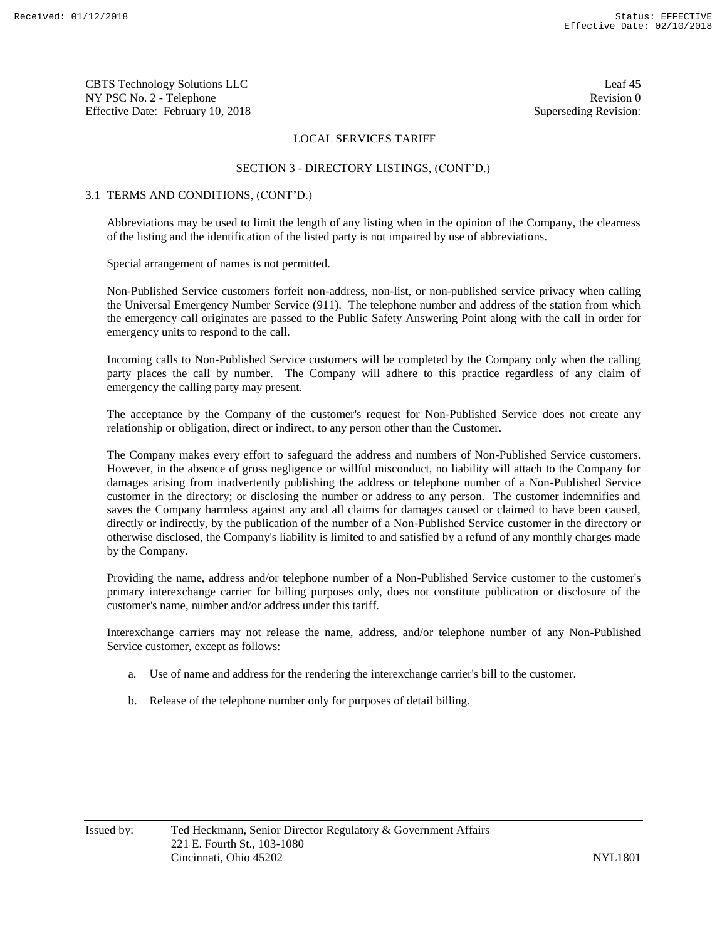CBTS Technology Solutions LLC Leaf 45 NY PSC No. 2 - Telephone Revision 0 Effective Date: February 10, 2018 Superseding Revision:

# LOCAL SERVICES TARIFF

# SECTION 3 - DIRECTORY LISTINGS, (CONT'D.)

# 3.1 TERMS AND CONDITIONS, (CONT'D.)

Abbreviations may be used to limit the length of any listing when in the opinion of the Company, the clearness of the listing and the identification of the listed party is not impaired by use of abbreviations.

Special arrangement of names is not permitted.

Non-Published Service customers forfeit non-address, non-list, or non-published service privacy when calling the Universal Emergency Number Service (911). The telephone number and address of the station from which the emergency call originates are passed to the Public Safety Answering Point along with the call in order for emergency units to respond to the call.

Incoming calls to Non-Published Service customers will be completed by the Company only when the calling party places the call by number. The Company will adhere to this practice regardless of any claim of emergency the calling party may present.

The acceptance by the Company of the customer's request for Non-Published Service does not create any relationship or obligation, direct or indirect, to any person other than the Customer.

The Company makes every effort to safeguard the address and numbers of Non-Published Service customers. However, in the absence of gross negligence or willful misconduct, no liability will attach to the Company for damages arising from inadvertently publishing the address or telephone number of a Non-Published Service customer in the directory; or disclosing the number or address to any person. The customer indemnifies and saves the Company harmless against any and all claims for damages caused or claimed to have been caused, directly or indirectly, by the publication of the number of a Non-Published Service customer in the directory or otherwise disclosed, the Company's liability is limited to and satisfied by a refund of any monthly charges made by the Company.

Providing the name, address and/or telephone number of a Non-Published Service customer to the customer's primary interexchange carrier for billing purposes only, does not constitute publication or disclosure of the customer's name, number and/or address under this tariff.

Interexchange carriers may not release the name, address, and/or telephone number of any Non-Published Service customer, except as follows:

- a. Use of name and address for the rendering the interexchange carrier's bill to the customer.
- b. Release of the telephone number only for purposes of detail billing.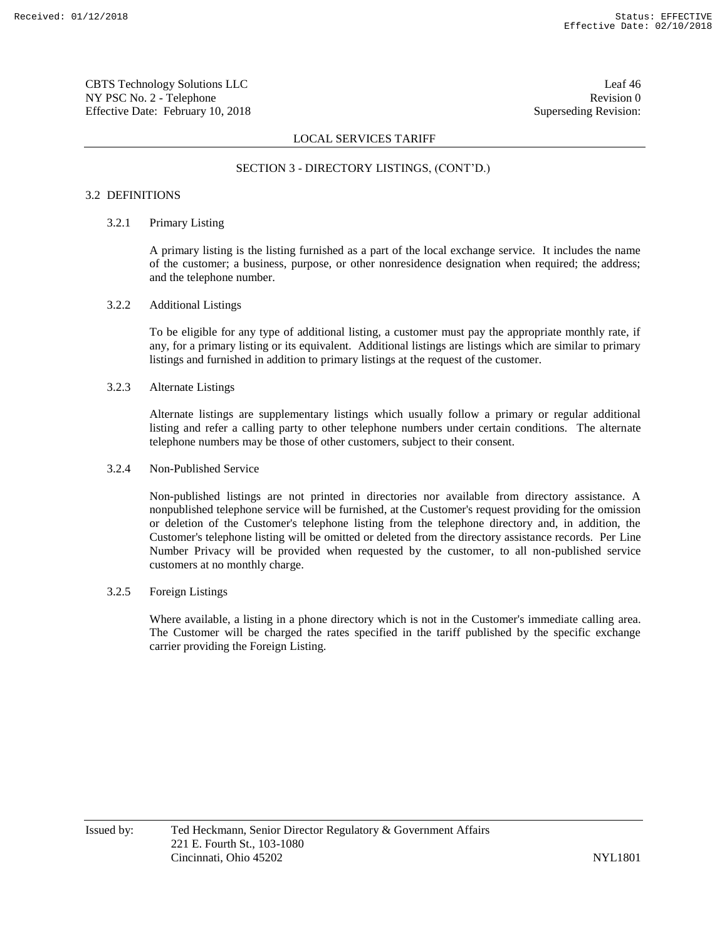CBTS Technology Solutions LLC Leaf 46 NY PSC No. 2 - Telephone Revision 0 Effective Date: February 10, 2018 Superseding Revision:

# LOCAL SERVICES TARIFF

# SECTION 3 - DIRECTORY LISTINGS, (CONT'D.)

# 3.2 DEFINITIONS

# 3.2.1 Primary Listing

A primary listing is the listing furnished as a part of the local exchange service. It includes the name of the customer; a business, purpose, or other nonresidence designation when required; the address; and the telephone number.

#### 3.2.2 Additional Listings

To be eligible for any type of additional listing, a customer must pay the appropriate monthly rate, if any, for a primary listing or its equivalent. Additional listings are listings which are similar to primary listings and furnished in addition to primary listings at the request of the customer.

# 3.2.3 Alternate Listings

Alternate listings are supplementary listings which usually follow a primary or regular additional listing and refer a calling party to other telephone numbers under certain conditions. The alternate telephone numbers may be those of other customers, subject to their consent.

### 3.2.4 Non-Published Service

Non-published listings are not printed in directories nor available from directory assistance. A nonpublished telephone service will be furnished, at the Customer's request providing for the omission or deletion of the Customer's telephone listing from the telephone directory and, in addition, the Customer's telephone listing will be omitted or deleted from the directory assistance records. Per Line Number Privacy will be provided when requested by the customer, to all non-published service customers at no monthly charge.

# 3.2.5 Foreign Listings

Where available, a listing in a phone directory which is not in the Customer's immediate calling area. The Customer will be charged the rates specified in the tariff published by the specific exchange carrier providing the Foreign Listing.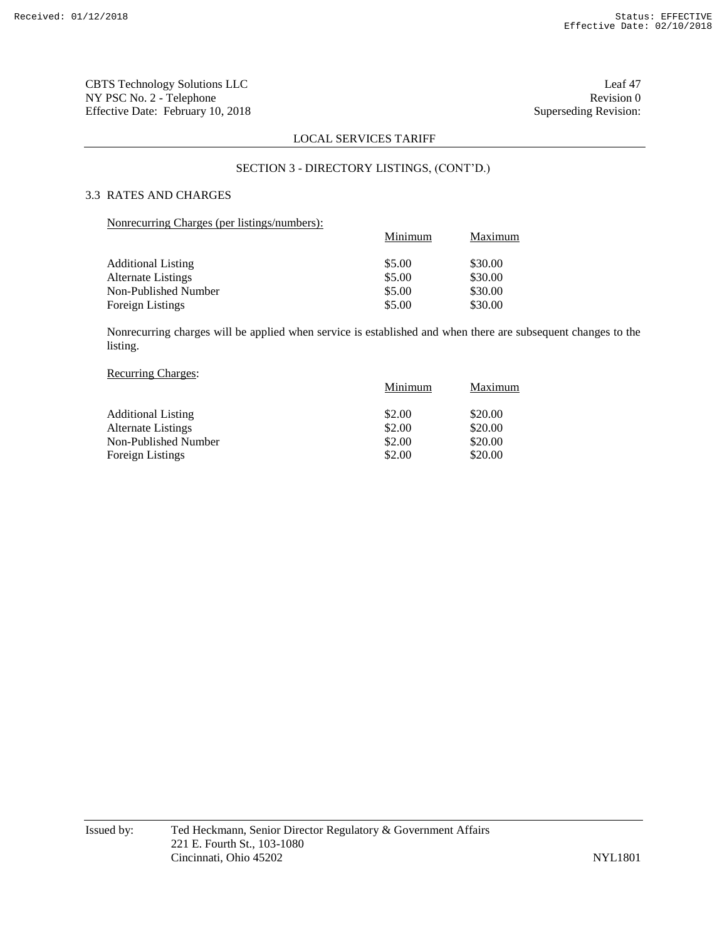CBTS Technology Solutions LLC Leaf 47 NY PSC No. 2 - Telephone Revision 0<br>Effective Date: February 10, 2018 Superseding Revision: Effective Date: February 10, 2018

# LOCAL SERVICES TARIFF

### SECTION 3 - DIRECTORY LISTINGS, (CONT'D.)

# 3.3 RATES AND CHARGES

Nonrecurring Charges (per listings/numbers):

|                           | Minimum | Maximum |
|---------------------------|---------|---------|
| <b>Additional Listing</b> | \$5.00  | \$30.00 |
| <b>Alternate Listings</b> | \$5.00  | \$30.00 |
| Non-Published Number      | \$5.00  | \$30.00 |
| Foreign Listings          | \$5.00  | \$30.00 |

Nonrecurring charges will be applied when service is established and when there are subsequent changes to the listing.

# Recurring Charges:

|                           | Minimum | Maximum |
|---------------------------|---------|---------|
| <b>Additional Listing</b> | \$2.00  | \$20.00 |
| <b>Alternate Listings</b> | \$2.00  | \$20.00 |
| Non-Published Number      | \$2.00  | \$20.00 |
| <b>Foreign Listings</b>   | \$2.00  | \$20.00 |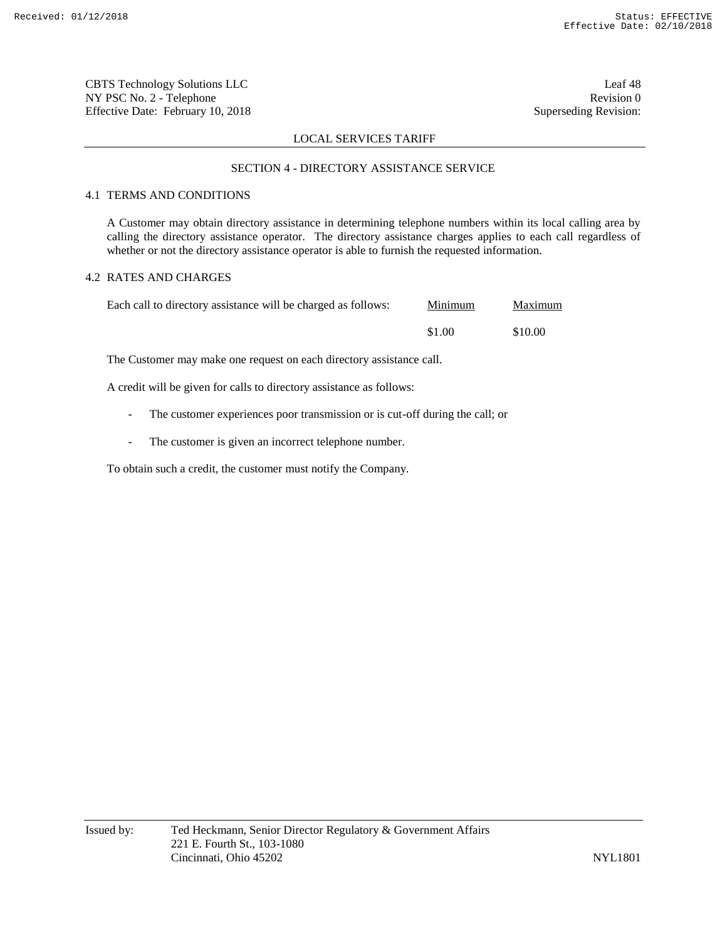CBTS Technology Solutions LLC Leaf 48 NY PSC No. 2 - Telephone Revision 0 Effective Date: February 10, 2018 Superseding Revision:

### LOCAL SERVICES TARIFF

#### SECTION 4 - DIRECTORY ASSISTANCE SERVICE

# 4.1 TERMS AND CONDITIONS

A Customer may obtain directory assistance in determining telephone numbers within its local calling area by calling the directory assistance operator. The directory assistance charges applies to each call regardless of whether or not the directory assistance operator is able to furnish the requested information.

# 4.2 RATES AND CHARGES

| Each call to directory assistance will be charged as follows: | Minimum | Maximum |
|---------------------------------------------------------------|---------|---------|
|                                                               | \$1.00  | \$10.00 |

The Customer may make one request on each directory assistance call.

A credit will be given for calls to directory assistance as follows:

- The customer experiences poor transmission or is cut-off during the call; or
- The customer is given an incorrect telephone number.

To obtain such a credit, the customer must notify the Company.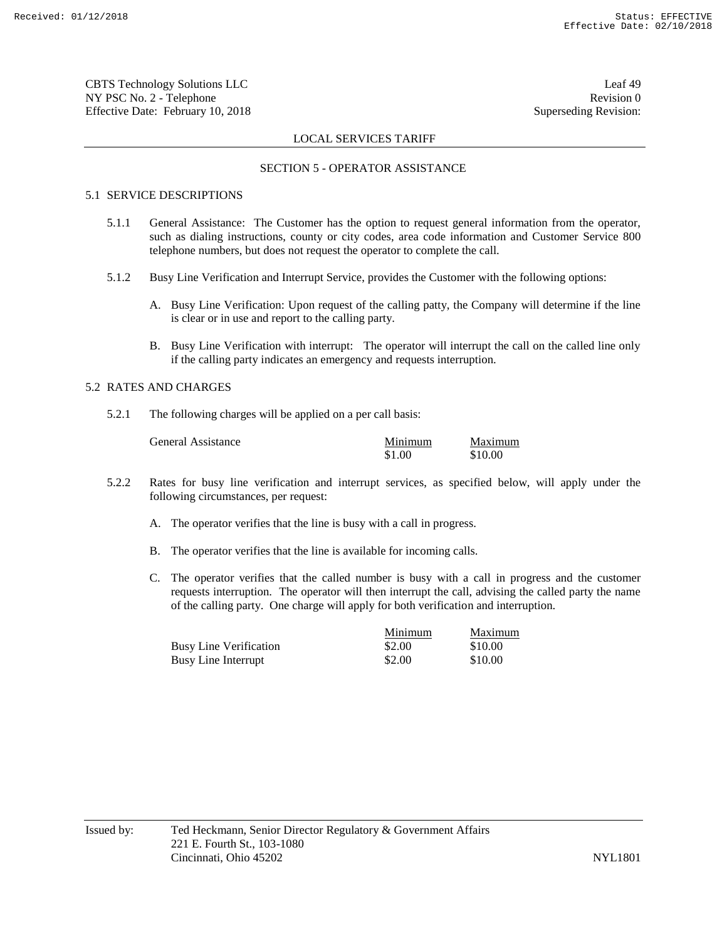CBTS Technology Solutions LLC Leaf 49 NY PSC No. 2 - Telephone Revision 0 Effective Date: February 10, 2018 Superseding Revision:

### LOCAL SERVICES TARIFF

#### SECTION 5 - OPERATOR ASSISTANCE

# 5.1 SERVICE DESCRIPTIONS

- 5.1.1 General Assistance: The Customer has the option to request general information from the operator, such as dialing instructions, county or city codes, area code information and Customer Service 800 telephone numbers, but does not request the operator to complete the call.
- 5.1.2 Busy Line Verification and Interrupt Service, provides the Customer with the following options:
	- A. Busy Line Verification: Upon request of the calling patty, the Company will determine if the line is clear or in use and report to the calling party.
	- B. Busy Line Verification with interrupt: The operator will interrupt the call on the called line only if the calling party indicates an emergency and requests interruption.

#### 5.2 RATES AND CHARGES

5.2.1 The following charges will be applied on a per call basis:

| General Assistance | Minimum | Maximum |
|--------------------|---------|---------|
|                    | \$1.00  | \$10.00 |

- 5.2.2 Rates for busy line verification and interrupt services, as specified below, will apply under the following circumstances, per request:
	- A. The operator verifies that the line is busy with a call in progress.
	- B. The operator verifies that the line is available for incoming calls.
	- C. The operator verifies that the called number is busy with a call in progress and the customer requests interruption. The operator will then interrupt the call, advising the called party the name of the calling party. One charge will apply for both verification and interruption.

|                               | Minimum | Maximum |
|-------------------------------|---------|---------|
| <b>Busy Line Verification</b> | \$2.00  | \$10.00 |
| Busy Line Interrupt           | \$2.00  | \$10.00 |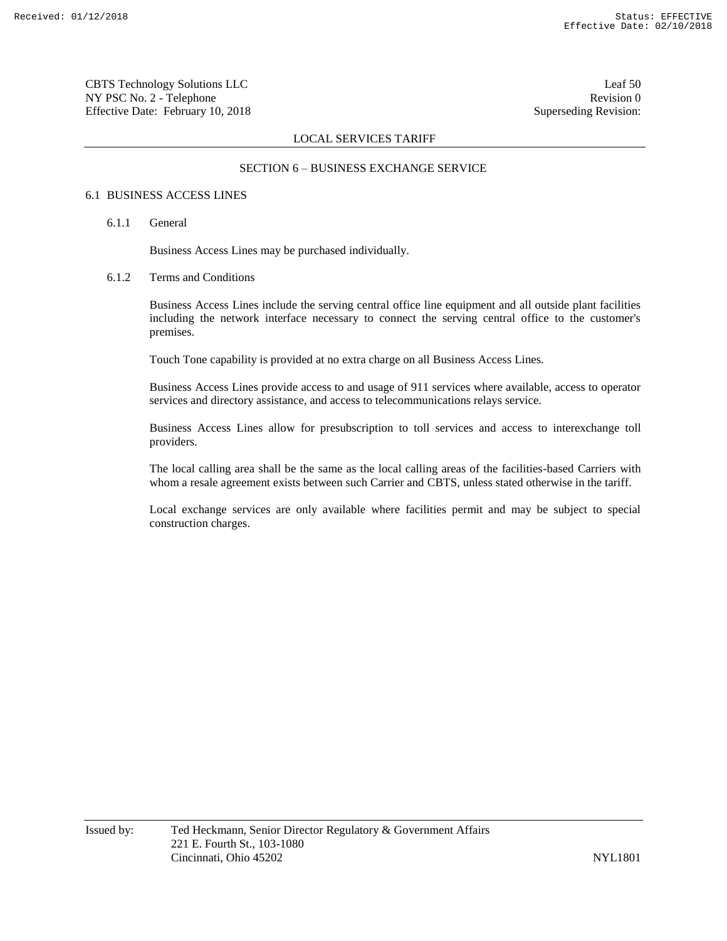CBTS Technology Solutions LLC Leaf 50 NY PSC No. 2 - Telephone Revision 0 Effective Date: February 10, 2018 Superseding Revision:

# LOCAL SERVICES TARIFF

# SECTION 6 – BUSINESS EXCHANGE SERVICE

# 6.1 BUSINESS ACCESS LINES

### 6.1.1 General

Business Access Lines may be purchased individually.

# 6.1.2 Terms and Conditions

Business Access Lines include the serving central office line equipment and all outside plant facilities including the network interface necessary to connect the serving central office to the customer's premises.

Touch Tone capability is provided at no extra charge on all Business Access Lines.

Business Access Lines provide access to and usage of 911 services where available, access to operator services and directory assistance, and access to telecommunications relays service.

Business Access Lines allow for presubscription to toll services and access to interexchange toll providers.

The local calling area shall be the same as the local calling areas of the facilities-based Carriers with whom a resale agreement exists between such Carrier and CBTS, unless stated otherwise in the tariff.

Local exchange services are only available where facilities permit and may be subject to special construction charges.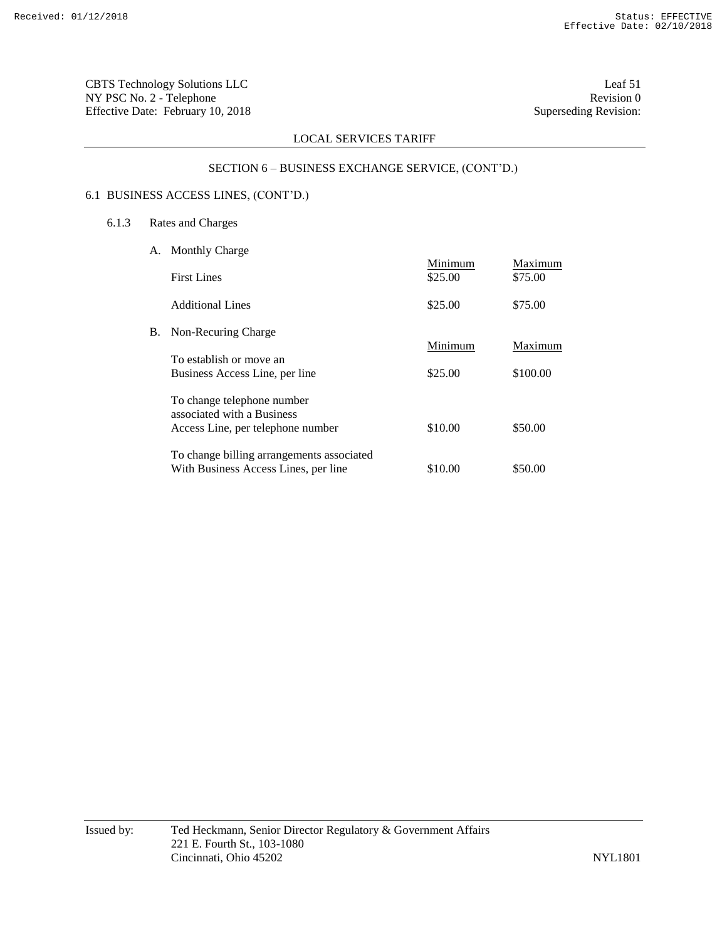CBTS Technology Solutions LLC Leaf 51 NY PSC No. 2 - Telephone Revision 0<br>Effective Date: February 10, 2018 Superseding Revision: Effective Date: February 10, 2018

# LOCAL SERVICES TARIFF

# SECTION 6 – BUSINESS EXCHANGE SERVICE, (CONT'D.)

# 6.1 BUSINESS ACCESS LINES, (CONT'D.)

# 6.1.3 Rates and Charges

| А. | <b>Monthly Charge</b>                                                                         |                    |                    |
|----|-----------------------------------------------------------------------------------------------|--------------------|--------------------|
|    | <b>First Lines</b>                                                                            | Minimum<br>\$25.00 | Maximum<br>\$75.00 |
|    | Additional Lines                                                                              | \$25.00            | \$75.00            |
| В. | Non-Recuring Charge                                                                           |                    |                    |
|    | To establish or move an                                                                       | Minimum            | Maximum            |
|    | Business Access Line, per line                                                                | \$25.00            | \$100.00           |
|    | To change telephone number<br>associated with a Business<br>Access Line, per telephone number | \$10.00            | \$50.00            |
|    |                                                                                               |                    |                    |
|    | To change billing arrangements associated<br>With Business Access Lines, per line             | \$10.00            | \$50.00            |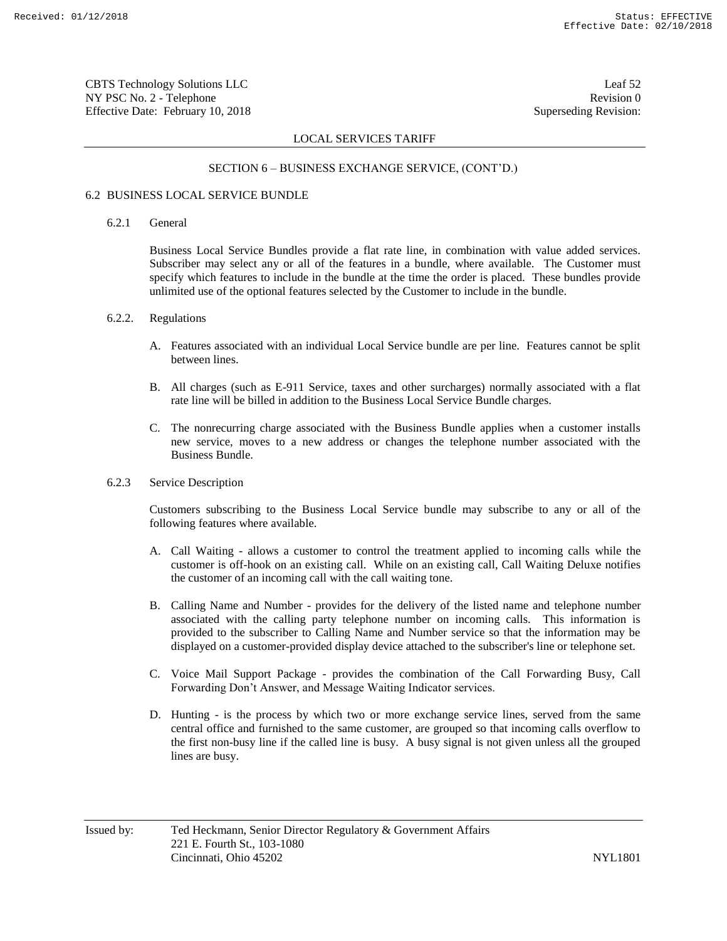CBTS Technology Solutions LLC Leaf 52 NY PSC No. 2 - Telephone Revision 0 Effective Date: February 10, 2018 Superseding Revision:

# LOCAL SERVICES TARIFF

### SECTION 6 – BUSINESS EXCHANGE SERVICE, (CONT'D.)

# 6.2 BUSINESS LOCAL SERVICE BUNDLE

#### 6.2.1 General

Business Local Service Bundles provide a flat rate line, in combination with value added services. Subscriber may select any or all of the features in a bundle, where available. The Customer must specify which features to include in the bundle at the time the order is placed. These bundles provide unlimited use of the optional features selected by the Customer to include in the bundle.

#### 6.2.2. Regulations

- A. Features associated with an individual Local Service bundle are per line. Features cannot be split between lines.
- B. All charges (such as E-911 Service, taxes and other surcharges) normally associated with a flat rate line will be billed in addition to the Business Local Service Bundle charges.
- C. The nonrecurring charge associated with the Business Bundle applies when a customer installs new service, moves to a new address or changes the telephone number associated with the Business Bundle.

# 6.2.3 Service Description

Customers subscribing to the Business Local Service bundle may subscribe to any or all of the following features where available.

- A. Call Waiting allows a customer to control the treatment applied to incoming calls while the customer is off-hook on an existing call. While on an existing call, Call Waiting Deluxe notifies the customer of an incoming call with the call waiting tone.
- B. Calling Name and Number provides for the delivery of the listed name and telephone number associated with the calling party telephone number on incoming calls. This information is provided to the subscriber to Calling Name and Number service so that the information may be displayed on a customer-provided display device attached to the subscriber's line or telephone set.
- C. Voice Mail Support Package provides the combination of the Call Forwarding Busy, Call Forwarding Don't Answer, and Message Waiting Indicator services.
- D. Hunting is the process by which two or more exchange service lines, served from the same central office and furnished to the same customer, are grouped so that incoming calls overflow to the first non-busy line if the called line is busy. A busy signal is not given unless all the grouped lines are busy.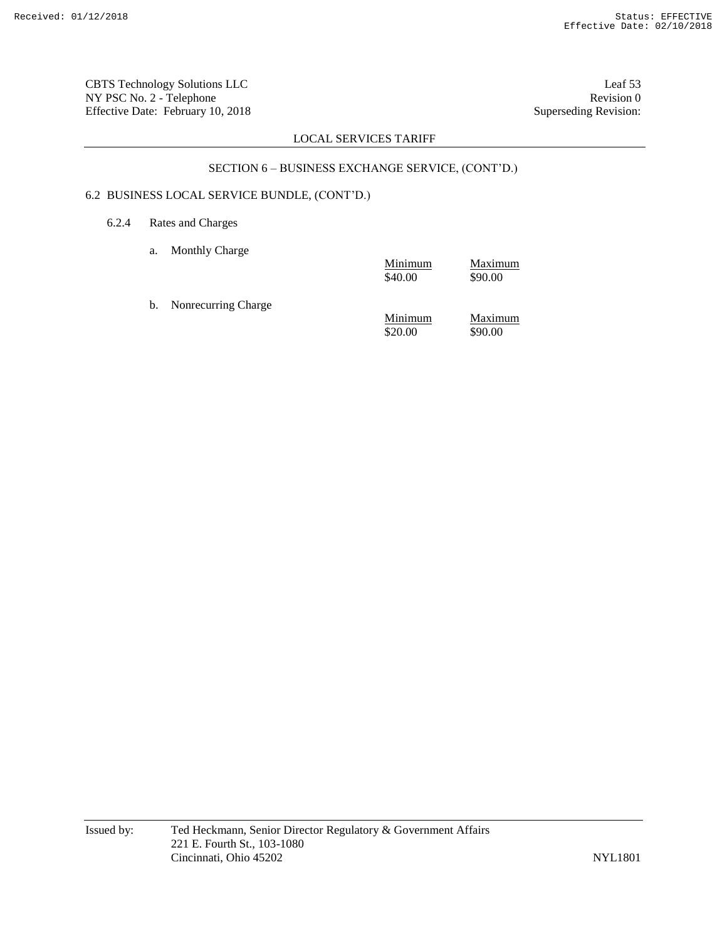CBTS Technology Solutions LLC Leaf 53 NY PSC No. 2 - Telephone Revision 0<br>Effective Date: February 10, 2018 Superseding Revision: Effective Date: February 10, 2018

# LOCAL SERVICES TARIFF

# SECTION 6 – BUSINESS EXCHANGE SERVICE, (CONT'D.)

# 6.2 BUSINESS LOCAL SERVICE BUNDLE, (CONT'D.)

- 6.2.4 Rates and Charges
	- a. Monthly Charge

|                        | Minimum<br>\$40.00 | Maximum<br>\$90.00 |
|------------------------|--------------------|--------------------|
| b. Nonrecurring Charge |                    |                    |
|                        | Minimum<br>\$20.00 | Maximum<br>\$90.00 |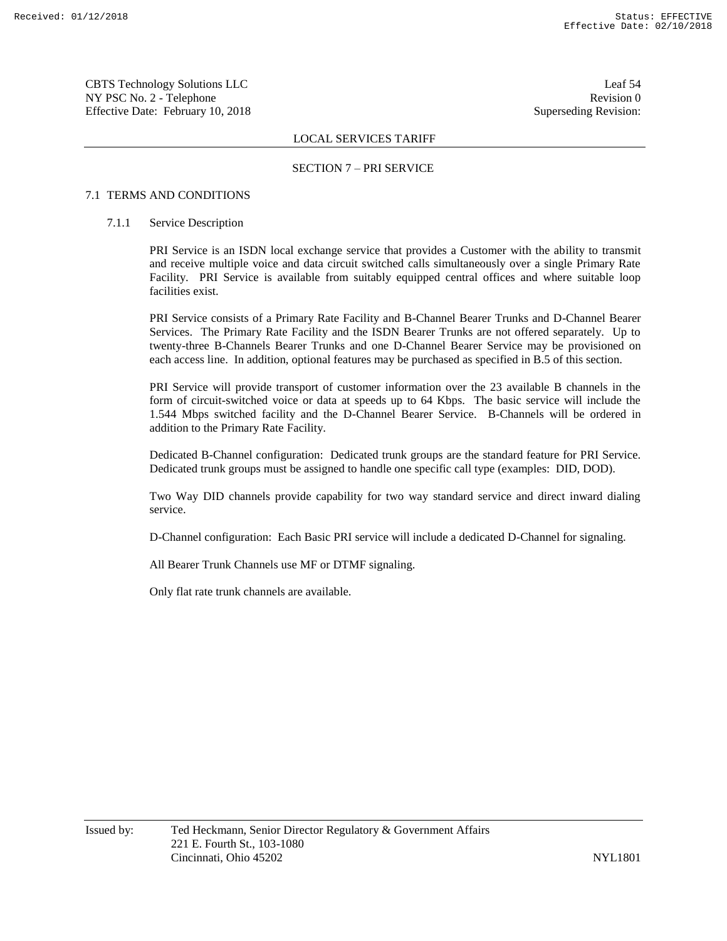CBTS Technology Solutions LLC Leaf 54 NY PSC No. 2 - Telephone Revision 0 Effective Date: February 10, 2018 Superseding Revision:

# LOCAL SERVICES TARIFF

# SECTION 7 – PRI SERVICE

# 7.1 TERMS AND CONDITIONS

#### 7.1.1 Service Description

PRI Service is an ISDN local exchange service that provides a Customer with the ability to transmit and receive multiple voice and data circuit switched calls simultaneously over a single Primary Rate Facility. PRI Service is available from suitably equipped central offices and where suitable loop facilities exist.

PRI Service consists of a Primary Rate Facility and B-Channel Bearer Trunks and D-Channel Bearer Services. The Primary Rate Facility and the ISDN Bearer Trunks are not offered separately. Up to twenty-three B-Channels Bearer Trunks and one D-Channel Bearer Service may be provisioned on each access line. In addition, optional features may be purchased as specified in B.5 of this section.

PRI Service will provide transport of customer information over the 23 available B channels in the form of circuit-switched voice or data at speeds up to 64 Kbps. The basic service will include the 1.544 Mbps switched facility and the D-Channel Bearer Service. B-Channels will be ordered in addition to the Primary Rate Facility.

Dedicated B-Channel configuration: Dedicated trunk groups are the standard feature for PRI Service. Dedicated trunk groups must be assigned to handle one specific call type (examples: DID, DOD).

Two Way DID channels provide capability for two way standard service and direct inward dialing service.

D-Channel configuration: Each Basic PRI service will include a dedicated D-Channel for signaling.

All Bearer Trunk Channels use MF or DTMF signaling.

Only flat rate trunk channels are available.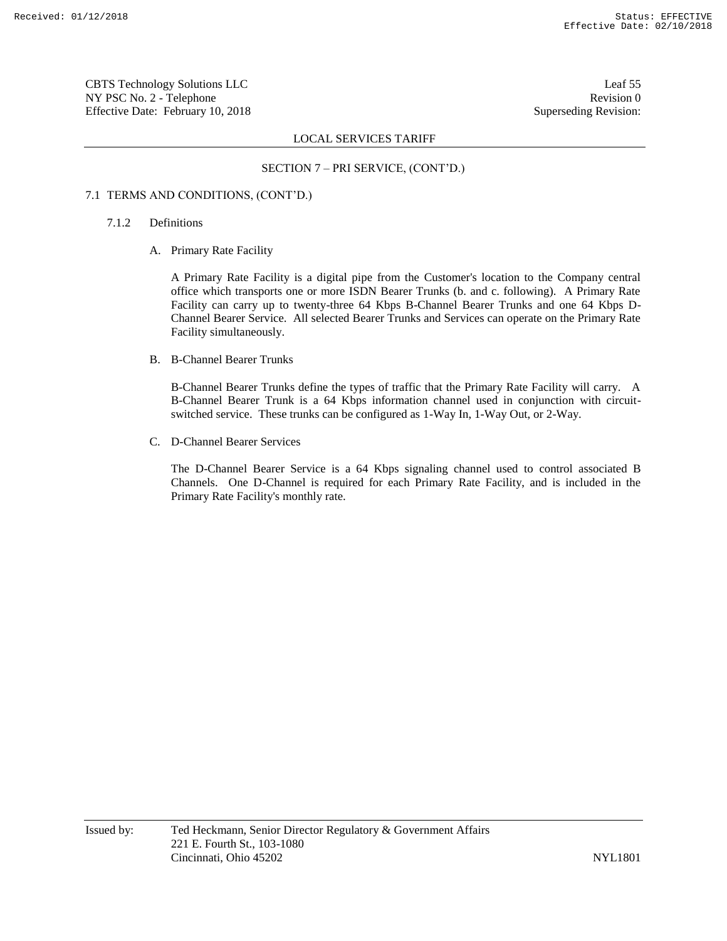CBTS Technology Solutions LLC Leaf 55 NY PSC No. 2 - Telephone Revision 0 Effective Date: February 10, 2018 Superseding Revision:

# LOCAL SERVICES TARIFF

### SECTION 7 – PRI SERVICE, (CONT'D.)

# 7.1 TERMS AND CONDITIONS, (CONT'D.)

- 7.1.2 Definitions
	- A. Primary Rate Facility

A Primary Rate Facility is a digital pipe from the Customer's location to the Company central office which transports one or more ISDN Bearer Trunks (b. and c. following). A Primary Rate Facility can carry up to twenty-three 64 Kbps B-Channel Bearer Trunks and one 64 Kbps D-Channel Bearer Service. All selected Bearer Trunks and Services can operate on the Primary Rate Facility simultaneously.

B. B-Channel Bearer Trunks

B-Channel Bearer Trunks define the types of traffic that the Primary Rate Facility will carry. A B-Channel Bearer Trunk is a 64 Kbps information channel used in conjunction with circuitswitched service. These trunks can be configured as 1-Way In, 1-Way Out, or 2-Way.

C. D-Channel Bearer Services

The D-Channel Bearer Service is a 64 Kbps signaling channel used to control associated B Channels. One D-Channel is required for each Primary Rate Facility, and is included in the Primary Rate Facility's monthly rate.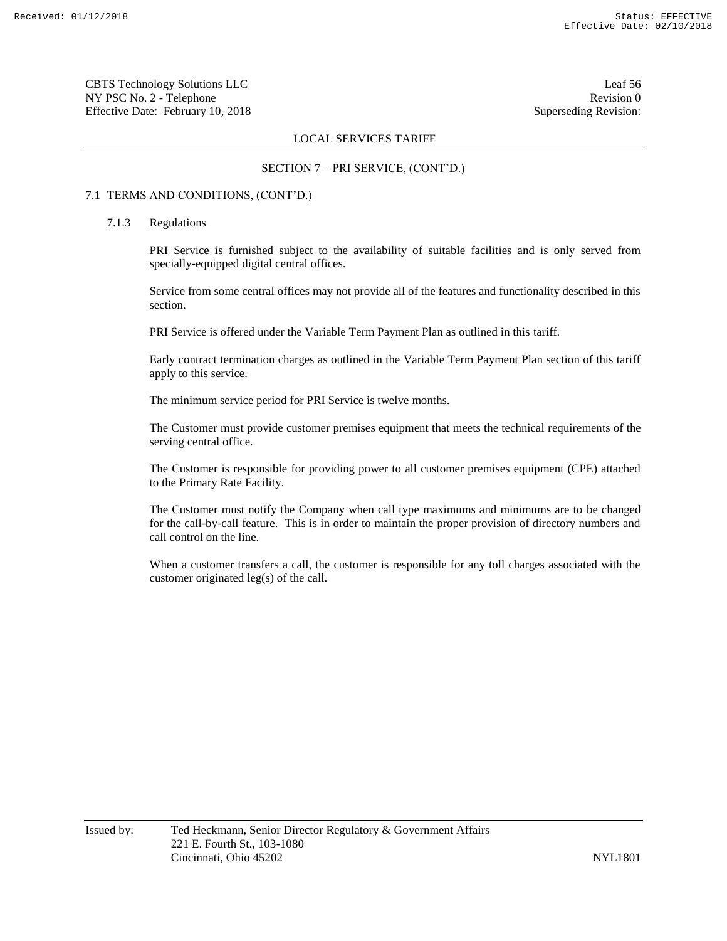CBTS Technology Solutions LLC Leaf 56 NY PSC No. 2 - Telephone Revision 0 Effective Date: February 10, 2018 Superseding Revision:

# LOCAL SERVICES TARIFF

# SECTION 7 – PRI SERVICE, (CONT'D.)

# 7.1 TERMS AND CONDITIONS, (CONT'D.)

#### 7.1.3 Regulations

PRI Service is furnished subject to the availability of suitable facilities and is only served from specially-equipped digital central offices.

Service from some central offices may not provide all of the features and functionality described in this section.

PRI Service is offered under the Variable Term Payment Plan as outlined in this tariff.

Early contract termination charges as outlined in the Variable Term Payment Plan section of this tariff apply to this service.

The minimum service period for PRI Service is twelve months.

The Customer must provide customer premises equipment that meets the technical requirements of the serving central office.

The Customer is responsible for providing power to all customer premises equipment (CPE) attached to the Primary Rate Facility.

The Customer must notify the Company when call type maximums and minimums are to be changed for the call-by-call feature. This is in order to maintain the proper provision of directory numbers and call control on the line.

When a customer transfers a call, the customer is responsible for any toll charges associated with the customer originated leg(s) of the call.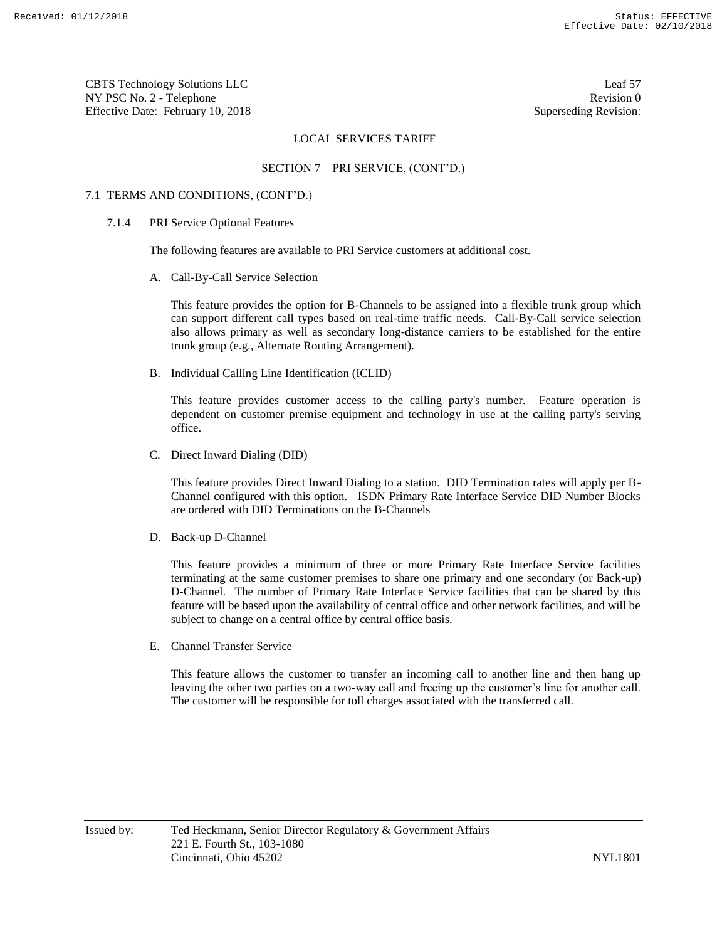CBTS Technology Solutions LLC Leaf 57 NY PSC No. 2 - Telephone Revision 0 Effective Date: February 10, 2018 Superseding Revision:

# LOCAL SERVICES TARIFF

# SECTION 7 – PRI SERVICE, (CONT'D.)

#### 7.1 TERMS AND CONDITIONS, (CONT'D.)

#### 7.1.4 PRI Service Optional Features

The following features are available to PRI Service customers at additional cost.

A. Call-By-Call Service Selection

This feature provides the option for B-Channels to be assigned into a flexible trunk group which can support different call types based on real-time traffic needs. Call-By-Call service selection also allows primary as well as secondary long-distance carriers to be established for the entire trunk group (e.g., Alternate Routing Arrangement).

B. Individual Calling Line Identification (ICLID)

This feature provides customer access to the calling party's number. Feature operation is dependent on customer premise equipment and technology in use at the calling party's serving office.

C. Direct Inward Dialing (DID)

This feature provides Direct Inward Dialing to a station. DID Termination rates will apply per B-Channel configured with this option. ISDN Primary Rate Interface Service DID Number Blocks are ordered with DID Terminations on the B-Channels

D. Back-up D-Channel

This feature provides a minimum of three or more Primary Rate Interface Service facilities terminating at the same customer premises to share one primary and one secondary (or Back-up) D-Channel. The number of Primary Rate Interface Service facilities that can be shared by this feature will be based upon the availability of central office and other network facilities, and will be subject to change on a central office by central office basis.

E. Channel Transfer Service

This feature allows the customer to transfer an incoming call to another line and then hang up leaving the other two parties on a two-way call and freeing up the customer's line for another call. The customer will be responsible for toll charges associated with the transferred call.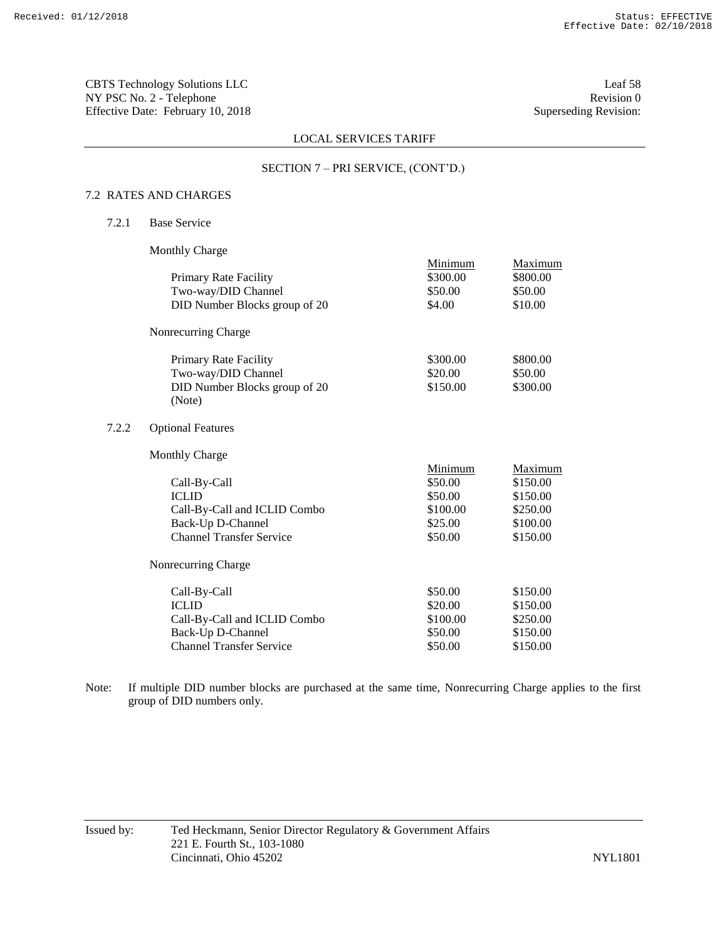CBTS Technology Solutions LLC Leaf 58 NY PSC No. 2 - Telephone Revision 0<br>Effective Date: February 10, 2018 Superseding Revision: Effective Date: February 10, 2018

# LOCAL SERVICES TARIFF

# SECTION 7 – PRI SERVICE, (CONT'D.)

# 7.2 RATES AND CHARGES

7.2.1 Base Service

 $7.2.2$ 

Monthly Charge

|                                 | Minimum  | Maximum  |
|---------------------------------|----------|----------|
| Primary Rate Facility           | \$300.00 | \$800.00 |
| Two-way/DID Channel             | \$50.00  | \$50.00  |
| DID Number Blocks group of 20   | \$4.00   | \$10.00  |
| Nonrecurring Charge             |          |          |
| Primary Rate Facility           | \$300.00 | \$800.00 |
| Two-way/DID Channel             | \$20.00  | \$50.00  |
| DID Number Blocks group of 20   | \$150.00 | \$300.00 |
| (Note)                          |          |          |
| <b>Optional Features</b>        |          |          |
| <b>Monthly Charge</b>           |          |          |
|                                 | Minimum  | Maximum  |
| Call-By-Call                    | \$50.00  | \$150.00 |
| <b>ICLID</b>                    | \$50.00  | \$150.00 |
| Call-By-Call and ICLID Combo    | \$100.00 | \$250.00 |
| Back-Up D-Channel               | \$25.00  | \$100.00 |
| <b>Channel Transfer Service</b> | \$50.00  | \$150.00 |
| Nonrecurring Charge             |          |          |
| Call-By-Call                    | \$50.00  | \$150.00 |

| Call-By-Call                    | \$50.00  | \$150.00 |
|---------------------------------|----------|----------|
| <b>ICLID</b>                    | \$20.00  | \$150.00 |
| Call-By-Call and ICLID Combo    | \$100.00 | \$250.00 |
| Back-Up D-Channel               | \$50.00  | \$150.00 |
| <b>Channel Transfer Service</b> | \$50.00  | \$150.00 |

Note: If multiple DID number blocks are purchased at the same time, Nonrecurring Charge applies to the first group of DID numbers only.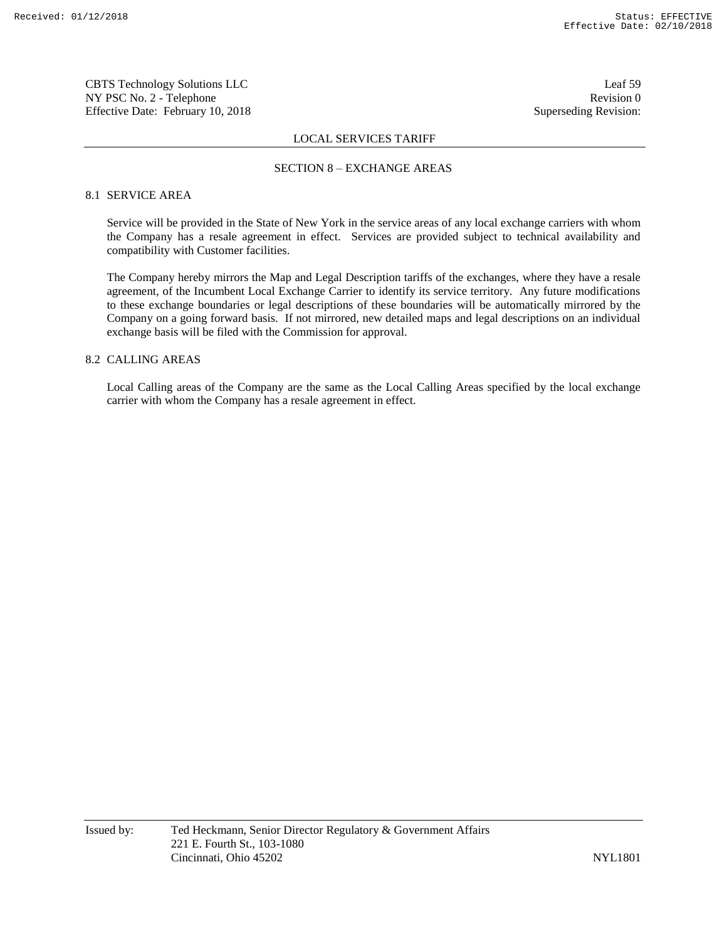CBTS Technology Solutions LLC Leaf 59 NY PSC No. 2 - Telephone Revision 0 Effective Date: February 10, 2018 Superseding Revision:

### LOCAL SERVICES TARIFF

#### SECTION 8 – EXCHANGE AREAS

# 8.1 SERVICE AREA

Service will be provided in the State of New York in the service areas of any local exchange carriers with whom the Company has a resale agreement in effect. Services are provided subject to technical availability and compatibility with Customer facilities.

The Company hereby mirrors the Map and Legal Description tariffs of the exchanges, where they have a resale agreement, of the Incumbent Local Exchange Carrier to identify its service territory. Any future modifications to these exchange boundaries or legal descriptions of these boundaries will be automatically mirrored by the Company on a going forward basis. If not mirrored, new detailed maps and legal descriptions on an individual exchange basis will be filed with the Commission for approval.

# 8.2 CALLING AREAS

Local Calling areas of the Company are the same as the Local Calling Areas specified by the local exchange carrier with whom the Company has a resale agreement in effect.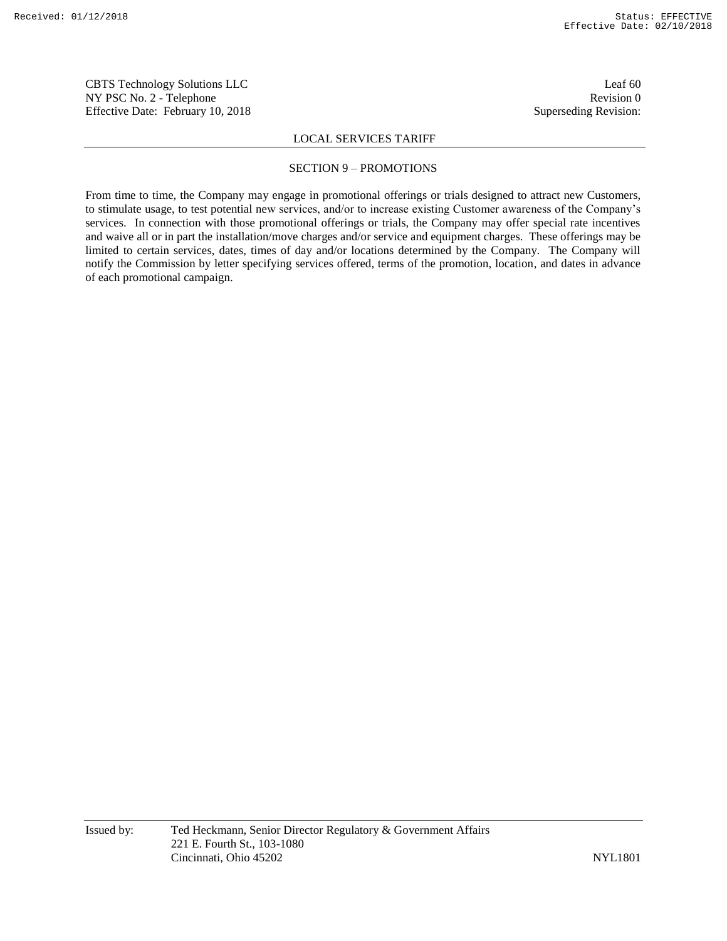CBTS Technology Solutions LLC Leaf 60 NY PSC No. 2 - Telephone Revision 0 Effective Date: February 10, 2018 Superseding Revision:

### LOCAL SERVICES TARIFF

#### SECTION 9 – PROMOTIONS

From time to time, the Company may engage in promotional offerings or trials designed to attract new Customers, to stimulate usage, to test potential new services, and/or to increase existing Customer awareness of the Company's services. In connection with those promotional offerings or trials, the Company may offer special rate incentives and waive all or in part the installation/move charges and/or service and equipment charges. These offerings may be limited to certain services, dates, times of day and/or locations determined by the Company. The Company will notify the Commission by letter specifying services offered, terms of the promotion, location, and dates in advance of each promotional campaign.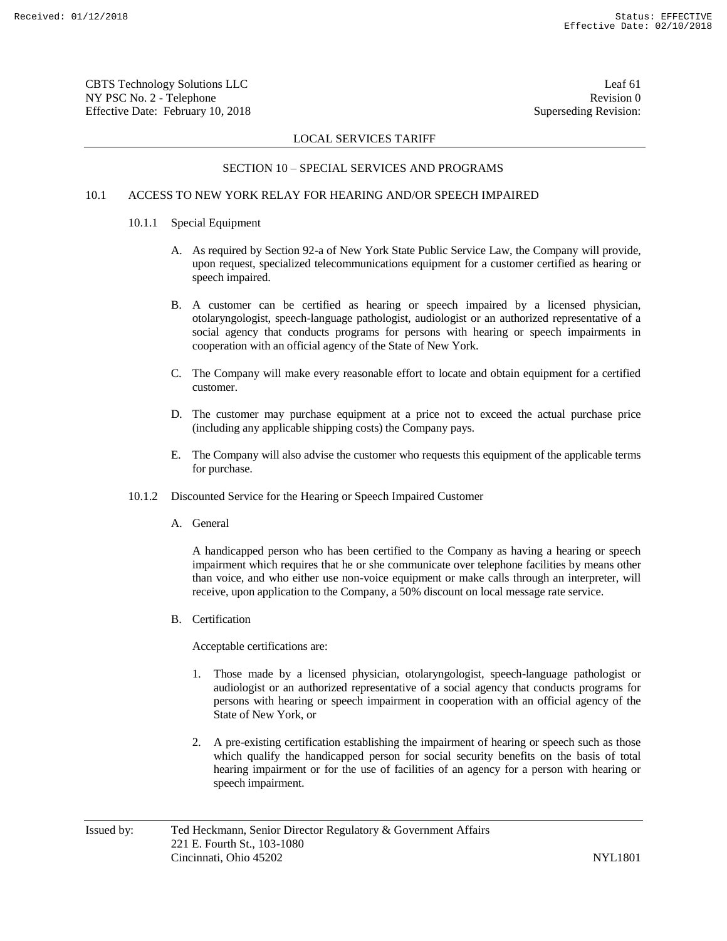CBTS Technology Solutions LLC Leaf 61 NY PSC No. 2 - Telephone Revision 0 Effective Date: February 10, 2018 Superseding Revision:

# LOCAL SERVICES TARIFF

# SECTION 10 – SPECIAL SERVICES AND PROGRAMS

# 10.1 ACCESS TO NEW YORK RELAY FOR HEARING AND/OR SPEECH IMPAIRED

- 10.1.1 Special Equipment
	- A. As required by Section 92-a of New York State Public Service Law, the Company will provide, upon request, specialized telecommunications equipment for a customer certified as hearing or speech impaired.
	- B. A customer can be certified as hearing or speech impaired by a licensed physician, otolaryngologist, speech-language pathologist, audiologist or an authorized representative of a social agency that conducts programs for persons with hearing or speech impairments in cooperation with an official agency of the State of New York.
	- C. The Company will make every reasonable effort to locate and obtain equipment for a certified customer.
	- D. The customer may purchase equipment at a price not to exceed the actual purchase price (including any applicable shipping costs) the Company pays.
	- E. The Company will also advise the customer who requests this equipment of the applicable terms for purchase.
- 10.1.2 Discounted Service for the Hearing or Speech Impaired Customer
	- A. General

A handicapped person who has been certified to the Company as having a hearing or speech impairment which requires that he or she communicate over telephone facilities by means other than voice, and who either use non-voice equipment or make calls through an interpreter, will receive, upon application to the Company, a 50% discount on local message rate service.

B. Certification

Acceptable certifications are:

- 1. Those made by a licensed physician, otolaryngologist, speech-language pathologist or audiologist or an authorized representative of a social agency that conducts programs for persons with hearing or speech impairment in cooperation with an official agency of the State of New York, or
- 2. A pre-existing certification establishing the impairment of hearing or speech such as those which qualify the handicapped person for social security benefits on the basis of total hearing impairment or for the use of facilities of an agency for a person with hearing or speech impairment.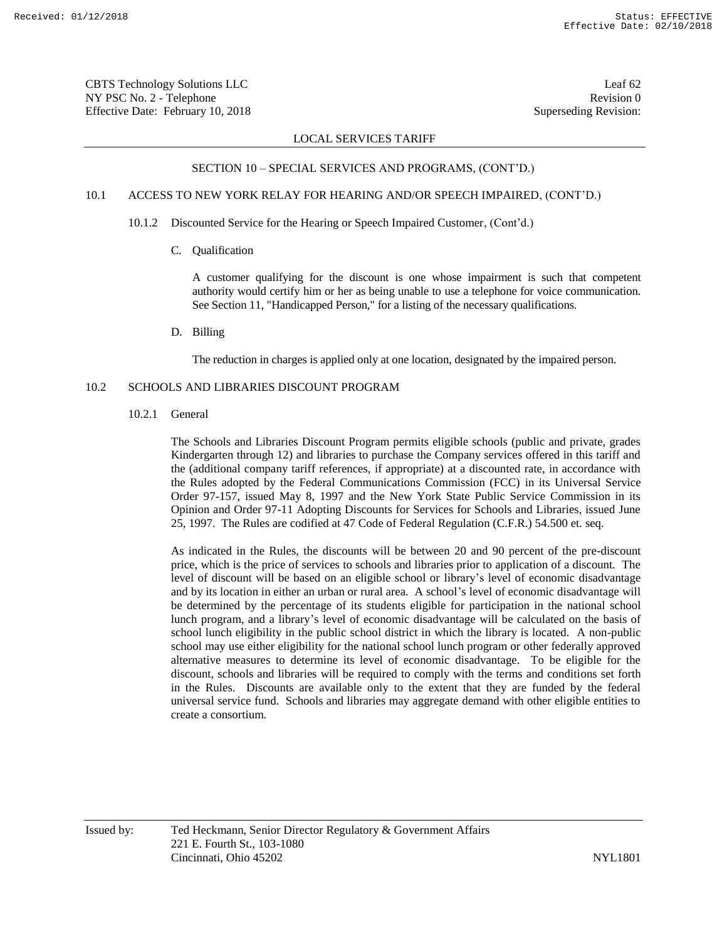CBTS Technology Solutions LLC Leaf 62 NY PSC No. 2 - Telephone Revision 0 Effective Date: February 10, 2018 Superseding Revision:

### LOCAL SERVICES TARIFF

#### SECTION 10 – SPECIAL SERVICES AND PROGRAMS, (CONT'D.)

# 10.1 ACCESS TO NEW YORK RELAY FOR HEARING AND/OR SPEECH IMPAIRED, (CONT'D.)

- 10.1.2 Discounted Service for the Hearing or Speech Impaired Customer, (Cont'd.)
	- C. Qualification

A customer qualifying for the discount is one whose impairment is such that competent authority would certify him or her as being unable to use a telephone for voice communication. See Section 11, "Handicapped Person," for a listing of the necessary qualifications.

D. Billing

The reduction in charges is applied only at one location, designated by the impaired person.

# 10.2 SCHOOLS AND LIBRARIES DISCOUNT PROGRAM

10.2.1 General

The Schools and Libraries Discount Program permits eligible schools (public and private, grades Kindergarten through 12) and libraries to purchase the Company services offered in this tariff and the (additional company tariff references, if appropriate) at a discounted rate, in accordance with the Rules adopted by the Federal Communications Commission (FCC) in its Universal Service Order 97-157, issued May 8, 1997 and the New York State Public Service Commission in its Opinion and Order 97-11 Adopting Discounts for Services for Schools and Libraries, issued June 25, 1997. The Rules are codified at 47 Code of Federal Regulation (C.F.R.) 54.500 et. seq.

As indicated in the Rules, the discounts will be between 20 and 90 percent of the pre-discount price, which is the price of services to schools and libraries prior to application of a discount. The level of discount will be based on an eligible school or library's level of economic disadvantage and by its location in either an urban or rural area. A school's level of economic disadvantage will be determined by the percentage of its students eligible for participation in the national school lunch program, and a library's level of economic disadvantage will be calculated on the basis of school lunch eligibility in the public school district in which the library is located. A non-public school may use either eligibility for the national school lunch program or other federally approved alternative measures to determine its level of economic disadvantage. To be eligible for the discount, schools and libraries will be required to comply with the terms and conditions set forth in the Rules. Discounts are available only to the extent that they are funded by the federal universal service fund. Schools and libraries may aggregate demand with other eligible entities to create a consortium.

Issued by: Ted Heckmann, Senior Director Regulatory & Government Affairs 221 E. Fourth St., 103-1080 Cincinnati, Ohio 45202 NYL1801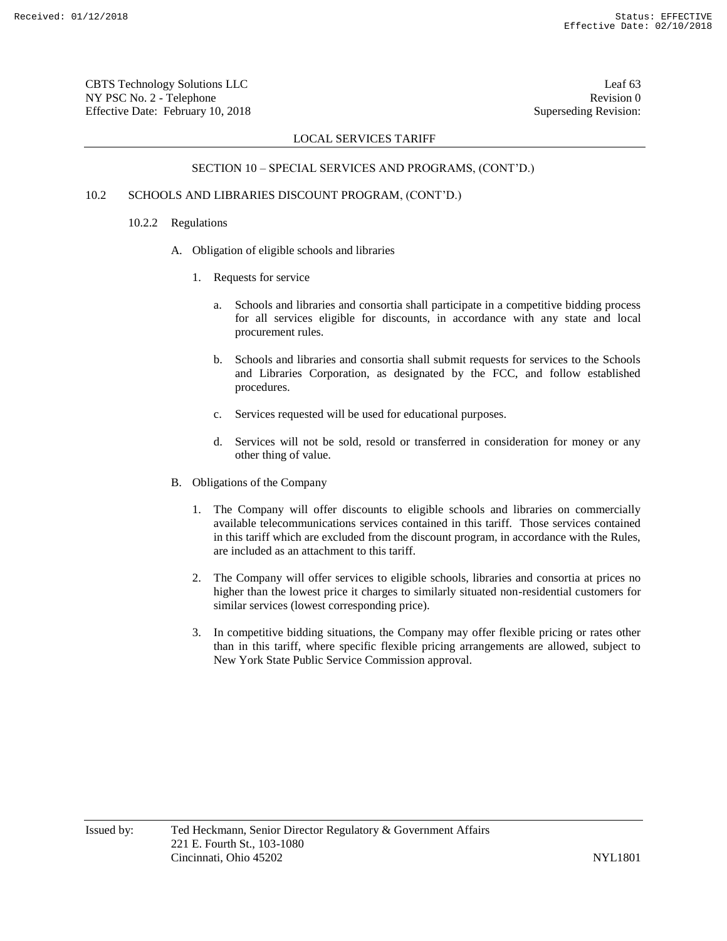CBTS Technology Solutions LLC Leaf 63 NY PSC No. 2 - Telephone Revision 0 Effective Date: February 10, 2018 Superseding Revision:

# LOCAL SERVICES TARIFF

# SECTION 10 – SPECIAL SERVICES AND PROGRAMS, (CONT'D.)

# 10.2 SCHOOLS AND LIBRARIES DISCOUNT PROGRAM, (CONT'D.)

#### 10.2.2 Regulations

- A. Obligation of eligible schools and libraries
	- 1. Requests for service
		- a. Schools and libraries and consortia shall participate in a competitive bidding process for all services eligible for discounts, in accordance with any state and local procurement rules.
		- b. Schools and libraries and consortia shall submit requests for services to the Schools and Libraries Corporation, as designated by the FCC, and follow established procedures.
		- c. Services requested will be used for educational purposes.
		- d. Services will not be sold, resold or transferred in consideration for money or any other thing of value.
- B. Obligations of the Company
	- 1. The Company will offer discounts to eligible schools and libraries on commercially available telecommunications services contained in this tariff. Those services contained in this tariff which are excluded from the discount program, in accordance with the Rules, are included as an attachment to this tariff.
	- 2. The Company will offer services to eligible schools, libraries and consortia at prices no higher than the lowest price it charges to similarly situated non-residential customers for similar services (lowest corresponding price).
	- 3. In competitive bidding situations, the Company may offer flexible pricing or rates other than in this tariff, where specific flexible pricing arrangements are allowed, subject to New York State Public Service Commission approval.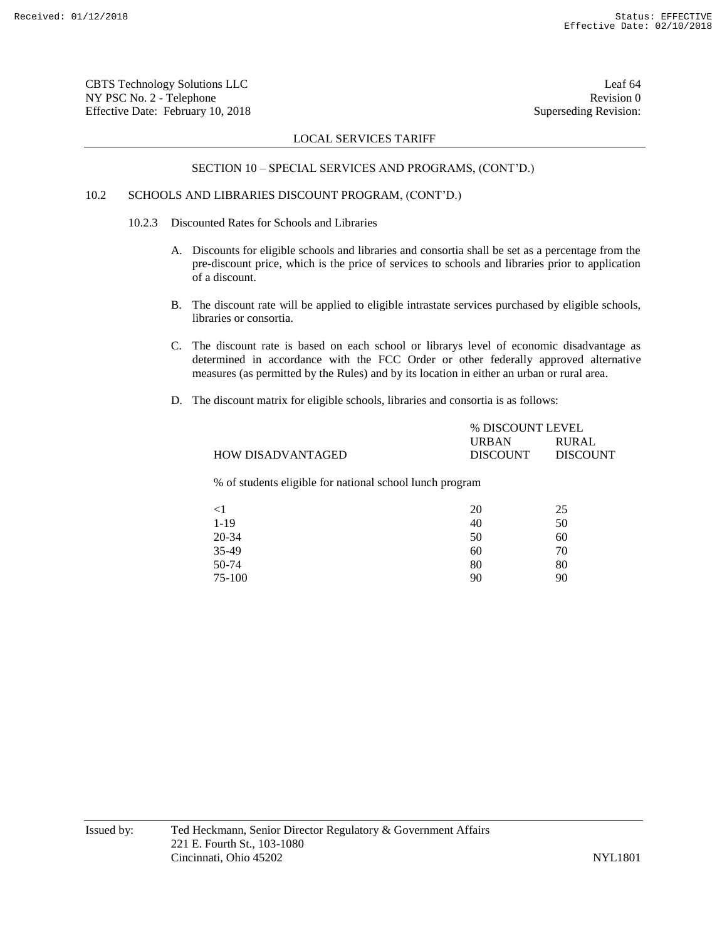CBTS Technology Solutions LLC Leaf 64 NY PSC No. 2 - Telephone Revision 0 Effective Date: February 10, 2018 Superseding Revision:

### LOCAL SERVICES TARIFF

#### SECTION 10 – SPECIAL SERVICES AND PROGRAMS, (CONT'D.)

# 10.2 SCHOOLS AND LIBRARIES DISCOUNT PROGRAM, (CONT'D.)

- 10.2.3 Discounted Rates for Schools and Libraries
	- A. Discounts for eligible schools and libraries and consortia shall be set as a percentage from the pre-discount price, which is the price of services to schools and libraries prior to application of a discount.
	- B. The discount rate will be applied to eligible intrastate services purchased by eligible schools, libraries or consortia.
	- C. The discount rate is based on each school or librarys level of economic disadvantage as determined in accordance with the FCC Order or other federally approved alternative measures (as permitted by the Rules) and by its location in either an urban or rural area.
	- D. The discount matrix for eligible schools, libraries and consortia is as follows:

|                   | % DISCOUNT LEVEL |                 |
|-------------------|------------------|-----------------|
|                   | <b>URBAN</b>     | <b>RURAL</b>    |
| HOW DISADVANTAGED | <b>DISCOUNT</b>  | <b>DISCOUNT</b> |
|                   |                  |                 |

% of students eligible for national school lunch program

| $\leq$ 1 | 20 | 25 |
|----------|----|----|
| $1-19$   | 40 | 50 |
| 20-34    | 50 | 60 |
| 35-49    | 60 | 70 |
| 50-74    | 80 | 80 |
| 75-100   | 90 | 90 |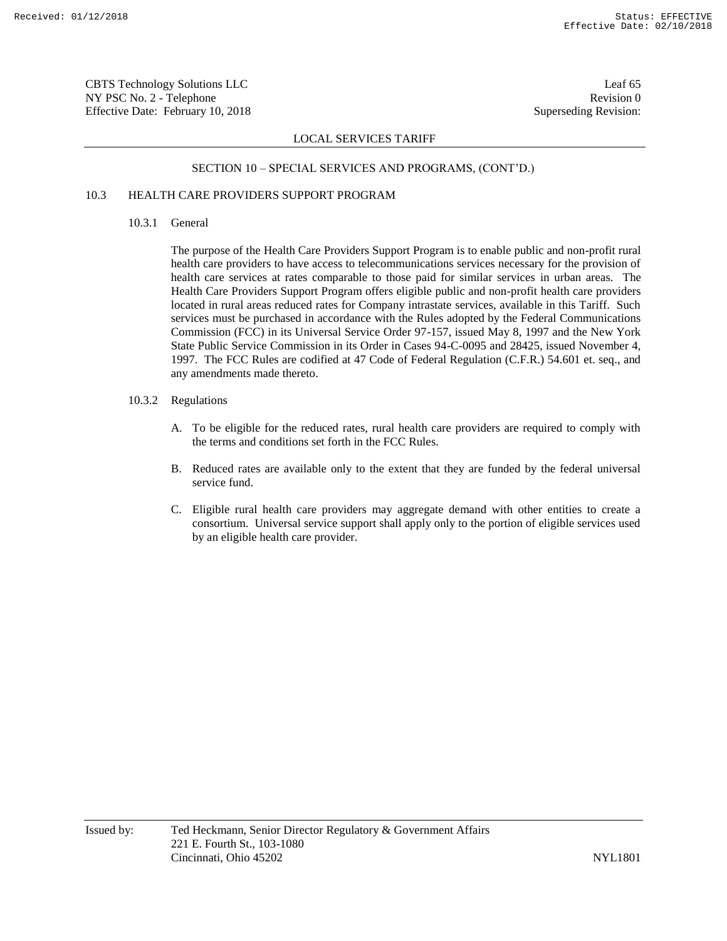CBTS Technology Solutions LLC Leaf 65 NY PSC No. 2 - Telephone Revision 0 Effective Date: February 10, 2018 Superseding Revision:

# LOCAL SERVICES TARIFF

# SECTION 10 – SPECIAL SERVICES AND PROGRAMS, (CONT'D.)

# 10.3 HEALTH CARE PROVIDERS SUPPORT PROGRAM

10.3.1 General

The purpose of the Health Care Providers Support Program is to enable public and non-profit rural health care providers to have access to telecommunications services necessary for the provision of health care services at rates comparable to those paid for similar services in urban areas. The Health Care Providers Support Program offers eligible public and non-profit health care providers located in rural areas reduced rates for Company intrastate services, available in this Tariff. Such services must be purchased in accordance with the Rules adopted by the Federal Communications Commission (FCC) in its Universal Service Order 97-157, issued May 8, 1997 and the New York State Public Service Commission in its Order in Cases 94-C-0095 and 28425, issued November 4, 1997. The FCC Rules are codified at 47 Code of Federal Regulation (C.F.R.) 54.601 et. seq., and any amendments made thereto.

- 10.3.2 Regulations
	- A. To be eligible for the reduced rates, rural health care providers are required to comply with the terms and conditions set forth in the FCC Rules.
	- B. Reduced rates are available only to the extent that they are funded by the federal universal service fund.
	- C. Eligible rural health care providers may aggregate demand with other entities to create a consortium. Universal service support shall apply only to the portion of eligible services used by an eligible health care provider.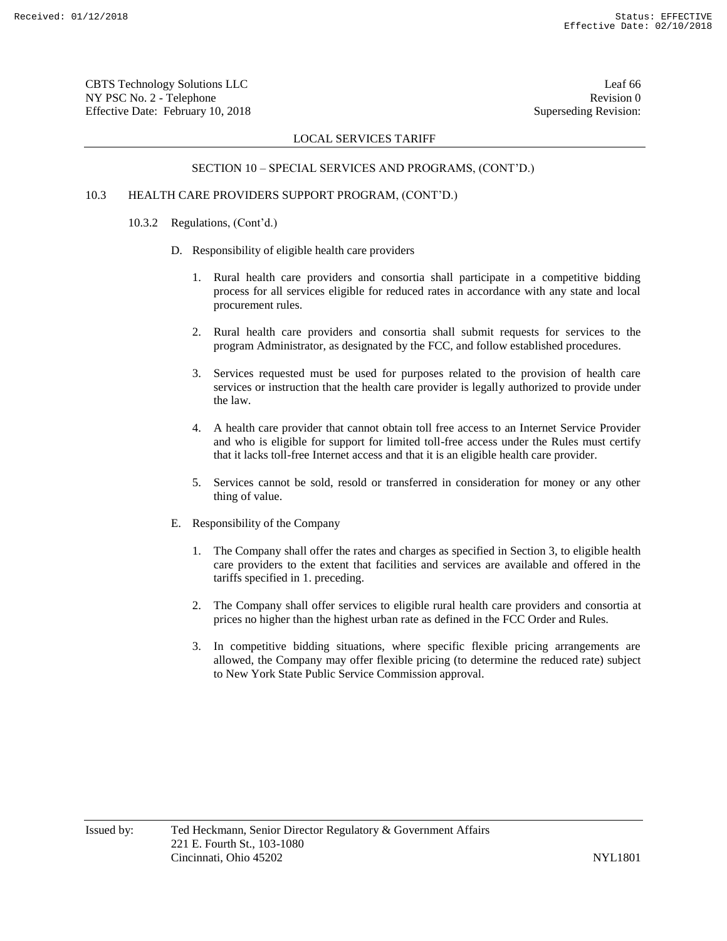CBTS Technology Solutions LLC Leaf 66 NY PSC No. 2 - Telephone Revision 0 Effective Date: February 10, 2018 Superseding Revision:

# LOCAL SERVICES TARIFF

# SECTION 10 – SPECIAL SERVICES AND PROGRAMS, (CONT'D.)

# 10.3 HEALTH CARE PROVIDERS SUPPORT PROGRAM, (CONT'D.)

- 10.3.2 Regulations, (Cont'd.)
	- D. Responsibility of eligible health care providers
		- 1. Rural health care providers and consortia shall participate in a competitive bidding process for all services eligible for reduced rates in accordance with any state and local procurement rules.
		- 2. Rural health care providers and consortia shall submit requests for services to the program Administrator, as designated by the FCC, and follow established procedures.
		- 3. Services requested must be used for purposes related to the provision of health care services or instruction that the health care provider is legally authorized to provide under the law.
		- 4. A health care provider that cannot obtain toll free access to an Internet Service Provider and who is eligible for support for limited toll-free access under the Rules must certify that it lacks toll-free Internet access and that it is an eligible health care provider.
		- 5. Services cannot be sold, resold or transferred in consideration for money or any other thing of value.
	- E. Responsibility of the Company
		- 1. The Company shall offer the rates and charges as specified in Section 3, to eligible health care providers to the extent that facilities and services are available and offered in the tariffs specified in 1. preceding.
		- 2. The Company shall offer services to eligible rural health care providers and consortia at prices no higher than the highest urban rate as defined in the FCC Order and Rules.
		- 3. In competitive bidding situations, where specific flexible pricing arrangements are allowed, the Company may offer flexible pricing (to determine the reduced rate) subject to New York State Public Service Commission approval.